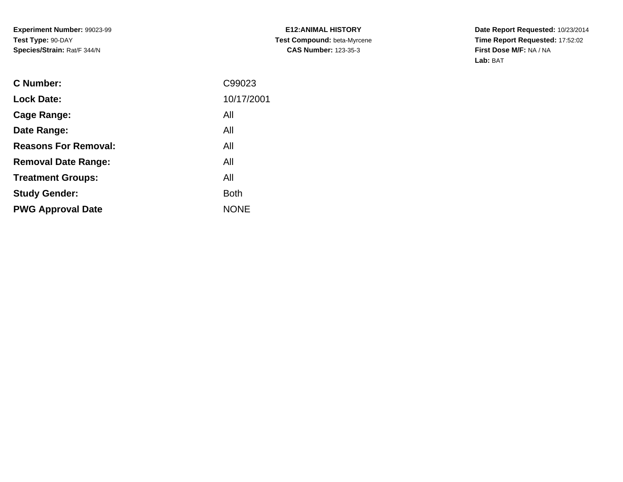**Experiment Number:** 99023-99**Test Type:** 90-DAY**Species/Strain:** Rat/F 344/N

**E12:ANIMAL HISTORY Test Compound:** beta-Myrcene**CAS Number:** 123-35-3

**Date Report Requested:** 10/23/2014 **Time Report Requested:** 17:52:02**First Dose M/F:** NA / NA**Lab:** BAT

| <b>C</b> Number:            | C99023      |
|-----------------------------|-------------|
| <b>Lock Date:</b>           | 10/17/2001  |
| Cage Range:                 | All         |
| Date Range:                 | All         |
| <b>Reasons For Removal:</b> | All         |
| <b>Removal Date Range:</b>  | All         |
| <b>Treatment Groups:</b>    | All         |
| <b>Study Gender:</b>        | <b>Both</b> |
| <b>PWG Approval Date</b>    | <b>NONE</b> |
|                             |             |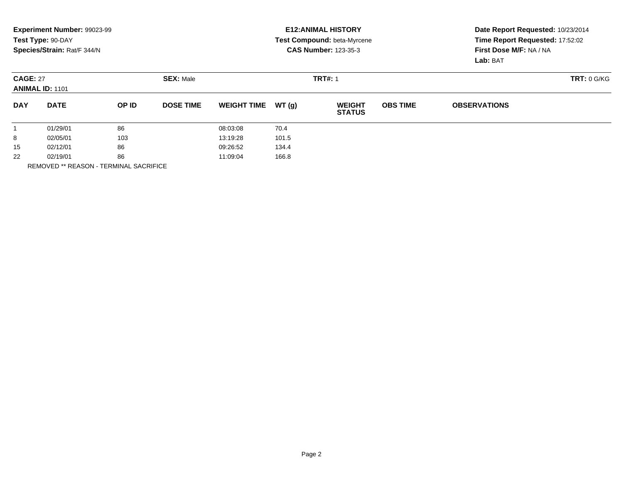|                                           | Experiment Number: 99023-99<br>Test Type: 90-DAY<br>Species/Strain: Rat/F 344/N |       |                  |                    |       | <b>E12: ANIMAL HISTORY</b><br>Test Compound: beta-Myrcene<br><b>CAS Number: 123-35-3</b> |                 | Date Report Requested: 10/23/2014<br>Time Report Requested: 17:52:02<br>First Dose M/F: NA / NA<br>Lab: BAT |  |
|-------------------------------------------|---------------------------------------------------------------------------------|-------|------------------|--------------------|-------|------------------------------------------------------------------------------------------|-----------------|-------------------------------------------------------------------------------------------------------------|--|
| <b>CAGE: 27</b><br><b>ANIMAL ID: 1101</b> |                                                                                 |       | <b>SEX: Male</b> |                    |       | <b>TRT#: 1</b>                                                                           |                 | TRT: 0 G/KG                                                                                                 |  |
| <b>DAY</b>                                | <b>DATE</b>                                                                     | OP ID | <b>DOSE TIME</b> | <b>WEIGHT TIME</b> | WT(q) | <b>WEIGHT</b><br><b>STATUS</b>                                                           | <b>OBS TIME</b> | <b>OBSERVATIONS</b>                                                                                         |  |
|                                           | 01/29/01                                                                        | 86    |                  | 08:03:08           | 70.4  |                                                                                          |                 |                                                                                                             |  |
| 8                                         | 02/05/01                                                                        | 103   |                  | 13:19:28           | 101.5 |                                                                                          |                 |                                                                                                             |  |
| 15                                        | 02/12/01                                                                        | 86    |                  | 09:26:52           | 134.4 |                                                                                          |                 |                                                                                                             |  |
| 22                                        | 02/19/01                                                                        | 86    |                  | 11:09:04           | 166.8 |                                                                                          |                 |                                                                                                             |  |
|                                           |                                                                                 |       |                  |                    |       |                                                                                          |                 |                                                                                                             |  |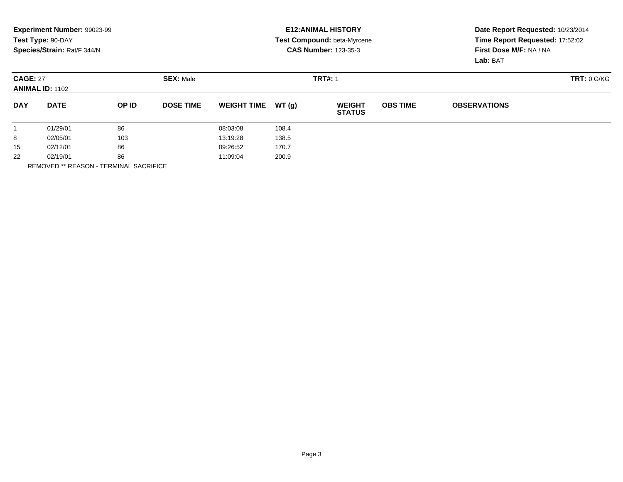|                                           | Experiment Number: 99023-99<br>Test Type: 90-DAY<br>Species/Strain: Rat/F 344/N |       |                  |                    |       | <b>E12: ANIMAL HISTORY</b><br>Test Compound: beta-Myrcene<br><b>CAS Number: 123-35-3</b> |                 | Date Report Requested: 10/23/2014<br>Time Report Requested: 17:52:02<br>First Dose M/F: NA / NA<br>Lab: BAT |  |
|-------------------------------------------|---------------------------------------------------------------------------------|-------|------------------|--------------------|-------|------------------------------------------------------------------------------------------|-----------------|-------------------------------------------------------------------------------------------------------------|--|
| <b>CAGE: 27</b><br><b>ANIMAL ID: 1102</b> |                                                                                 |       | <b>SEX: Male</b> |                    |       | <b>TRT#: 1</b>                                                                           |                 | TRT: 0 G/KG                                                                                                 |  |
| <b>DAY</b>                                | <b>DATE</b>                                                                     | OP ID | <b>DOSE TIME</b> | <b>WEIGHT TIME</b> | WT(q) | <b>WEIGHT</b><br><b>STATUS</b>                                                           | <b>OBS TIME</b> | <b>OBSERVATIONS</b>                                                                                         |  |
|                                           | 01/29/01                                                                        | 86    |                  | 08:03:08           | 108.4 |                                                                                          |                 |                                                                                                             |  |
| 8                                         | 02/05/01                                                                        | 103   |                  | 13:19:28           | 138.5 |                                                                                          |                 |                                                                                                             |  |
| 15                                        | 02/12/01                                                                        | 86    |                  | 09:26:52           | 170.7 |                                                                                          |                 |                                                                                                             |  |
| 22                                        | 02/19/01                                                                        | 86    |                  | 11:09:04           | 200.9 |                                                                                          |                 |                                                                                                             |  |
|                                           |                                                                                 |       |                  |                    |       |                                                                                          |                 |                                                                                                             |  |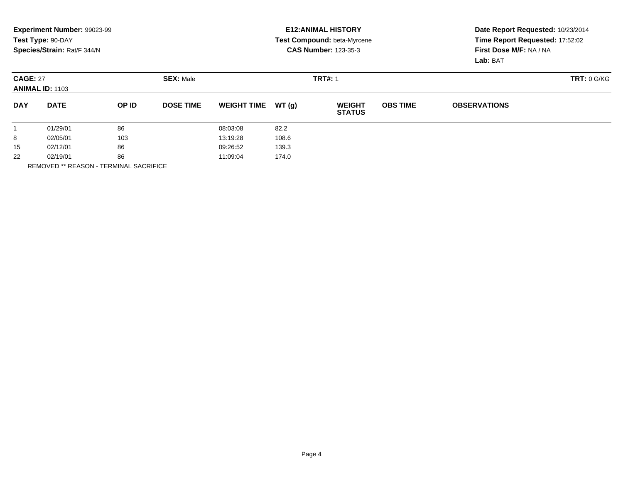|                                     | Experiment Number: 99023-99 |       |                  |                    |       | <b>E12: ANIMAL HISTORY</b>     |                 | Date Report Requested: 10/23/2014<br>Time Report Requested: 17:52:02 |             |  |
|-------------------------------------|-----------------------------|-------|------------------|--------------------|-------|--------------------------------|-----------------|----------------------------------------------------------------------|-------------|--|
|                                     | Test Type: 90-DAY           |       |                  |                    |       | Test Compound: beta-Myrcene    |                 |                                                                      |             |  |
|                                     | Species/Strain: Rat/F 344/N |       |                  |                    |       | <b>CAS Number: 123-35-3</b>    |                 | First Dose M/F: NA / NA                                              |             |  |
|                                     |                             |       |                  |                    |       |                                |                 | Lab: BAT                                                             |             |  |
| <b>SEX: Male</b><br><b>CAGE: 27</b> |                             |       |                  |                    |       | <b>TRT#: 1</b>                 |                 |                                                                      | TRT: 0 G/KG |  |
| <b>ANIMAL ID: 1103</b>              |                             |       |                  |                    |       |                                |                 |                                                                      |             |  |
| <b>DAY</b>                          | <b>DATE</b>                 | OP ID | <b>DOSE TIME</b> | <b>WEIGHT TIME</b> | WT(q) | <b>WEIGHT</b><br><b>STATUS</b> | <b>OBS TIME</b> | <b>OBSERVATIONS</b>                                                  |             |  |
|                                     | 01/29/01                    | 86    |                  | 08:03:08           | 82.2  |                                |                 |                                                                      |             |  |
| 8                                   | 02/05/01                    | 103   |                  | 13:19:28           | 108.6 |                                |                 |                                                                      |             |  |
| 15                                  | 02/12/01                    | 86    |                  | 09:26:52           | 139.3 |                                |                 |                                                                      |             |  |
| 22                                  | 02/19/01                    | 86    |                  | 11:09:04           | 174.0 |                                |                 |                                                                      |             |  |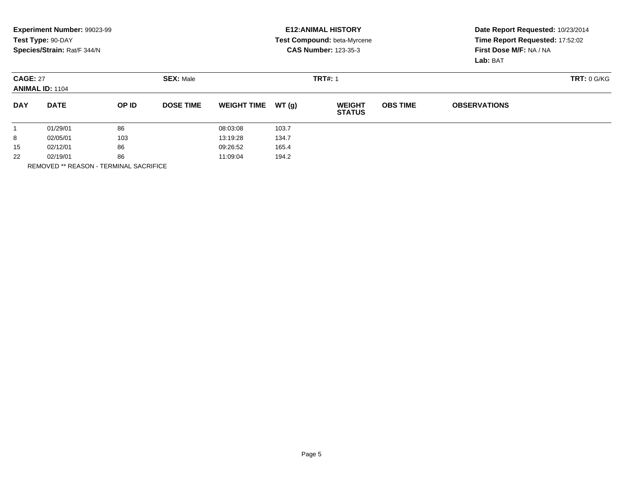|                 | <b>Experiment Number: 99023-99</b><br>Test Type: 90-DAY<br>Species/Strain: Rat/F 344/N |       |                  |                    |       | <b>E12:ANIMAL HISTORY</b><br>Test Compound: beta-Myrcene<br><b>CAS Number: 123-35-3</b> |                 | Date Report Requested: 10/23/2014<br>Time Report Requested: 17:52:02<br>First Dose M/F: NA / NA<br>Lab: BAT |  |
|-----------------|----------------------------------------------------------------------------------------|-------|------------------|--------------------|-------|-----------------------------------------------------------------------------------------|-----------------|-------------------------------------------------------------------------------------------------------------|--|
| <b>CAGE: 27</b> | <b>ANIMAL ID: 1104</b>                                                                 |       | <b>SEX: Male</b> |                    |       | <b>TRT#: 1</b>                                                                          |                 | <b>TRT: 0 G/KG</b>                                                                                          |  |
| <b>DAY</b>      | <b>DATE</b>                                                                            | OP ID | <b>DOSE TIME</b> | <b>WEIGHT TIME</b> | WT(g) | <b>WEIGHT</b><br><b>STATUS</b>                                                          | <b>OBS TIME</b> | <b>OBSERVATIONS</b>                                                                                         |  |
|                 | 01/29/01                                                                               | 86    |                  | 08:03:08           | 103.7 |                                                                                         |                 |                                                                                                             |  |
| 8               | 02/05/01                                                                               | 103   |                  | 13:19:28           | 134.7 |                                                                                         |                 |                                                                                                             |  |
| 15              | 02/12/01                                                                               | 86    |                  | 09:26:52           | 165.4 |                                                                                         |                 |                                                                                                             |  |
| 22              | 86<br>02/19/01                                                                         |       | 11:09:04         | 194.2              |       |                                                                                         |                 |                                                                                                             |  |
|                 |                                                                                        |       |                  |                    |       |                                                                                         |                 |                                                                                                             |  |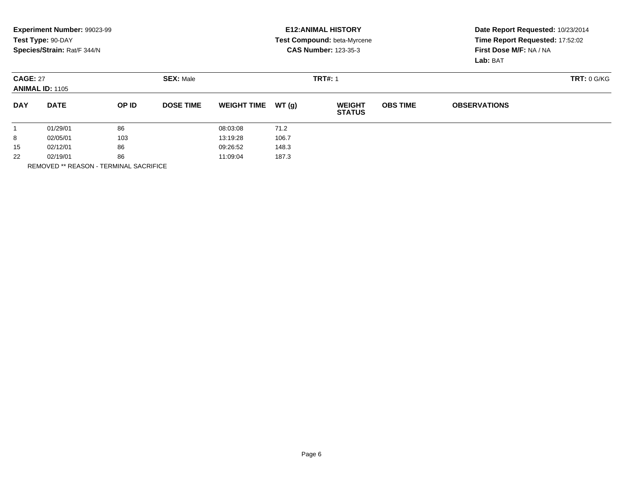| Date Report Requested: 10/23/2014<br>Time Report Requested: 17:52:02 |                 | <b>E12: ANIMAL HISTORY</b><br>Test Compound: beta-Myrcene |       |                    | Experiment Number: 99023-99<br>Test Type: 90-DAY |       |                                           |            |
|----------------------------------------------------------------------|-----------------|-----------------------------------------------------------|-------|--------------------|--------------------------------------------------|-------|-------------------------------------------|------------|
| First Dose M/F: NA / NA<br>Lab: BAT                                  |                 | <b>CAS Number: 123-35-3</b>                               |       |                    |                                                  |       | Species/Strain: Rat/F 344/N               |            |
| TRT: 0 G/KG                                                          |                 | <b>TRT#: 1</b>                                            |       |                    |                                                  |       | <b>CAGE: 27</b><br><b>ANIMAL ID: 1105</b> |            |
| <b>OBSERVATIONS</b>                                                  | <b>OBS TIME</b> | <b>WEIGHT</b><br><b>STATUS</b>                            | WT(q) | <b>WEIGHT TIME</b> | <b>DOSE TIME</b>                                 | OP ID | <b>DATE</b>                               | <b>DAY</b> |
|                                                                      |                 |                                                           | 71.2  | 08:03:08           |                                                  | 86    | 01/29/01                                  |            |
|                                                                      |                 |                                                           | 106.7 | 13:19:28           |                                                  | 103   | 02/05/01                                  | 8          |
|                                                                      |                 |                                                           | 148.3 | 09:26:52           |                                                  | 86    | 02/12/01                                  | 15         |
|                                                                      |                 | 11:09:04<br>187.3                                         |       |                    | 86<br>02/19/01                                   |       | 22                                        |            |
|                                                                      |                 |                                                           |       |                    |                                                  |       |                                           |            |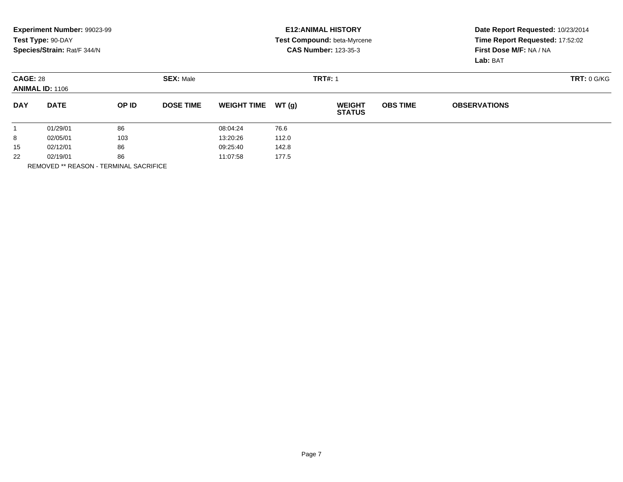|                 | <b>Experiment Number: 99023-99</b><br>Test Type: 90-DAY<br>Species/Strain: Rat/F 344/N |       |                  |                    |        | <b>E12:ANIMAL HISTORY</b><br>Test Compound: beta-Myrcene<br><b>CAS Number: 123-35-3</b> |                 | Date Report Requested: 10/23/2014<br>Time Report Requested: 17:52:02<br>First Dose M/F: NA / NA<br>Lab: BAT |  |
|-----------------|----------------------------------------------------------------------------------------|-------|------------------|--------------------|--------|-----------------------------------------------------------------------------------------|-----------------|-------------------------------------------------------------------------------------------------------------|--|
| <b>CAGE: 28</b> | <b>ANIMAL ID: 1106</b>                                                                 |       | <b>SEX: Male</b> |                    |        | <b>TRT#: 1</b>                                                                          |                 | <b>TRT: 0 G/KG</b>                                                                                          |  |
| <b>DAY</b>      | <b>DATE</b>                                                                            | OP ID | <b>DOSE TIME</b> | <b>WEIGHT TIME</b> | WT (g) | <b>WEIGHT</b><br><b>STATUS</b>                                                          | <b>OBS TIME</b> | <b>OBSERVATIONS</b>                                                                                         |  |
|                 | 01/29/01                                                                               | 86    |                  | 08:04:24           | 76.6   |                                                                                         |                 |                                                                                                             |  |
| 8               | 02/05/01                                                                               | 103   |                  | 13:20:26           | 112.0  |                                                                                         |                 |                                                                                                             |  |
| 15              | 02/12/01                                                                               | 86    |                  | 09:25:40           | 142.8  |                                                                                         |                 |                                                                                                             |  |
| 22              | 02/19/01                                                                               | 86    |                  | 11:07:58           | 177.5  |                                                                                         |                 |                                                                                                             |  |
|                 |                                                                                        |       |                  |                    |        |                                                                                         |                 |                                                                                                             |  |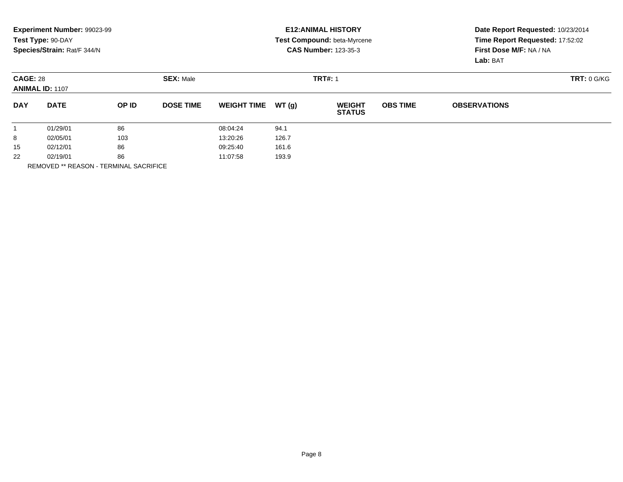|                 | <b>Experiment Number: 99023-99</b><br>Test Type: 90-DAY<br>Species/Strain: Rat/F 344/N |       |                   |                    |        | <b>E12:ANIMAL HISTORY</b><br>Test Compound: beta-Myrcene<br><b>CAS Number: 123-35-3</b> |                 | Date Report Requested: 10/23/2014<br>Time Report Requested: 17:52:02<br>First Dose M/F: NA / NA<br>Lab: BAT |  |
|-----------------|----------------------------------------------------------------------------------------|-------|-------------------|--------------------|--------|-----------------------------------------------------------------------------------------|-----------------|-------------------------------------------------------------------------------------------------------------|--|
| <b>CAGE: 28</b> | <b>ANIMAL ID: 1107</b>                                                                 |       | <b>SEX: Male</b>  |                    |        | <b>TRT#: 1</b>                                                                          |                 | <b>TRT: 0 G/KG</b>                                                                                          |  |
| <b>DAY</b>      | <b>DATE</b>                                                                            | OP ID | <b>DOSE TIME</b>  | <b>WEIGHT TIME</b> | WT (g) | <b>WEIGHT</b><br><b>STATUS</b>                                                          | <b>OBS TIME</b> | <b>OBSERVATIONS</b>                                                                                         |  |
|                 | 01/29/01                                                                               | 86    |                   | 08:04:24           | 94.1   |                                                                                         |                 |                                                                                                             |  |
| 8               | 02/05/01                                                                               | 103   |                   | 13:20:26           | 126.7  |                                                                                         |                 |                                                                                                             |  |
| 15              | 02/12/01                                                                               | 86    |                   | 09:25:40           | 161.6  |                                                                                         |                 |                                                                                                             |  |
| 22              | 86<br>02/19/01                                                                         |       | 193.9<br>11:07:58 |                    |        |                                                                                         |                 |                                                                                                             |  |
|                 |                                                                                        |       |                   |                    |        |                                                                                         |                 |                                                                                                             |  |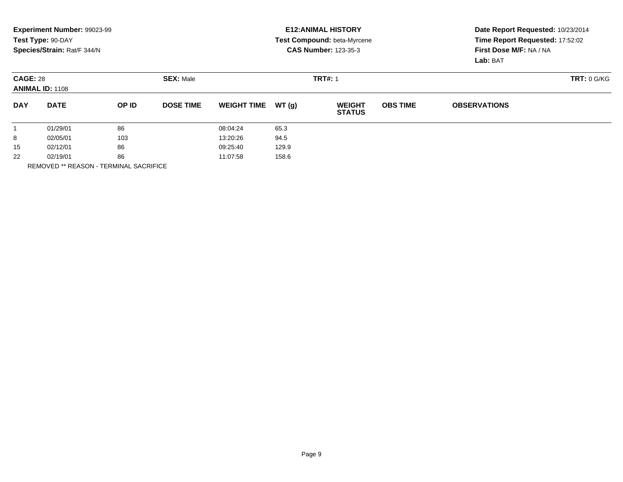|                 | <b>Experiment Number: 99023-99</b><br>Test Type: 90-DAY<br>Species/Strain: Rat/F 344/N |       |                   |                    |        | <b>E12:ANIMAL HISTORY</b><br>Test Compound: beta-Myrcene<br><b>CAS Number: 123-35-3</b> |                 | Date Report Requested: 10/23/2014<br>Time Report Requested: 17:52:02<br>First Dose M/F: NA / NA<br>Lab: BAT |  |
|-----------------|----------------------------------------------------------------------------------------|-------|-------------------|--------------------|--------|-----------------------------------------------------------------------------------------|-----------------|-------------------------------------------------------------------------------------------------------------|--|
| <b>CAGE: 28</b> | <b>ANIMAL ID: 1108</b>                                                                 |       | <b>SEX: Male</b>  |                    |        | <b>TRT#: 1</b>                                                                          |                 | TRT: 0 G/KG                                                                                                 |  |
| <b>DAY</b>      | <b>DATE</b>                                                                            | OP ID | <b>DOSE TIME</b>  | <b>WEIGHT TIME</b> | WT (g) | <b>WEIGHT</b><br><b>STATUS</b>                                                          | <b>OBS TIME</b> | <b>OBSERVATIONS</b>                                                                                         |  |
|                 | 01/29/01                                                                               | 86    |                   | 08:04:24           | 65.3   |                                                                                         |                 |                                                                                                             |  |
| 8               | 02/05/01                                                                               | 103   |                   | 13:20:26           | 94.5   |                                                                                         |                 |                                                                                                             |  |
| 15              | 02/12/01                                                                               | 86    |                   | 09:25:40           | 129.9  |                                                                                         |                 |                                                                                                             |  |
| 22              | 02/19/01<br>86                                                                         |       | 158.6<br>11:07:58 |                    |        |                                                                                         |                 |                                                                                                             |  |
|                 |                                                                                        |       |                   |                    |        |                                                                                         |                 |                                                                                                             |  |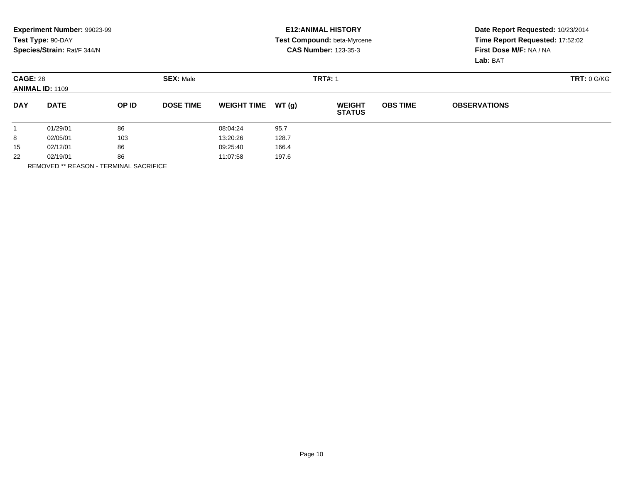|                                     | <b>Experiment Number: 99023-99</b> |       |                  |                    |       | <b>E12:ANIMAL HISTORY</b>      |                 | Date Report Requested: 10/23/2014<br>Time Report Requested: 17:52:02<br>First Dose M/F: NA / NA |             |  |
|-------------------------------------|------------------------------------|-------|------------------|--------------------|-------|--------------------------------|-----------------|-------------------------------------------------------------------------------------------------|-------------|--|
|                                     | Test Type: 90-DAY                  |       |                  |                    |       | Test Compound: beta-Myrcene    |                 |                                                                                                 |             |  |
|                                     | Species/Strain: Rat/F 344/N        |       |                  |                    |       | <b>CAS Number: 123-35-3</b>    |                 |                                                                                                 |             |  |
|                                     |                                    |       |                  |                    |       |                                |                 | Lab: BAT                                                                                        |             |  |
| <b>SEX: Male</b><br><b>CAGE: 28</b> |                                    |       |                  |                    |       | <b>TRT#: 1</b>                 |                 |                                                                                                 | TRT: 0 G/KG |  |
|                                     | <b>ANIMAL ID: 1109</b>             |       |                  |                    |       |                                |                 |                                                                                                 |             |  |
| <b>DAY</b>                          | <b>DATE</b>                        | OP ID | <b>DOSE TIME</b> | <b>WEIGHT TIME</b> | WT(q) | <b>WEIGHT</b><br><b>STATUS</b> | <b>OBS TIME</b> | <b>OBSERVATIONS</b>                                                                             |             |  |
|                                     | 01/29/01                           | 86    |                  | 08:04:24           | 95.7  |                                |                 |                                                                                                 |             |  |
| 8                                   | 02/05/01                           | 103   |                  | 13:20:26           | 128.7 |                                |                 |                                                                                                 |             |  |
| 15                                  | 02/12/01                           | 86    |                  | 09:25:40           | 166.4 |                                |                 |                                                                                                 |             |  |
| 22                                  | 02/19/01                           | 86    |                  | 11:07:58           | 197.6 |                                |                 |                                                                                                 |             |  |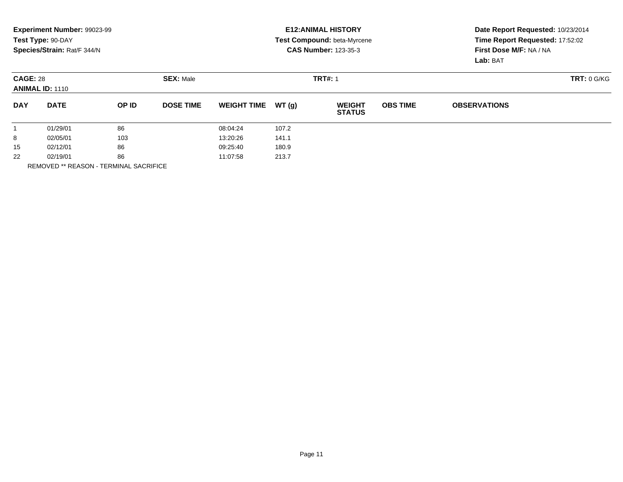|                 | <b>Experiment Number: 99023-99</b><br>Test Type: 90-DAY<br>Species/Strain: Rat/F 344/N |       |                  |                    |        | <b>E12:ANIMAL HISTORY</b><br>Test Compound: beta-Myrcene<br><b>CAS Number: 123-35-3</b> |                 | Date Report Requested: 10/23/2014<br>Time Report Requested: 17:52:02<br>First Dose M/F: NA / NA<br>Lab: BAT |  |
|-----------------|----------------------------------------------------------------------------------------|-------|------------------|--------------------|--------|-----------------------------------------------------------------------------------------|-----------------|-------------------------------------------------------------------------------------------------------------|--|
| <b>CAGE: 28</b> | <b>ANIMAL ID: 1110</b>                                                                 |       | <b>SEX: Male</b> |                    |        | <b>TRT#: 1</b>                                                                          |                 | <b>TRT: 0 G/KG</b>                                                                                          |  |
| <b>DAY</b>      | <b>DATE</b>                                                                            | OP ID | <b>DOSE TIME</b> | <b>WEIGHT TIME</b> | WT (g) | <b>WEIGHT</b><br><b>STATUS</b>                                                          | <b>OBS TIME</b> | <b>OBSERVATIONS</b>                                                                                         |  |
|                 | 01/29/01                                                                               | 86    |                  | 08:04:24           | 107.2  |                                                                                         |                 |                                                                                                             |  |
| 8               | 02/05/01                                                                               | 103   |                  | 13:20:26           | 141.1  |                                                                                         |                 |                                                                                                             |  |
| 15              | 02/12/01                                                                               | 86    |                  | 09:25:40           | 180.9  |                                                                                         |                 |                                                                                                             |  |
| 22              | 02/19/01                                                                               | 86    |                  | 11:07:58           | 213.7  |                                                                                         |                 |                                                                                                             |  |
|                 |                                                                                        |       |                  |                    |        |                                                                                         |                 |                                                                                                             |  |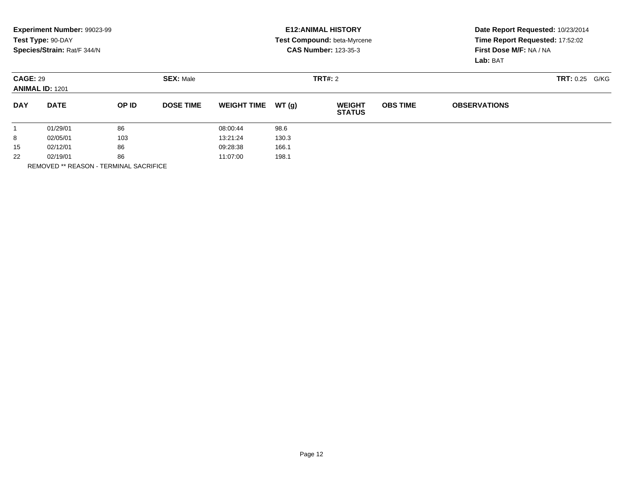|                                           | Experiment Number: 99023-99<br>Test Type: 90-DAY<br>Species/Strain: Rat/F 344/N |       |                  |                    |       | <b>E12: ANIMAL HISTORY</b><br>Test Compound: beta-Myrcene<br><b>CAS Number: 123-35-3</b> |                 | Date Report Requested: 10/23/2014<br>Time Report Requested: 17:52:02<br>First Dose M/F: NA / NA<br>Lab: BAT |  |  |
|-------------------------------------------|---------------------------------------------------------------------------------|-------|------------------|--------------------|-------|------------------------------------------------------------------------------------------|-----------------|-------------------------------------------------------------------------------------------------------------|--|--|
| <b>CAGE: 29</b><br><b>ANIMAL ID: 1201</b> |                                                                                 |       | <b>SEX: Male</b> |                    |       | <b>TRT#:</b> 2                                                                           |                 | TRT: 0.25<br>G/KG                                                                                           |  |  |
| <b>DAY</b>                                | <b>DATE</b>                                                                     | OP ID | <b>DOSE TIME</b> | <b>WEIGHT TIME</b> | WT(q) | <b>WEIGHT</b><br><b>STATUS</b>                                                           | <b>OBS TIME</b> | <b>OBSERVATIONS</b>                                                                                         |  |  |
|                                           | 01/29/01                                                                        | 86    |                  | 08:00:44           | 98.6  |                                                                                          |                 |                                                                                                             |  |  |
| 8                                         | 02/05/01                                                                        | 103   |                  | 13:21:24           | 130.3 |                                                                                          |                 |                                                                                                             |  |  |
| 15                                        | 02/12/01                                                                        | 86    |                  | 09:28:38           | 166.1 |                                                                                          |                 |                                                                                                             |  |  |
| 22                                        | 02/19/01                                                                        | 86    |                  | 11:07:00           | 198.1 |                                                                                          |                 |                                                                                                             |  |  |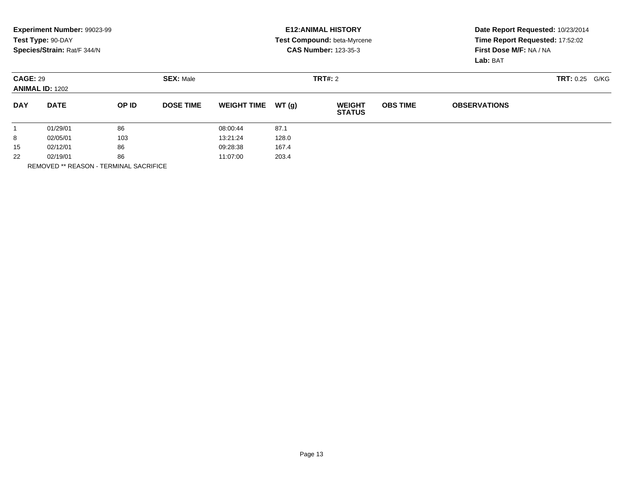|                                           | Experiment Number: 99023-99 |                  |                  |                    |         | <b>E12: ANIMAL HISTORY</b>     | Date Report Requested: 10/23/2014 |                                                            |  |  |
|-------------------------------------------|-----------------------------|------------------|------------------|--------------------|---------|--------------------------------|-----------------------------------|------------------------------------------------------------|--|--|
|                                           | Test Type: 90-DAY           |                  |                  |                    |         | Test Compound: beta-Myrcene    |                                   | Time Report Requested: 17:52:02<br>First Dose M/F: NA / NA |  |  |
|                                           | Species/Strain: Rat/F 344/N |                  |                  |                    |         | <b>CAS Number: 123-35-3</b>    |                                   |                                                            |  |  |
|                                           |                             |                  |                  |                    |         |                                |                                   | Lab: BAT                                                   |  |  |
| <b>CAGE: 29</b><br><b>ANIMAL ID: 1202</b> |                             | <b>SEX: Male</b> |                  |                    | TRT#: 2 |                                |                                   | <b>TRT: 0.25</b><br>G/KG                                   |  |  |
| <b>DAY</b>                                | <b>DATE</b>                 | OP ID            | <b>DOSE TIME</b> | <b>WEIGHT TIME</b> | WT (q)  | <b>WEIGHT</b><br><b>STATUS</b> | <b>OBS TIME</b>                   | <b>OBSERVATIONS</b>                                        |  |  |
|                                           | 01/29/01                    | 86               |                  | 08:00:44           | 87.1    |                                |                                   |                                                            |  |  |
| 8                                         | 02/05/01                    | 103              |                  | 13:21:24           | 128.0   |                                |                                   |                                                            |  |  |
| 15                                        | 02/12/01                    | 86               |                  | 09:28:38           | 167.4   |                                |                                   |                                                            |  |  |
| 22                                        | 02/19/01                    | 86               |                  | 11:07:00           | 203.4   |                                |                                   |                                                            |  |  |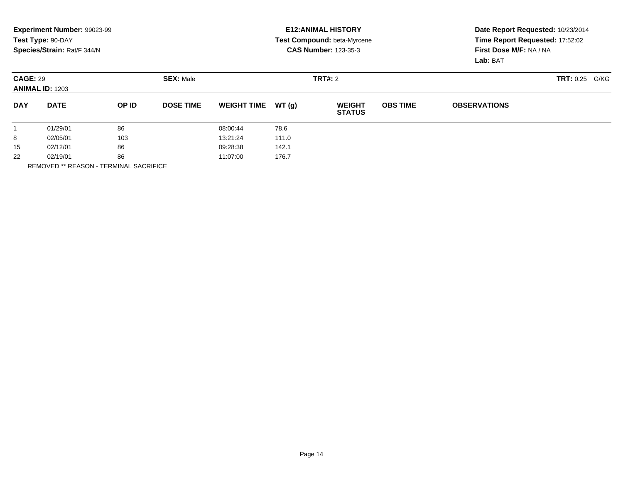|                 | Experiment Number: 99023-99<br>Test Type: 90-DAY<br>Species/Strain: Rat/F 344/N |       |                  |                    |         | <b>E12: ANIMAL HISTORY</b><br><b>Test Compound: beta-Myrcene</b><br><b>CAS Number: 123-35-3</b> | Date Report Requested: 10/23/2014<br>Time Report Requested: 17:52:02<br>First Dose M/F: NA / NA<br>Lab: BAT |                     |                   |
|-----------------|---------------------------------------------------------------------------------|-------|------------------|--------------------|---------|-------------------------------------------------------------------------------------------------|-------------------------------------------------------------------------------------------------------------|---------------------|-------------------|
| <b>CAGE: 29</b> | <b>ANIMAL ID: 1203</b>                                                          |       | <b>SEX: Male</b> |                    | TRT#: 2 |                                                                                                 |                                                                                                             |                     | TRT: 0.25<br>G/KG |
| <b>DAY</b>      | <b>DATE</b>                                                                     | OP ID | <b>DOSE TIME</b> | <b>WEIGHT TIME</b> | WT (g)  | <b>WEIGHT</b><br><b>STATUS</b>                                                                  | <b>OBS TIME</b>                                                                                             | <b>OBSERVATIONS</b> |                   |
|                 | 01/29/01                                                                        | 86    |                  | 08:00:44           | 78.6    |                                                                                                 |                                                                                                             |                     |                   |
| 8               | 02/05/01                                                                        | 103   |                  | 13:21:24           | 111.0   |                                                                                                 |                                                                                                             |                     |                   |
| 15              | 02/12/01                                                                        | 86    |                  | 09:28:38<br>142.1  |         |                                                                                                 |                                                                                                             |                     |                   |
| 22              | 02/19/01                                                                        | 86    |                  | 11:07:00           | 176.7   |                                                                                                 |                                                                                                             |                     |                   |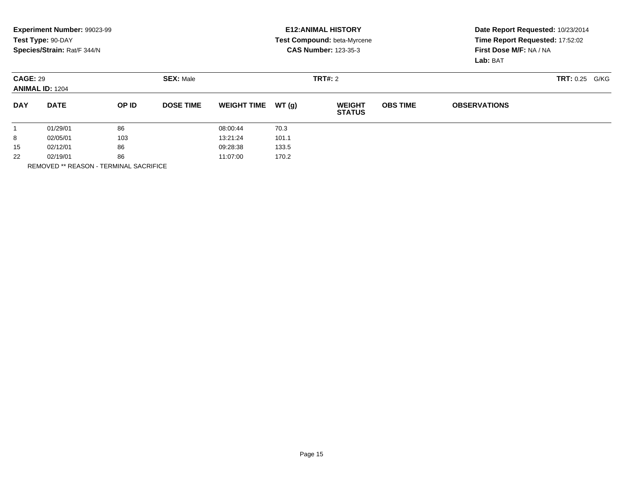|                                           | Experiment Number: 99023-99 |                  |                  |                    |         | <b>E12: ANIMAL HISTORY</b>     | Date Report Requested: 10/23/2014 |                                                            |  |  |
|-------------------------------------------|-----------------------------|------------------|------------------|--------------------|---------|--------------------------------|-----------------------------------|------------------------------------------------------------|--|--|
|                                           | Test Type: 90-DAY           |                  |                  |                    |         | Test Compound: beta-Myrcene    |                                   | Time Report Requested: 17:52:02<br>First Dose M/F: NA / NA |  |  |
|                                           | Species/Strain: Rat/F 344/N |                  |                  |                    |         | <b>CAS Number: 123-35-3</b>    |                                   |                                                            |  |  |
|                                           |                             |                  |                  |                    |         |                                |                                   | Lab: BAT                                                   |  |  |
| <b>CAGE: 29</b><br><b>ANIMAL ID: 1204</b> |                             | <b>SEX: Male</b> |                  |                    | TRT#: 2 |                                |                                   | <b>TRT: 0.25</b><br>G/KG                                   |  |  |
| <b>DAY</b>                                | <b>DATE</b>                 | OP ID            | <b>DOSE TIME</b> | <b>WEIGHT TIME</b> | WT (q)  | <b>WEIGHT</b><br><b>STATUS</b> | <b>OBS TIME</b>                   | <b>OBSERVATIONS</b>                                        |  |  |
|                                           | 01/29/01                    | 86               |                  | 08:00:44           | 70.3    |                                |                                   |                                                            |  |  |
| 8                                         | 02/05/01                    | 103              |                  | 13:21:24           | 101.1   |                                |                                   |                                                            |  |  |
| 15                                        | 02/12/01                    | 86               |                  | 09:28:38           | 133.5   |                                |                                   |                                                            |  |  |
| 22                                        | 02/19/01                    | 86               |                  | 11:07:00           | 170.2   |                                |                                   |                                                            |  |  |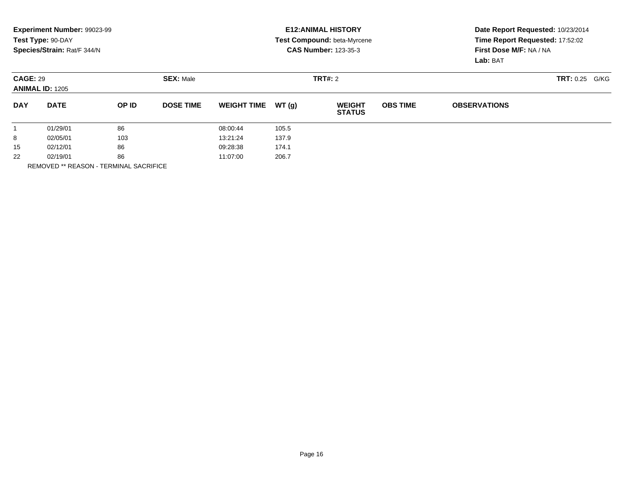|                                           | Experiment Number: 99023-99<br>Test Type: 90-DAY<br>Species/Strain: Rat/F 344/N |                  |                   |                    |         | <b>E12: ANIMAL HISTORY</b><br><b>Test Compound: beta-Myrcene</b><br><b>CAS Number: 123-35-3</b> |                 | Date Report Requested: 10/23/2014<br>Time Report Requested: 17:52:02<br>First Dose M/F: NA / NA<br>Lab: BAT |  |  |
|-------------------------------------------|---------------------------------------------------------------------------------|------------------|-------------------|--------------------|---------|-------------------------------------------------------------------------------------------------|-----------------|-------------------------------------------------------------------------------------------------------------|--|--|
| <b>CAGE: 29</b><br><b>ANIMAL ID: 1205</b> |                                                                                 | <b>SEX: Male</b> |                   |                    | TRT#: 2 |                                                                                                 |                 | TRT: 0.25<br>G/KG                                                                                           |  |  |
| <b>DAY</b>                                | <b>DATE</b>                                                                     | OP ID            | <b>DOSE TIME</b>  | <b>WEIGHT TIME</b> | WT(q)   | <b>WEIGHT</b><br><b>STATUS</b>                                                                  | <b>OBS TIME</b> | <b>OBSERVATIONS</b>                                                                                         |  |  |
|                                           | 01/29/01                                                                        | 86               |                   | 08:00:44           | 105.5   |                                                                                                 |                 |                                                                                                             |  |  |
| 8                                         | 02/05/01                                                                        | 103              |                   | 13:21:24           | 137.9   |                                                                                                 |                 |                                                                                                             |  |  |
| 15                                        | 86<br>02/12/01                                                                  |                  | 174.1<br>09:28:38 |                    |         |                                                                                                 |                 |                                                                                                             |  |  |
| 22                                        | 02/19/01                                                                        | 86               |                   | 11:07:00           | 206.7   |                                                                                                 |                 |                                                                                                             |  |  |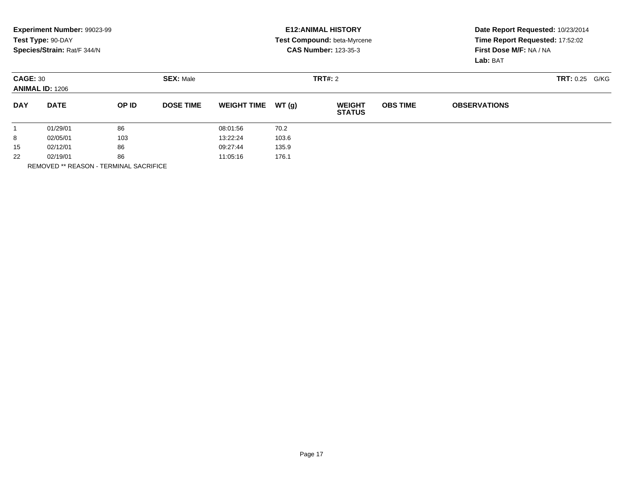|                 | Experiment Number: 99023-99<br>Test Type: 90-DAY<br>Species/Strain: Rat/F 344/N |       |                  |                    |        | <b>E12: ANIMAL HISTORY</b><br><b>Test Compound: beta-Myrcene</b><br><b>CAS Number: 123-35-3</b> | Date Report Requested: 10/23/2014<br>Time Report Requested: 17:52:02<br>First Dose M/F: NA / NA<br>Lab: BAT |                     |                   |
|-----------------|---------------------------------------------------------------------------------|-------|------------------|--------------------|--------|-------------------------------------------------------------------------------------------------|-------------------------------------------------------------------------------------------------------------|---------------------|-------------------|
| <b>CAGE: 30</b> | <b>ANIMAL ID: 1206</b>                                                          |       | <b>SEX: Male</b> |                    |        | TRT#: 2                                                                                         |                                                                                                             |                     | TRT: 0.25<br>G/KG |
| <b>DAY</b>      | <b>DATE</b>                                                                     | OP ID | <b>DOSE TIME</b> | <b>WEIGHT TIME</b> | WT (g) | <b>WEIGHT</b><br><b>STATUS</b>                                                                  | <b>OBS TIME</b>                                                                                             | <b>OBSERVATIONS</b> |                   |
|                 | 01/29/01                                                                        | 86    |                  | 08:01:56           | 70.2   |                                                                                                 |                                                                                                             |                     |                   |
| 8               | 02/05/01                                                                        | 103   |                  | 13:22:24           | 103.6  |                                                                                                 |                                                                                                             |                     |                   |
| 15              | 02/12/01                                                                        | 86    |                  | 09:27:44           | 135.9  |                                                                                                 |                                                                                                             |                     |                   |
| 22              | 02/19/01                                                                        | 86    |                  | 11:05:16           | 176.1  |                                                                                                 |                                                                                                             |                     |                   |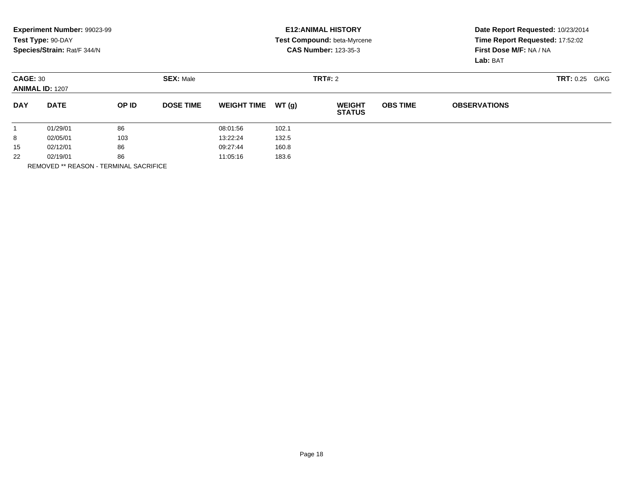|                                           | Experiment Number: 99023-99 |                  |                  |                    |         | <b>E12: ANIMAL HISTORY</b>     | Date Report Requested: 10/23/2014 |                                                            |  |  |
|-------------------------------------------|-----------------------------|------------------|------------------|--------------------|---------|--------------------------------|-----------------------------------|------------------------------------------------------------|--|--|
|                                           | Test Type: 90-DAY           |                  |                  |                    |         | Test Compound: beta-Myrcene    |                                   | Time Report Requested: 17:52:02<br>First Dose M/F: NA / NA |  |  |
|                                           | Species/Strain: Rat/F 344/N |                  |                  |                    |         | <b>CAS Number: 123-35-3</b>    |                                   |                                                            |  |  |
|                                           |                             |                  |                  |                    |         |                                |                                   | Lab: BAT                                                   |  |  |
| <b>CAGE: 30</b><br><b>ANIMAL ID: 1207</b> |                             | <b>SEX: Male</b> |                  |                    | TRT#: 2 |                                |                                   | <b>TRT: 0.25</b><br>G/KG                                   |  |  |
| <b>DAY</b>                                | <b>DATE</b>                 | OP ID            | <b>DOSE TIME</b> | <b>WEIGHT TIME</b> | WT (q)  | <b>WEIGHT</b><br><b>STATUS</b> | <b>OBS TIME</b>                   | <b>OBSERVATIONS</b>                                        |  |  |
|                                           | 01/29/01                    | 86               |                  | 08:01:56           | 102.1   |                                |                                   |                                                            |  |  |
| 8                                         | 02/05/01                    | 103              |                  | 13:22:24           | 132.5   |                                |                                   |                                                            |  |  |
| 15                                        | 02/12/01                    | 86               |                  | 09:27:44           | 160.8   |                                |                                   |                                                            |  |  |
| 22                                        | 02/19/01                    | 86               |                  | 11:05:16           | 183.6   |                                |                                   |                                                            |  |  |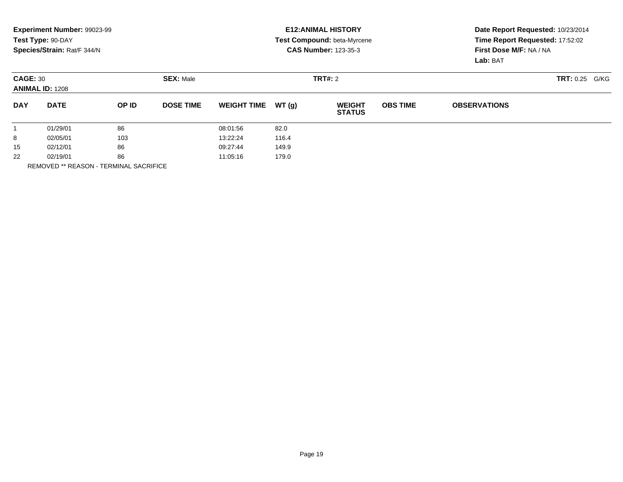|                 | Experiment Number: 99023-99<br>Test Type: 90-DAY<br>Species/Strain: Rat/F 344/N |       |                  |                    |         | <b>E12: ANIMAL HISTORY</b><br><b>Test Compound: beta-Myrcene</b><br><b>CAS Number: 123-35-3</b> | Date Report Requested: 10/23/2014<br>Time Report Requested: 17:52:02<br>First Dose M/F: NA / NA<br>Lab: BAT |                     |                   |
|-----------------|---------------------------------------------------------------------------------|-------|------------------|--------------------|---------|-------------------------------------------------------------------------------------------------|-------------------------------------------------------------------------------------------------------------|---------------------|-------------------|
| <b>CAGE: 30</b> | <b>ANIMAL ID: 1208</b>                                                          |       | <b>SEX: Male</b> |                    | TRT#: 2 |                                                                                                 |                                                                                                             |                     | TRT: 0.25<br>G/KG |
| <b>DAY</b>      | <b>DATE</b>                                                                     | OP ID | <b>DOSE TIME</b> | <b>WEIGHT TIME</b> | WT (g)  | <b>WEIGHT</b><br><b>STATUS</b>                                                                  | <b>OBS TIME</b>                                                                                             | <b>OBSERVATIONS</b> |                   |
|                 | 01/29/01                                                                        | 86    |                  | 08:01:56           | 82.0    |                                                                                                 |                                                                                                             |                     |                   |
| 8               | 02/05/01                                                                        | 103   |                  | 13:22:24           | 116.4   |                                                                                                 |                                                                                                             |                     |                   |
| 15              | 86<br>02/12/01                                                                  |       | 09:27:44         | 149.9              |         |                                                                                                 |                                                                                                             |                     |                   |
| 22              | 02/19/01                                                                        | 86    |                  | 11:05:16           | 179.0   |                                                                                                 |                                                                                                             |                     |                   |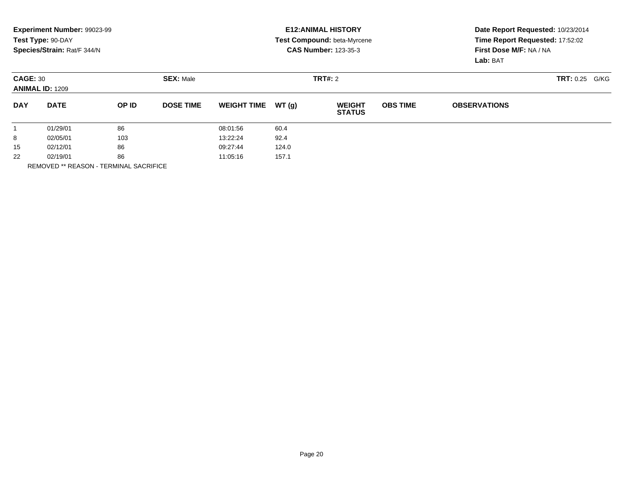|            | Experiment Number: 99023-99         |       |                  |                    |       | <b>E12: ANIMAL HISTORY</b>     | Date Report Requested: 10/23/2014 |                                 |                       |  |
|------------|-------------------------------------|-------|------------------|--------------------|-------|--------------------------------|-----------------------------------|---------------------------------|-----------------------|--|
|            | Test Type: 90-DAY                   |       |                  |                    |       | Test Compound: beta-Myrcene    |                                   | Time Report Requested: 17:52:02 |                       |  |
|            | Species/Strain: Rat/F 344/N         |       |                  |                    |       | <b>CAS Number: 123-35-3</b>    | First Dose M/F: NA / NA           |                                 |                       |  |
|            |                                     |       |                  |                    |       |                                |                                   | Lab: BAT                        |                       |  |
|            | <b>SEX: Male</b><br><b>CAGE: 30</b> |       |                  |                    |       | <b>TRT#: 2</b>                 |                                   |                                 | <b>TRT: 0.25 G/KG</b> |  |
|            | <b>ANIMAL ID: 1209</b>              |       |                  |                    |       |                                |                                   |                                 |                       |  |
| <b>DAY</b> | <b>DATE</b>                         | OP ID | <b>DOSE TIME</b> | <b>WEIGHT TIME</b> | WT(q) | <b>WEIGHT</b><br><b>STATUS</b> | <b>OBS TIME</b>                   | <b>OBSERVATIONS</b>             |                       |  |
|            | 01/29/01                            | 86    |                  | 08:01:56           | 60.4  |                                |                                   |                                 |                       |  |
| 8          | 02/05/01                            | 103   |                  | 13:22:24           | 92.4  |                                |                                   |                                 |                       |  |
| 15         | 02/12/01                            | 86    |                  | 09:27:44<br>124.0  |       |                                |                                   |                                 |                       |  |
| 22         | 02/19/01                            | 86    |                  | 11:05:16           | 157.1 |                                |                                   |                                 |                       |  |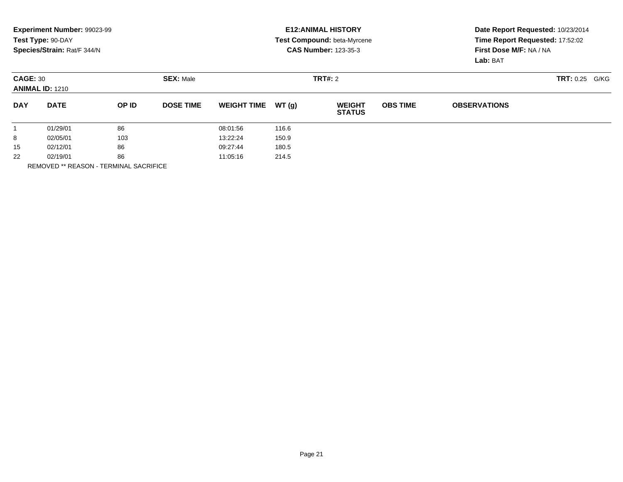|                                           | Experiment Number: 99023-99<br>Test Type: 90-DAY<br>Species/Strain: Rat/F 344/N |                  |                  |                    |         | <b>E12: ANIMAL HISTORY</b><br><b>Test Compound: beta-Myrcene</b><br><b>CAS Number: 123-35-3</b> |                 | Date Report Requested: 10/23/2014<br>Time Report Requested: 17:52:02<br>First Dose M/F: NA / NA<br>Lab: BAT |  |  |
|-------------------------------------------|---------------------------------------------------------------------------------|------------------|------------------|--------------------|---------|-------------------------------------------------------------------------------------------------|-----------------|-------------------------------------------------------------------------------------------------------------|--|--|
| <b>CAGE: 30</b><br><b>ANIMAL ID: 1210</b> |                                                                                 | <b>SEX: Male</b> |                  |                    | TRT#: 2 |                                                                                                 |                 | TRT: 0.25<br>G/KG                                                                                           |  |  |
| <b>DAY</b>                                | <b>DATE</b>                                                                     | OP ID            | <b>DOSE TIME</b> | <b>WEIGHT TIME</b> | WT(q)   | <b>WEIGHT</b><br><b>STATUS</b>                                                                  | <b>OBS TIME</b> | <b>OBSERVATIONS</b>                                                                                         |  |  |
|                                           | 01/29/01                                                                        | 86               |                  | 08:01:56           | 116.6   |                                                                                                 |                 |                                                                                                             |  |  |
| 8                                         | 02/05/01                                                                        | 103              |                  | 13:22:24           | 150.9   |                                                                                                 |                 |                                                                                                             |  |  |
| 15                                        | 86<br>02/12/01                                                                  |                  | 09:27:44         | 180.5              |         |                                                                                                 |                 |                                                                                                             |  |  |
| 22                                        | 02/19/01                                                                        | 86               |                  | 11:05:16           | 214.5   |                                                                                                 |                 |                                                                                                             |  |  |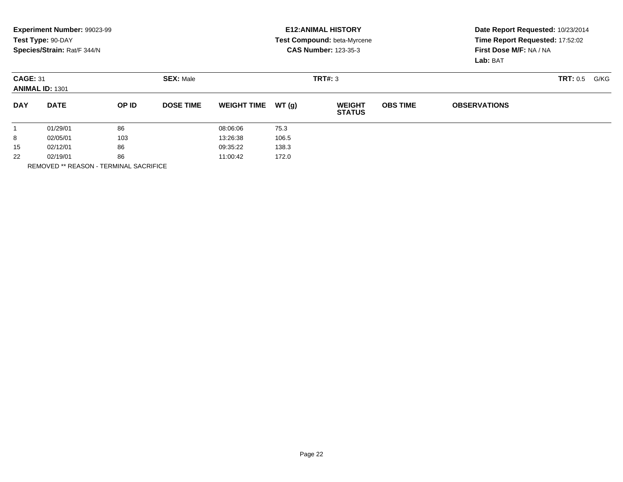|            | Experiment Number: 99023-99               |       |                  |                    |         | <b>E12: ANIMAL HISTORY</b>         |                 | Date Report Requested: 10/23/2014<br>Time Report Requested: 17:52:02 |          |      |  |
|------------|-------------------------------------------|-------|------------------|--------------------|---------|------------------------------------|-----------------|----------------------------------------------------------------------|----------|------|--|
|            | Test Type: 90-DAY                         |       |                  |                    |         | <b>Test Compound: beta-Myrcene</b> |                 |                                                                      |          |      |  |
|            | Species/Strain: Rat/F 344/N               |       |                  |                    |         | <b>CAS Number: 123-35-3</b>        |                 | First Dose M/F: NA / NA                                              |          |      |  |
|            |                                           |       |                  |                    |         |                                    |                 | Lab: BAT                                                             |          |      |  |
|            | <b>CAGE: 31</b><br><b>ANIMAL ID: 1301</b> |       | <b>SEX: Male</b> |                    | TRT#: 3 |                                    |                 |                                                                      | TRT: 0.5 | G/KG |  |
| <b>DAY</b> | <b>DATE</b>                               | OP ID | <b>DOSE TIME</b> | <b>WEIGHT TIME</b> | WT(q)   | <b>WEIGHT</b><br><b>STATUS</b>     | <b>OBS TIME</b> | <b>OBSERVATIONS</b>                                                  |          |      |  |
|            | 01/29/01                                  | 86    |                  | 08:06:06           | 75.3    |                                    |                 |                                                                      |          |      |  |
| 8          | 02/05/01                                  | 103   |                  | 13:26:38           | 106.5   |                                    |                 |                                                                      |          |      |  |
| 15         | 02/12/01                                  | 86    |                  | 09:35:22           | 138.3   |                                    |                 |                                                                      |          |      |  |
| 22         | 02/19/01                                  | 86    |                  | 11:00:42           | 172.0   |                                    |                 |                                                                      |          |      |  |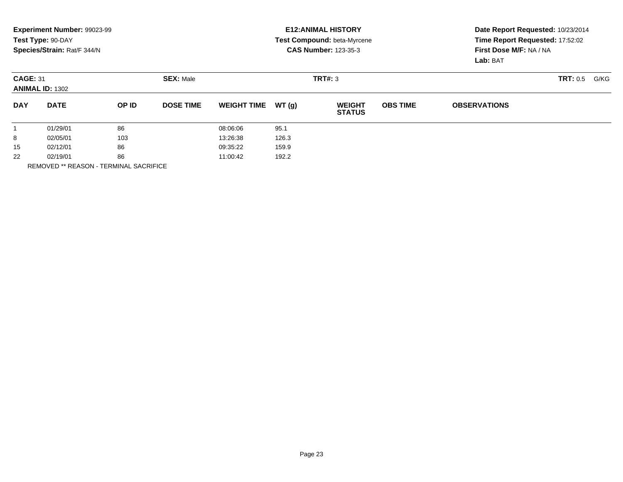|                 | Experiment Number: 99023-99 |       |                  |                    |       | <b>E12: ANIMAL HISTORY</b>     | Date Report Requested: 10/23/2014<br>Time Report Requested: 17:52:02 |                         |      |  |
|-----------------|-----------------------------|-------|------------------|--------------------|-------|--------------------------------|----------------------------------------------------------------------|-------------------------|------|--|
|                 | Test Type: 90-DAY           |       |                  |                    |       | Test Compound: beta-Myrcene    |                                                                      |                         |      |  |
|                 | Species/Strain: Rat/F 344/N |       |                  |                    |       | <b>CAS Number: 123-35-3</b>    |                                                                      | First Dose M/F: NA / NA |      |  |
|                 |                             |       |                  |                    |       |                                |                                                                      | Lab: BAT                |      |  |
| <b>CAGE: 31</b> | <b>SEX: Male</b>            |       |                  |                    |       | TRT#: 3                        |                                                                      | <b>TRT: 0.5</b>         | G/KG |  |
|                 | <b>ANIMAL ID: 1302</b>      |       |                  |                    |       |                                |                                                                      |                         |      |  |
| <b>DAY</b>      | <b>DATE</b>                 | OP ID | <b>DOSE TIME</b> | <b>WEIGHT TIME</b> | WT(q) | <b>WEIGHT</b><br><b>STATUS</b> | <b>OBS TIME</b>                                                      | <b>OBSERVATIONS</b>     |      |  |
|                 | 01/29/01                    | 86    |                  | 08:06:06           | 95.1  |                                |                                                                      |                         |      |  |
| 8               | 02/05/01                    | 103   |                  | 13:26:38           | 126.3 |                                |                                                                      |                         |      |  |
| 15              | 02/12/01                    | 86    |                  | 09:35:22           | 159.9 |                                |                                                                      |                         |      |  |
| 22              | 02/19/01                    | 86    |                  | 11:00:42           | 192.2 |                                |                                                                      |                         |      |  |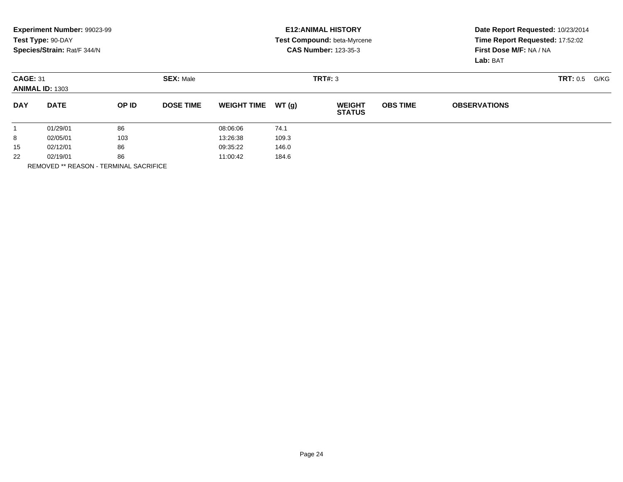|                 | Experiment Number: 99023-99                |       |                   |                    |       | <b>E12: ANIMAL HISTORY</b>     | Date Report Requested: 10/23/2014 |                                 |  |  |
|-----------------|--------------------------------------------|-------|-------------------|--------------------|-------|--------------------------------|-----------------------------------|---------------------------------|--|--|
|                 | Test Type: 90-DAY                          |       |                   |                    |       | Test Compound: beta-Myrcene    |                                   | Time Report Requested: 17:52:02 |  |  |
|                 | Species/Strain: Rat/F 344/N                |       |                   |                    |       | <b>CAS Number: 123-35-3</b>    | First Dose M/F: NA / NA           |                                 |  |  |
|                 |                                            |       |                   |                    |       |                                |                                   | Lab: BAT                        |  |  |
| <b>CAGE: 31</b> | <b>SEX: Male</b><br><b>ANIMAL ID: 1303</b> |       |                   |                    |       | TRT#: 3                        |                                   | TRT: 0.5<br>G/KG                |  |  |
|                 |                                            |       |                   |                    |       |                                |                                   |                                 |  |  |
| <b>DAY</b>      | <b>DATE</b>                                | OP ID | <b>DOSE TIME</b>  | <b>WEIGHT TIME</b> | WT(q) | <b>WEIGHT</b><br><b>STATUS</b> | <b>OBS TIME</b>                   | <b>OBSERVATIONS</b>             |  |  |
|                 | 01/29/01                                   | 86    |                   | 08:06:06           | 74.1  |                                |                                   |                                 |  |  |
| 8               | 02/05/01                                   | 103   |                   | 13:26:38           | 109.3 |                                |                                   |                                 |  |  |
| 15              | 86<br>02/12/01                             |       | 09:35:22<br>146.0 |                    |       |                                |                                   |                                 |  |  |
| 22              | 02/19/01                                   | 86    |                   | 11:00:42           | 184.6 |                                |                                   |                                 |  |  |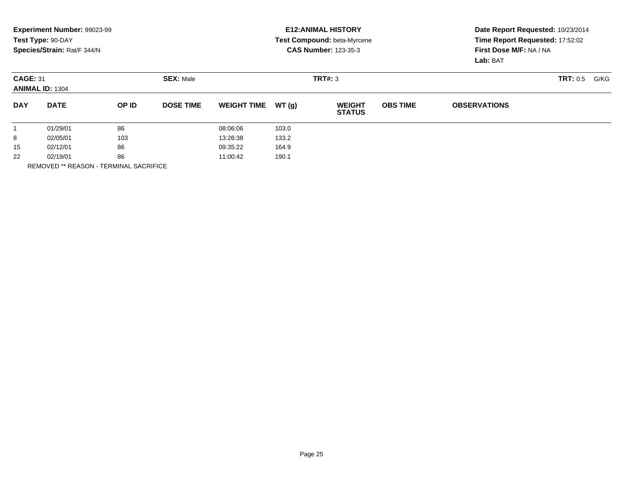|            | Experiment Number: 99023-99 |       |                  |                    |       | <b>E12: ANIMAL HISTORY</b>     | Date Report Requested: 10/23/2014 |                                     |          |      |
|------------|-----------------------------|-------|------------------|--------------------|-------|--------------------------------|-----------------------------------|-------------------------------------|----------|------|
|            | Test Type: 90-DAY           |       |                  |                    |       | Test Compound: beta-Myrcene    | Time Report Requested: 17:52:02   |                                     |          |      |
|            | Species/Strain: Rat/F 344/N |       |                  |                    |       | <b>CAS Number: 123-35-3</b>    |                                   | First Dose M/F: NA / NA<br>Lab: BAT |          |      |
|            |                             |       |                  |                    |       |                                |                                   |                                     |          |      |
|            | <b>CAGE: 31</b>             |       | <b>SEX: Male</b> |                    |       | TRT#: 3                        |                                   |                                     | TRT: 0.5 | G/KG |
|            | <b>ANIMAL ID: 1304</b>      |       |                  |                    |       |                                |                                   |                                     |          |      |
| <b>DAY</b> | <b>DATE</b>                 | OP ID | <b>DOSE TIME</b> | <b>WEIGHT TIME</b> | WT(q) | <b>WEIGHT</b><br><b>STATUS</b> | <b>OBS TIME</b>                   | <b>OBSERVATIONS</b>                 |          |      |
|            | 01/29/01                    | 86    |                  | 08:06:06           | 103.0 |                                |                                   |                                     |          |      |
| 8          | 02/05/01                    | 103   |                  | 13:26:38           | 133.2 |                                |                                   |                                     |          |      |
| 15         | 02/12/01                    | 86    |                  | 09:35:22           | 164.9 |                                |                                   |                                     |          |      |
| 22         | 02/19/01                    | 86    |                  | 11:00:42           | 190.1 |                                |                                   |                                     |          |      |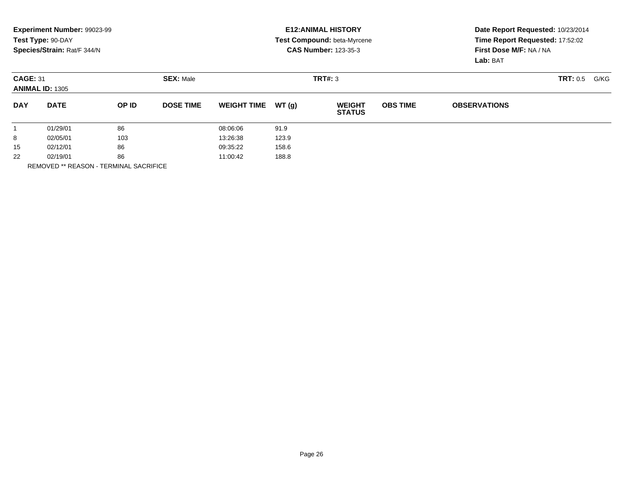|                                           | Experiment Number: 99023-99 |       |                  |                    |       | <b>E12: ANIMAL HISTORY</b>     | Date Report Requested: 10/23/2014 |                         |                 |      |
|-------------------------------------------|-----------------------------|-------|------------------|--------------------|-------|--------------------------------|-----------------------------------|-------------------------|-----------------|------|
|                                           | Test Type: 90-DAY           |       |                  |                    |       | Test Compound: beta-Myrcene    | Time Report Requested: 17:52:02   |                         |                 |      |
|                                           | Species/Strain: Rat/F 344/N |       |                  |                    |       | <b>CAS Number: 123-35-3</b>    |                                   | First Dose M/F: NA / NA |                 |      |
|                                           |                             |       |                  |                    |       |                                |                                   | Lab: BAT                |                 |      |
| <b>CAGE: 31</b><br><b>ANIMAL ID: 1305</b> |                             |       | <b>SEX: Male</b> |                    |       | TRT#: 3                        |                                   |                         | <b>TRT: 0.5</b> | G/KG |
|                                           |                             |       |                  |                    |       |                                |                                   |                         |                 |      |
| <b>DAY</b>                                | <b>DATE</b>                 | OP ID | <b>DOSE TIME</b> | <b>WEIGHT TIME</b> | WT(q) | <b>WEIGHT</b><br><b>STATUS</b> | <b>OBS TIME</b>                   | <b>OBSERVATIONS</b>     |                 |      |
|                                           | 01/29/01                    | 86    |                  | 08:06:06           | 91.9  |                                |                                   |                         |                 |      |
| 8                                         | 02/05/01                    | 103   |                  | 13:26:38           | 123.9 |                                |                                   |                         |                 |      |
| 15                                        | 02/12/01                    | 86    |                  | 09:35:22           | 158.6 |                                |                                   |                         |                 |      |
| 22                                        | 02/19/01                    | 86    |                  | 11:00:42           | 188.8 |                                |                                   |                         |                 |      |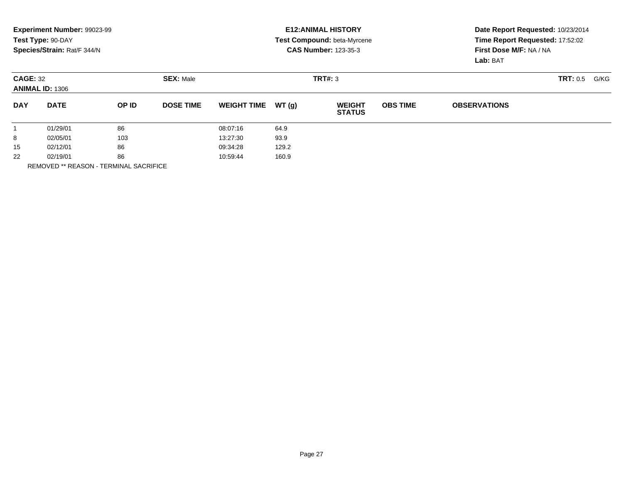|            | Experiment Number: 99023-99               |       |                  |                    |       | <b>E12: ANIMAL HISTORY</b>     | Date Report Requested: 10/23/2014 |                         |          |      |
|------------|-------------------------------------------|-------|------------------|--------------------|-------|--------------------------------|-----------------------------------|-------------------------|----------|------|
|            | Test Type: 90-DAY                         |       |                  |                    |       | Test Compound: beta-Myrcene    | Time Report Requested: 17:52:02   |                         |          |      |
|            | Species/Strain: Rat/F 344/N               |       |                  |                    |       | <b>CAS Number: 123-35-3</b>    |                                   | First Dose M/F: NA / NA |          |      |
|            |                                           |       |                  |                    |       |                                |                                   | Lab: BAT                |          |      |
|            | <b>CAGE: 32</b><br><b>ANIMAL ID: 1306</b> |       | <b>SEX: Male</b> |                    |       | TRT#: 3                        |                                   |                         | TRT: 0.5 | G/KG |
|            |                                           |       |                  |                    |       |                                |                                   |                         |          |      |
| <b>DAY</b> | <b>DATE</b>                               | OP ID | <b>DOSE TIME</b> | <b>WEIGHT TIME</b> | WT(q) | <b>WEIGHT</b><br><b>STATUS</b> | <b>OBS TIME</b>                   | <b>OBSERVATIONS</b>     |          |      |
|            | 01/29/01                                  | 86    |                  | 08:07:16           | 64.9  |                                |                                   |                         |          |      |
| 8          | 02/05/01                                  | 103   |                  | 13:27:30           | 93.9  |                                |                                   |                         |          |      |
| 15         | 02/12/01                                  | 86    |                  | 09:34:28           | 129.2 |                                |                                   |                         |          |      |
| 22         | 02/19/01                                  | 86    |                  | 10:59:44           | 160.9 |                                |                                   |                         |          |      |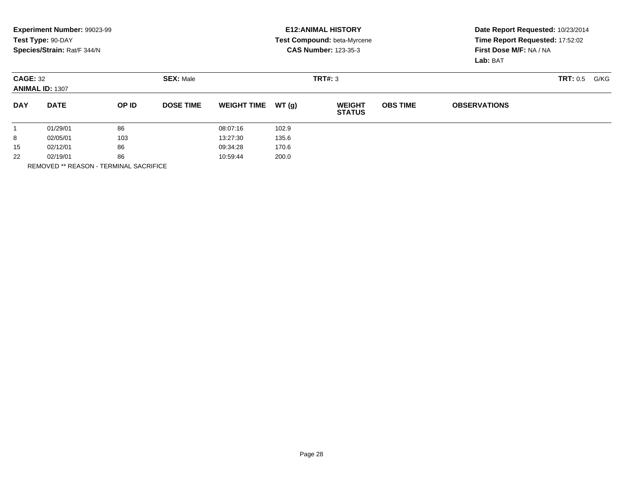|                                           | Experiment Number: 99023-99<br>Test Type: 90-DAY |       |                  |                    |       | <b>E12: ANIMAL HISTORY</b><br>Test Compound: beta-Myrcene | Date Report Requested: 10/23/2014<br>Time Report Requested: 17:52:02 |                                     |                         |  |
|-------------------------------------------|--------------------------------------------------|-------|------------------|--------------------|-------|-----------------------------------------------------------|----------------------------------------------------------------------|-------------------------------------|-------------------------|--|
|                                           | Species/Strain: Rat/F 344/N                      |       |                  |                    |       | <b>CAS Number: 123-35-3</b>                               |                                                                      | First Dose M/F: NA / NA<br>Lab: BAT |                         |  |
| <b>CAGE: 32</b><br><b>ANIMAL ID: 1307</b> |                                                  |       | <b>SEX: Male</b> |                    |       | TRT#: 3                                                   |                                                                      |                                     | <b>TRT: 0.5</b><br>G/KG |  |
| <b>DAY</b>                                | <b>DATE</b>                                      | OP ID | <b>DOSE TIME</b> | <b>WEIGHT TIME</b> | WT(q) | <b>WEIGHT</b><br><b>STATUS</b>                            | <b>OBS TIME</b>                                                      | <b>OBSERVATIONS</b>                 |                         |  |
|                                           | 01/29/01                                         | 86    |                  | 08:07:16           | 102.9 |                                                           |                                                                      |                                     |                         |  |
| 8                                         | 02/05/01                                         | 103   |                  | 13:27:30           | 135.6 |                                                           |                                                                      |                                     |                         |  |
| 15                                        | 02/12/01                                         | 86    |                  | 09:34:28           | 170.6 |                                                           |                                                                      |                                     |                         |  |
| 22                                        | 02/19/01                                         | 86    |                  | 10:59:44           | 200.0 |                                                           |                                                                      |                                     |                         |  |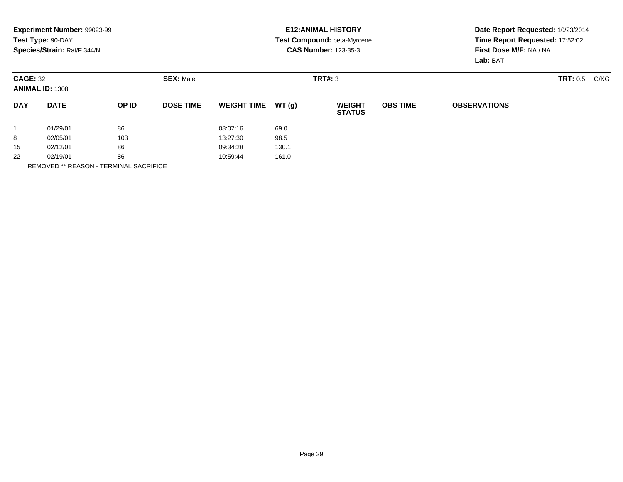|                 | Experiment Number: 99023-99 |       |                  |                    |       | <b>E12: ANIMAL HISTORY</b>     |                                 | Date Report Requested: 10/23/2014 |                  |  |
|-----------------|-----------------------------|-------|------------------|--------------------|-------|--------------------------------|---------------------------------|-----------------------------------|------------------|--|
|                 | Test Type: 90-DAY           |       |                  |                    |       | Test Compound: beta-Myrcene    | Time Report Requested: 17:52:02 |                                   |                  |  |
|                 | Species/Strain: Rat/F 344/N |       |                  |                    |       | <b>CAS Number: 123-35-3</b>    |                                 | First Dose M/F: NA / NA           |                  |  |
|                 |                             |       |                  |                    |       |                                |                                 | Lab: BAT                          |                  |  |
| <b>CAGE: 32</b> |                             |       | <b>SEX: Male</b> |                    |       | TRT#: 3                        |                                 |                                   | TRT: 0.5<br>G/KG |  |
|                 | <b>ANIMAL ID: 1308</b>      |       |                  |                    |       |                                |                                 |                                   |                  |  |
| <b>DAY</b>      | <b>DATE</b>                 | OP ID | <b>DOSE TIME</b> | <b>WEIGHT TIME</b> | WT(q) | <b>WEIGHT</b><br><b>STATUS</b> | <b>OBS TIME</b>                 | <b>OBSERVATIONS</b>               |                  |  |
|                 | 01/29/01                    | 86    |                  | 08:07:16           | 69.0  |                                |                                 |                                   |                  |  |
| 8               | 02/05/01                    | 103   |                  | 13:27:30           | 98.5  |                                |                                 |                                   |                  |  |
| 15              | 02/12/01                    | 86    |                  | 09:34:28           | 130.1 |                                |                                 |                                   |                  |  |
| 22              | 02/19/01                    | 86    |                  | 10:59:44           | 161.0 |                                |                                 |                                   |                  |  |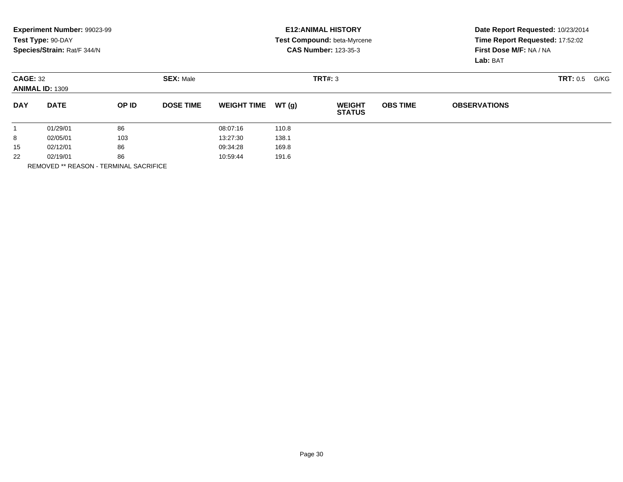|                                           | Experiment Number: 99023-99<br>Test Type: 90-DAY |       |                  |                    |       | <b>E12: ANIMAL HISTORY</b><br>Test Compound: beta-Myrcene | Date Report Requested: 10/23/2014<br>Time Report Requested: 17:52:02 |                                     |                         |  |
|-------------------------------------------|--------------------------------------------------|-------|------------------|--------------------|-------|-----------------------------------------------------------|----------------------------------------------------------------------|-------------------------------------|-------------------------|--|
|                                           | Species/Strain: Rat/F 344/N                      |       |                  |                    |       | <b>CAS Number: 123-35-3</b>                               |                                                                      | First Dose M/F: NA / NA<br>Lab: BAT |                         |  |
| <b>CAGE: 32</b><br><b>ANIMAL ID: 1309</b> |                                                  |       | <b>SEX: Male</b> |                    |       | TRT#: 3                                                   |                                                                      |                                     | <b>TRT: 0.5</b><br>G/KG |  |
| <b>DAY</b>                                | <b>DATE</b>                                      | OP ID | <b>DOSE TIME</b> | <b>WEIGHT TIME</b> | WT(q) | <b>WEIGHT</b><br><b>STATUS</b>                            | <b>OBS TIME</b>                                                      | <b>OBSERVATIONS</b>                 |                         |  |
|                                           | 01/29/01                                         | 86    |                  | 08:07:16           | 110.8 |                                                           |                                                                      |                                     |                         |  |
| 8                                         | 02/05/01                                         | 103   |                  | 13:27:30           | 138.1 |                                                           |                                                                      |                                     |                         |  |
| 15                                        | 02/12/01                                         | 86    |                  | 09:34:28           | 169.8 |                                                           |                                                                      |                                     |                         |  |
| 22                                        | 02/19/01                                         | 86    |                  | 10:59:44           | 191.6 |                                                           |                                                                      |                                     |                         |  |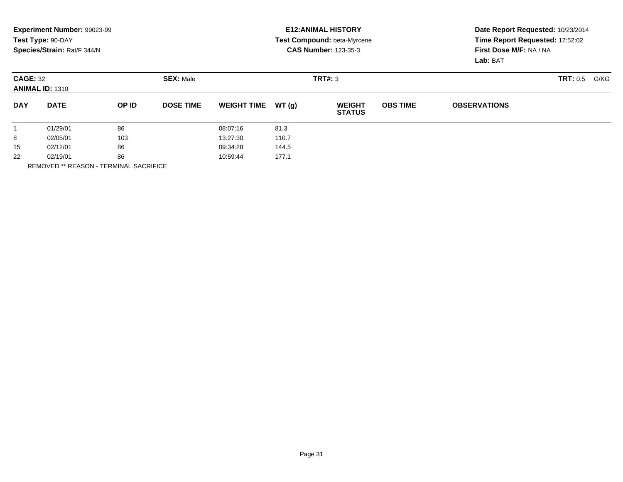|                 | Experiment Number: 99023-99<br>Test Type: 90-DAY |       |                  |                    |        | <b>E12: ANIMAL HISTORY</b><br><b>Test Compound: beta-Myrcene</b> | Date Report Requested: 10/23/2014<br>Time Report Requested: 17:52:02 |                                     |          |      |
|-----------------|--------------------------------------------------|-------|------------------|--------------------|--------|------------------------------------------------------------------|----------------------------------------------------------------------|-------------------------------------|----------|------|
|                 | Species/Strain: Rat/F 344/N                      |       |                  |                    |        | <b>CAS Number: 123-35-3</b>                                      |                                                                      | First Dose M/F: NA / NA<br>Lab: BAT |          |      |
| <b>CAGE: 32</b> | <b>ANIMAL ID: 1310</b>                           |       | <b>SEX: Male</b> |                    |        | TRT#: 3                                                          |                                                                      |                                     | TRT: 0.5 | G/KG |
| <b>DAY</b>      | <b>DATE</b>                                      | OP ID | <b>DOSE TIME</b> | <b>WEIGHT TIME</b> | WT (g) | <b>WEIGHT</b><br><b>STATUS</b>                                   | <b>OBS TIME</b>                                                      | <b>OBSERVATIONS</b>                 |          |      |
|                 | 01/29/01                                         | 86    |                  | 08:07:16           | 81.3   |                                                                  |                                                                      |                                     |          |      |
| 8               | 02/05/01                                         | 103   |                  | 13:27:30           | 110.7  |                                                                  |                                                                      |                                     |          |      |
| 15              | 02/12/01                                         | 86    |                  | 09:34:28           | 144.5  |                                                                  |                                                                      |                                     |          |      |
| 22              | 02/19/01                                         | 86    |                  | 10:59:44           | 177.1  |                                                                  |                                                                      |                                     |          |      |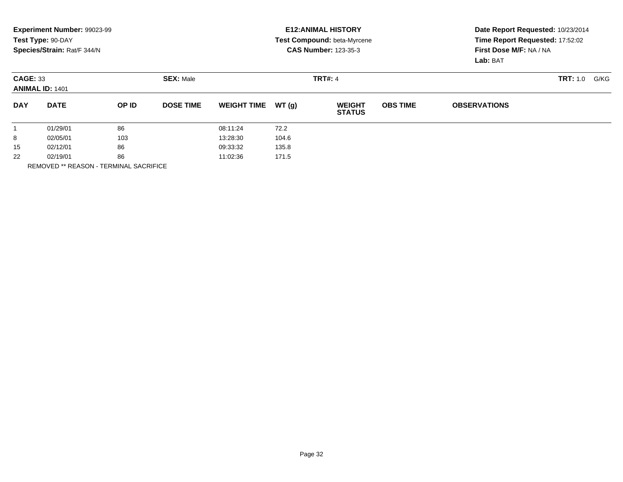|                 | Experiment Number: 99023-99<br>Test Type: 90-DAY<br>Species/Strain: Rat/F 344/N |       |                  |                    |        | <b>E12: ANIMAL HISTORY</b><br><b>Test Compound: beta-Myrcene</b><br><b>CAS Number: 123-35-3</b> |                 | Date Report Requested: 10/23/2014<br>Time Report Requested: 17:52:02<br>First Dose M/F: NA / NA<br>Lab: BAT |                  |  |
|-----------------|---------------------------------------------------------------------------------|-------|------------------|--------------------|--------|-------------------------------------------------------------------------------------------------|-----------------|-------------------------------------------------------------------------------------------------------------|------------------|--|
| <b>CAGE: 33</b> | <b>ANIMAL ID: 1401</b>                                                          |       | <b>SEX: Male</b> |                    |        | <b>TRT#: 4</b>                                                                                  |                 |                                                                                                             | TRT: 1.0<br>G/KG |  |
| <b>DAY</b>      | <b>DATE</b>                                                                     | OP ID | <b>DOSE TIME</b> | <b>WEIGHT TIME</b> | WT (g) | <b>WEIGHT</b><br><b>STATUS</b>                                                                  | <b>OBS TIME</b> | <b>OBSERVATIONS</b>                                                                                         |                  |  |
|                 | 01/29/01                                                                        | 86    |                  | 08:11:24           | 72.2   |                                                                                                 |                 |                                                                                                             |                  |  |
| 8               | 02/05/01                                                                        | 103   |                  | 13:28:30           | 104.6  |                                                                                                 |                 |                                                                                                             |                  |  |
| 15              | 02/12/01                                                                        | 86    |                  | 09:33:32           | 135.8  |                                                                                                 |                 |                                                                                                             |                  |  |
| 22              | 02/19/01                                                                        | 86    |                  | 11:02:36           | 171.5  |                                                                                                 |                 |                                                                                                             |                  |  |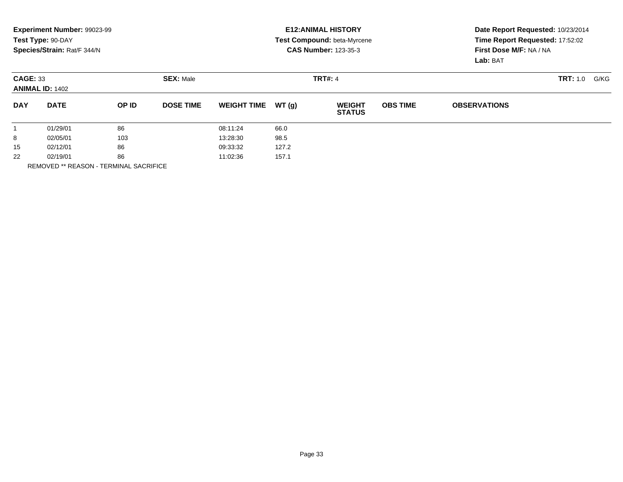|                 | Experiment Number: 99023-99 |       |                  |                    |       | <b>E12: ANIMAL HISTORY</b>     |                                 | Date Report Requested: 10/23/2014 |                         |  |
|-----------------|-----------------------------|-------|------------------|--------------------|-------|--------------------------------|---------------------------------|-----------------------------------|-------------------------|--|
|                 | Test Type: 90-DAY           |       |                  |                    |       | Test Compound: beta-Myrcene    | Time Report Requested: 17:52:02 |                                   |                         |  |
|                 | Species/Strain: Rat/F 344/N |       |                  |                    |       | <b>CAS Number: 123-35-3</b>    |                                 | First Dose M/F: NA / NA           |                         |  |
|                 |                             |       |                  |                    |       |                                |                                 | Lab: BAT                          |                         |  |
| <b>CAGE: 33</b> |                             |       | <b>SEX: Male</b> |                    |       | <b>TRT#: 4</b>                 |                                 |                                   | <b>TRT:</b> 1.0<br>G/KG |  |
|                 | <b>ANIMAL ID: 1402</b>      |       |                  |                    |       |                                |                                 |                                   |                         |  |
| <b>DAY</b>      | <b>DATE</b>                 | OP ID | <b>DOSE TIME</b> | <b>WEIGHT TIME</b> | WT(q) | <b>WEIGHT</b><br><b>STATUS</b> | <b>OBS TIME</b>                 | <b>OBSERVATIONS</b>               |                         |  |
|                 | 01/29/01                    | 86    |                  | 08:11:24           | 66.0  |                                |                                 |                                   |                         |  |
| 8               | 02/05/01                    | 103   |                  | 13:28:30           | 98.5  |                                |                                 |                                   |                         |  |
| 15              | 02/12/01                    | 86    |                  | 09:33:32           | 127.2 |                                |                                 |                                   |                         |  |
| 22              | 02/19/01                    | 86    |                  | 11:02:36           | 157.1 |                                |                                 |                                   |                         |  |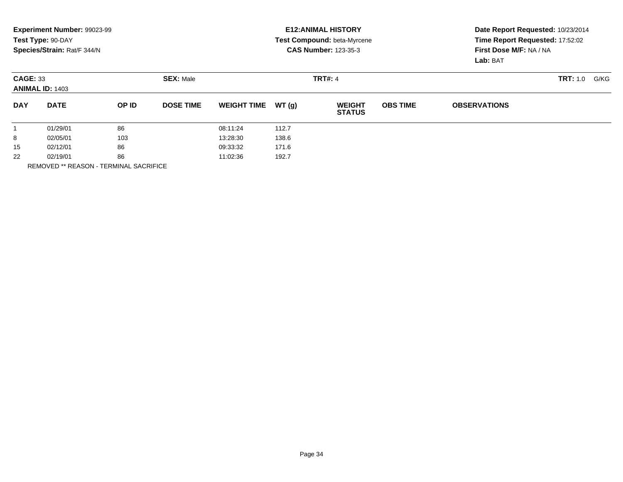|                 | Experiment Number: 99023-99<br>Test Type: 90-DAY<br>Species/Strain: Rat/F 344/N |       |                  |                    |       | <b>E12: ANIMAL HISTORY</b><br>Test Compound: beta-Myrcene<br><b>CAS Number: 123-35-3</b> | Date Report Requested: 10/23/2014<br>Time Report Requested: 17:52:02<br>First Dose M/F: NA / NA<br>Lab: BAT |                     |                  |
|-----------------|---------------------------------------------------------------------------------|-------|------------------|--------------------|-------|------------------------------------------------------------------------------------------|-------------------------------------------------------------------------------------------------------------|---------------------|------------------|
| <b>CAGE: 33</b> | <b>ANIMAL ID: 1403</b>                                                          |       | <b>SEX: Male</b> |                    |       | <b>TRT#: 4</b>                                                                           |                                                                                                             |                     | TRT: 1.0<br>G/KG |
| <b>DAY</b>      | <b>DATE</b>                                                                     | OP ID | <b>DOSE TIME</b> | <b>WEIGHT TIME</b> | WT(q) | <b>WEIGHT</b><br><b>STATUS</b>                                                           | <b>OBS TIME</b>                                                                                             | <b>OBSERVATIONS</b> |                  |
|                 | 01/29/01                                                                        | 86    |                  | 08:11:24           | 112.7 |                                                                                          |                                                                                                             |                     |                  |
| 8               | 02/05/01                                                                        | 103   |                  | 13:28:30           | 138.6 |                                                                                          |                                                                                                             |                     |                  |
| 15              | 02/12/01                                                                        | 86    |                  | 09:33:32           | 171.6 |                                                                                          |                                                                                                             |                     |                  |
| 22              | 02/19/01                                                                        | 86    |                  | 11:02:36           | 192.7 |                                                                                          |                                                                                                             |                     |                  |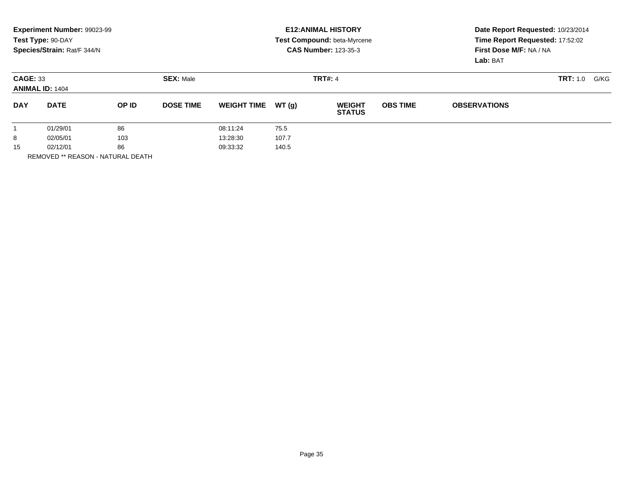|                                           | Experiment Number: 99023-99<br>Test Type: 90-DAY<br>Species/Strain: Rat/F 344/N |       |                  |                    |       | <b>E12: ANIMAL HISTORY</b><br>Test Compound: beta-Myrcene<br><b>CAS Number: 123-35-3</b> | Date Report Requested: 10/23/2014<br>Time Report Requested: 17:52:02<br>First Dose M/F: NA / NA<br>Lab: BAT |                     |                         |
|-------------------------------------------|---------------------------------------------------------------------------------|-------|------------------|--------------------|-------|------------------------------------------------------------------------------------------|-------------------------------------------------------------------------------------------------------------|---------------------|-------------------------|
| <b>CAGE: 33</b><br><b>ANIMAL ID: 1404</b> |                                                                                 |       | <b>SEX: Male</b> |                    |       | <b>TRT#: 4</b>                                                                           |                                                                                                             |                     | <b>TRT:</b> 1.0<br>G/KG |
| <b>DAY</b>                                | <b>DATE</b>                                                                     | OP ID | <b>DOSE TIME</b> | <b>WEIGHT TIME</b> | WT(q) | <b>WEIGHT</b><br><b>STATUS</b>                                                           | <b>OBS TIME</b>                                                                                             | <b>OBSERVATIONS</b> |                         |
|                                           | 01/29/01                                                                        | 86    |                  | 08:11:24           | 75.5  |                                                                                          |                                                                                                             |                     |                         |
| 8                                         | 103<br>02/05/01                                                                 |       | 13:28:30         | 107.7              |       |                                                                                          |                                                                                                             |                     |                         |
| 15                                        | 02/12/01                                                                        | 86    |                  | 09:33:32           | 140.5 |                                                                                          |                                                                                                             |                     |                         |

REMOVED \*\* REASON - NATURAL DEATH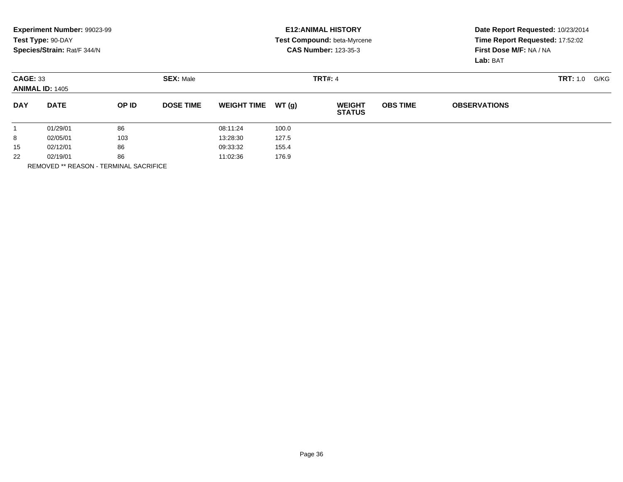|                                           | <b>Experiment Number: 99023-99</b> |       |                  |                    |       | <b>E12: ANIMAL HISTORY</b>     |                                 | Date Report Requested: 10/23/2014 |                         |  |
|-------------------------------------------|------------------------------------|-------|------------------|--------------------|-------|--------------------------------|---------------------------------|-----------------------------------|-------------------------|--|
|                                           | Test Type: 90-DAY                  |       |                  |                    |       | Test Compound: beta-Myrcene    | Time Report Requested: 17:52:02 |                                   |                         |  |
|                                           | Species/Strain: Rat/F 344/N        |       |                  |                    |       | <b>CAS Number: 123-35-3</b>    |                                 | First Dose M/F: NA / NA           |                         |  |
|                                           |                                    |       |                  |                    |       |                                |                                 | Lab: BAT                          |                         |  |
| <b>CAGE: 33</b><br><b>ANIMAL ID: 1405</b> |                                    |       | <b>SEX: Male</b> |                    |       | <b>TRT#: 4</b>                 |                                 |                                   | <b>TRT:</b> 1.0<br>G/KG |  |
|                                           |                                    |       |                  |                    |       |                                |                                 |                                   |                         |  |
| <b>DAY</b>                                | <b>DATE</b>                        | OP ID | <b>DOSE TIME</b> | <b>WEIGHT TIME</b> | WT(q) | <b>WEIGHT</b><br><b>STATUS</b> | <b>OBS TIME</b>                 | <b>OBSERVATIONS</b>               |                         |  |
|                                           | 01/29/01                           | 86    |                  | 08:11:24           | 100.0 |                                |                                 |                                   |                         |  |
| 8                                         | 02/05/01                           | 103   |                  | 13:28:30           | 127.5 |                                |                                 |                                   |                         |  |
| 15                                        | 02/12/01                           | 86    |                  | 09:33:32           | 155.4 |                                |                                 |                                   |                         |  |
| 22                                        | 02/19/01                           | 86    |                  | 11:02:36           | 176.9 |                                |                                 |                                   |                         |  |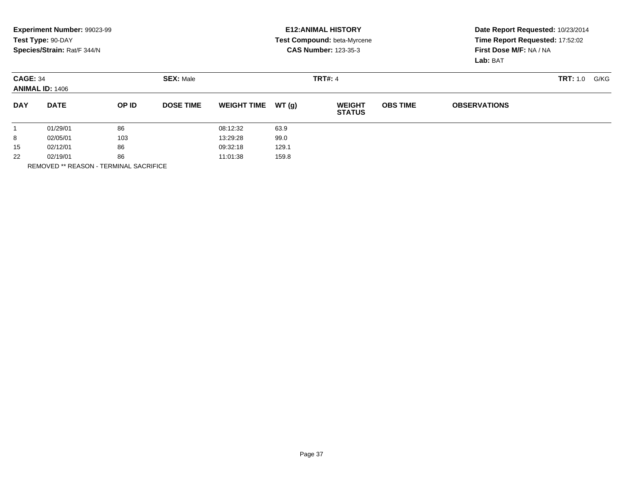|                                           | Experiment Number: 99023-99<br>Test Type: 90-DAY<br>Species/Strain: Rat/F 344/N |       |                  |                    |        | <b>E12: ANIMAL HISTORY</b><br><b>Test Compound: beta-Myrcene</b><br><b>CAS Number: 123-35-3</b> | Date Report Requested: 10/23/2014<br>Time Report Requested: 17:52:02<br>First Dose M/F: NA / NA |                     |                  |
|-------------------------------------------|---------------------------------------------------------------------------------|-------|------------------|--------------------|--------|-------------------------------------------------------------------------------------------------|-------------------------------------------------------------------------------------------------|---------------------|------------------|
|                                           |                                                                                 |       |                  |                    |        |                                                                                                 |                                                                                                 | Lab: BAT            |                  |
| <b>CAGE: 34</b><br><b>ANIMAL ID: 1406</b> |                                                                                 |       | <b>SEX: Male</b> |                    |        | <b>TRT#: 4</b>                                                                                  |                                                                                                 |                     | TRT: 1.0<br>G/KG |
| <b>DAY</b>                                | <b>DATE</b>                                                                     | OP ID | <b>DOSE TIME</b> | <b>WEIGHT TIME</b> | WT (g) | <b>WEIGHT</b><br><b>STATUS</b>                                                                  | <b>OBS TIME</b>                                                                                 | <b>OBSERVATIONS</b> |                  |
|                                           | 01/29/01                                                                        | 86    |                  | 08:12:32           | 63.9   |                                                                                                 |                                                                                                 |                     |                  |
| 8                                         | 02/05/01                                                                        | 103   |                  | 13:29:28           | 99.0   |                                                                                                 |                                                                                                 |                     |                  |
| 15                                        | 02/12/01                                                                        | 86    |                  | 09:32:18           | 129.1  |                                                                                                 |                                                                                                 |                     |                  |
| 22                                        | 02/19/01                                                                        | 86    |                  | 11:01:38           | 159.8  |                                                                                                 |                                                                                                 |                     |                  |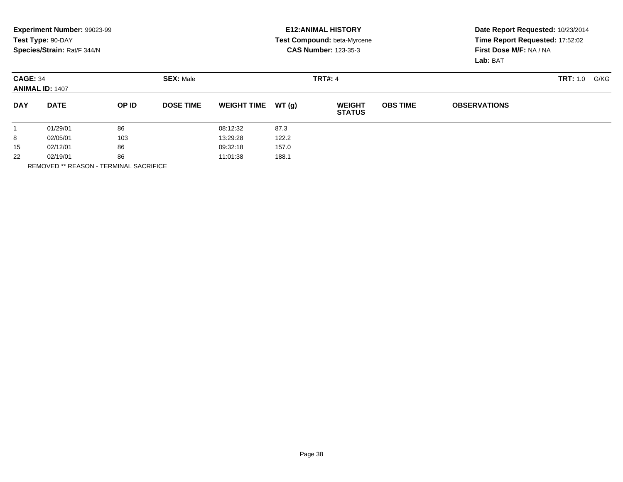|                                           | Experiment Number: 99023-99<br>Test Type: 90-DAY<br>Species/Strain: Rat/F 344/N |       |                  |                    |        | <b>E12: ANIMAL HISTORY</b><br><b>Test Compound: beta-Myrcene</b><br><b>CAS Number: 123-35-3</b> | Date Report Requested: 10/23/2014<br>Time Report Requested: 17:52:02<br>First Dose M/F: NA / NA<br>Lab: BAT |                     |                  |
|-------------------------------------------|---------------------------------------------------------------------------------|-------|------------------|--------------------|--------|-------------------------------------------------------------------------------------------------|-------------------------------------------------------------------------------------------------------------|---------------------|------------------|
| <b>CAGE: 34</b><br><b>ANIMAL ID: 1407</b> |                                                                                 |       | <b>SEX: Male</b> |                    |        | <b>TRT#: 4</b>                                                                                  |                                                                                                             |                     | TRT: 1.0<br>G/KG |
| <b>DAY</b>                                | <b>DATE</b>                                                                     | OP ID | <b>DOSE TIME</b> | <b>WEIGHT TIME</b> | WT (g) | <b>WEIGHT</b><br><b>STATUS</b>                                                                  | <b>OBS TIME</b>                                                                                             | <b>OBSERVATIONS</b> |                  |
|                                           | 01/29/01                                                                        | 86    |                  | 08:12:32           | 87.3   |                                                                                                 |                                                                                                             |                     |                  |
| 8                                         | 02/05/01                                                                        | 103   |                  | 13:29:28           | 122.2  |                                                                                                 |                                                                                                             |                     |                  |
| 15                                        | 02/12/01                                                                        | 86    |                  | 09:32:18           | 157.0  |                                                                                                 |                                                                                                             |                     |                  |
| 22                                        | 02/19/01                                                                        | 86    |                  | 11:01:38           | 188.1  |                                                                                                 |                                                                                                             |                     |                  |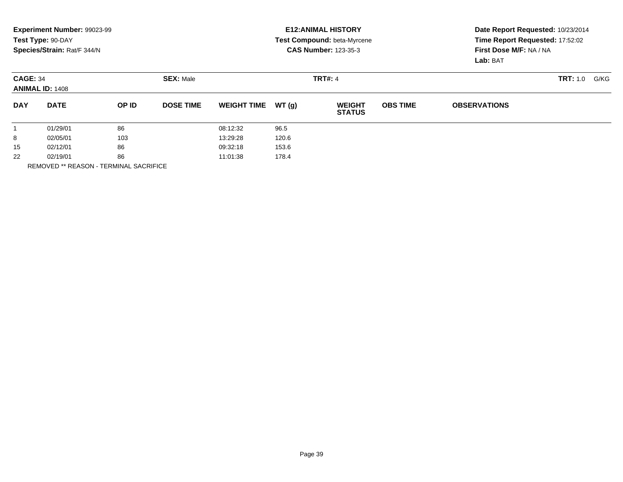|                 | Experiment Number: 99023-99 |       |                  |                    |       | <b>E12: ANIMAL HISTORY</b>         | Date Report Requested: 10/23/2014 |                         |                  |  |
|-----------------|-----------------------------|-------|------------------|--------------------|-------|------------------------------------|-----------------------------------|-------------------------|------------------|--|
|                 | Test Type: 90-DAY           |       |                  |                    |       | <b>Test Compound: beta-Myrcene</b> | Time Report Requested: 17:52:02   |                         |                  |  |
|                 | Species/Strain: Rat/F 344/N |       |                  |                    |       | <b>CAS Number: 123-35-3</b>        |                                   | First Dose M/F: NA / NA |                  |  |
|                 |                             |       |                  |                    |       |                                    |                                   | Lab: BAT                |                  |  |
| <b>CAGE: 34</b> | <b>ANIMAL ID: 1408</b>      |       | <b>SEX: Male</b> |                    |       | <b>TRT#: 4</b>                     |                                   |                         | TRT: 1.0<br>G/KG |  |
| <b>DAY</b>      | <b>DATE</b>                 | OP ID | <b>DOSE TIME</b> | <b>WEIGHT TIME</b> | WT(q) | <b>WEIGHT</b><br><b>STATUS</b>     | <b>OBS TIME</b>                   | <b>OBSERVATIONS</b>     |                  |  |
|                 | 01/29/01                    | 86    |                  | 08:12:32           | 96.5  |                                    |                                   |                         |                  |  |
| 8               | 02/05/01                    | 103   |                  | 13:29:28           | 120.6 |                                    |                                   |                         |                  |  |
| 15              | 02/12/01                    | 86    |                  | 09:32:18           | 153.6 |                                    |                                   |                         |                  |  |
| 22              | 02/19/01                    | 86    |                  | 11:01:38           | 178.4 |                                    |                                   |                         |                  |  |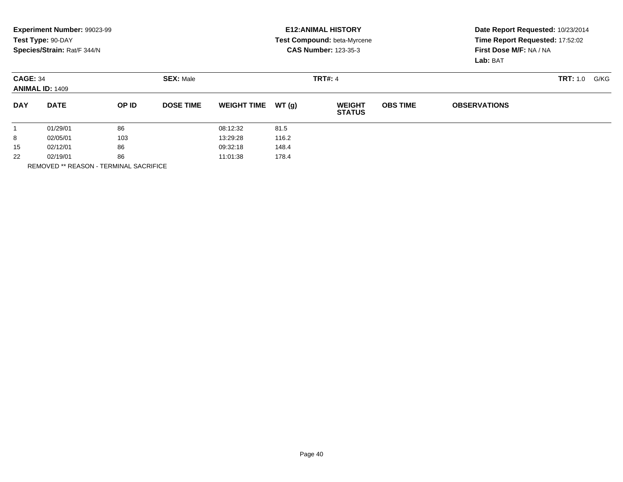|                 | Experiment Number: 99023-99<br>Test Type: 90-DAY<br>Species/Strain: Rat/F 344/N |       |                  |                    |        | <b>E12: ANIMAL HISTORY</b><br><b>Test Compound: beta-Myrcene</b><br><b>CAS Number: 123-35-3</b> | Date Report Requested: 10/23/2014<br>Time Report Requested: 17:52:02<br>First Dose M/F: NA / NA<br>Lab: BAT |                     |                  |
|-----------------|---------------------------------------------------------------------------------|-------|------------------|--------------------|--------|-------------------------------------------------------------------------------------------------|-------------------------------------------------------------------------------------------------------------|---------------------|------------------|
| <b>CAGE: 34</b> | <b>ANIMAL ID: 1409</b>                                                          |       | <b>SEX: Male</b> |                    |        | <b>TRT#: 4</b>                                                                                  |                                                                                                             |                     | TRT: 1.0<br>G/KG |
| <b>DAY</b>      | <b>DATE</b>                                                                     | OP ID | <b>DOSE TIME</b> | <b>WEIGHT TIME</b> | WT (g) | <b>WEIGHT</b><br><b>STATUS</b>                                                                  | <b>OBS TIME</b>                                                                                             | <b>OBSERVATIONS</b> |                  |
|                 | 01/29/01                                                                        | 86    |                  | 08:12:32           | 81.5   |                                                                                                 |                                                                                                             |                     |                  |
| 8               | 02/05/01                                                                        | 103   |                  | 13:29:28           | 116.2  |                                                                                                 |                                                                                                             |                     |                  |
| 15              | 02/12/01                                                                        | 86    |                  | 09:32:18           | 148.4  |                                                                                                 |                                                                                                             |                     |                  |
| 22              | 02/19/01                                                                        | 86    |                  | 11:01:38           | 178.4  |                                                                                                 |                                                                                                             |                     |                  |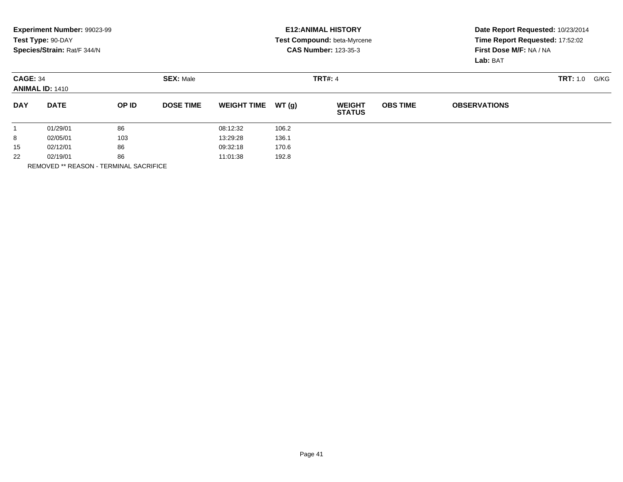|                 | Experiment Number: 99023-99<br>Test Type: 90-DAY<br>Species/Strain: Rat/F 344/N |       |                  |                    |       | <b>E12: ANIMAL HISTORY</b><br><b>Test Compound: beta-Myrcene</b><br><b>CAS Number: 123-35-3</b> | Date Report Requested: 10/23/2014<br>Time Report Requested: 17:52:02<br>First Dose M/F: NA / NA<br>Lab: BAT |                     |          |      |
|-----------------|---------------------------------------------------------------------------------|-------|------------------|--------------------|-------|-------------------------------------------------------------------------------------------------|-------------------------------------------------------------------------------------------------------------|---------------------|----------|------|
| <b>CAGE: 34</b> | <b>ANIMAL ID: 1410</b>                                                          |       | <b>SEX: Male</b> |                    |       | <b>TRT#: 4</b>                                                                                  |                                                                                                             |                     | TRT: 1.0 | G/KG |
| <b>DAY</b>      | <b>DATE</b>                                                                     | OP ID | <b>DOSE TIME</b> | <b>WEIGHT TIME</b> | WT(q) | <b>WEIGHT</b><br><b>STATUS</b>                                                                  | <b>OBS TIME</b>                                                                                             | <b>OBSERVATIONS</b> |          |      |
|                 | 01/29/01                                                                        | 86    |                  | 08:12:32           | 106.2 |                                                                                                 |                                                                                                             |                     |          |      |
| 8               | 02/05/01                                                                        | 103   |                  | 13:29:28           | 136.1 |                                                                                                 |                                                                                                             |                     |          |      |
| 15              | 02/12/01                                                                        | 86    |                  | 09:32:18           | 170.6 |                                                                                                 |                                                                                                             |                     |          |      |
| 22              | 02/19/01                                                                        | 86    |                  | 11:01:38           | 192.8 |                                                                                                 |                                                                                                             |                     |          |      |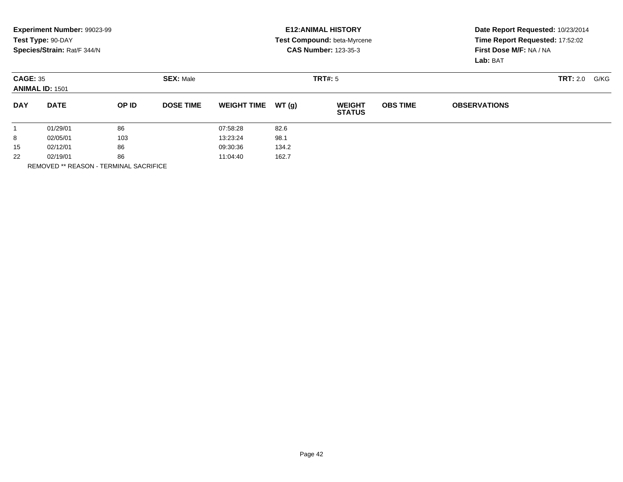|                                           | Experiment Number: 99023-99 |       |                  |                    |       | <b>E12: ANIMAL HISTORY</b>         | Date Report Requested: 10/23/2014 |                         |  |  |
|-------------------------------------------|-----------------------------|-------|------------------|--------------------|-------|------------------------------------|-----------------------------------|-------------------------|--|--|
|                                           | Test Type: 90-DAY           |       |                  |                    |       | <b>Test Compound: beta-Myrcene</b> | Time Report Requested: 17:52:02   |                         |  |  |
|                                           | Species/Strain: Rat/F 344/N |       |                  |                    |       | <b>CAS Number: 123-35-3</b>        |                                   | First Dose M/F: NA / NA |  |  |
|                                           |                             |       |                  |                    |       |                                    |                                   | Lab: BAT                |  |  |
| <b>CAGE: 35</b><br><b>ANIMAL ID: 1501</b> |                             |       | <b>SEX: Male</b> |                    |       | TRT#: 5                            |                                   | <b>TRT:</b> 2.0<br>G/KG |  |  |
| <b>DAY</b>                                | <b>DATE</b>                 | OP ID | <b>DOSE TIME</b> | <b>WEIGHT TIME</b> | WT(q) | <b>WEIGHT</b><br><b>STATUS</b>     | <b>OBS TIME</b>                   | <b>OBSERVATIONS</b>     |  |  |
|                                           | 01/29/01                    | 86    |                  | 07:58:28           | 82.6  |                                    |                                   |                         |  |  |
| 8                                         | 02/05/01                    | 103   |                  | 13:23:24           | 98.1  |                                    |                                   |                         |  |  |
| 15                                        | 02/12/01                    | 86    |                  | 09:30:36           | 134.2 |                                    |                                   |                         |  |  |
| 22                                        | 02/19/01                    | 86    |                  | 11:04:40           | 162.7 |                                    |                                   |                         |  |  |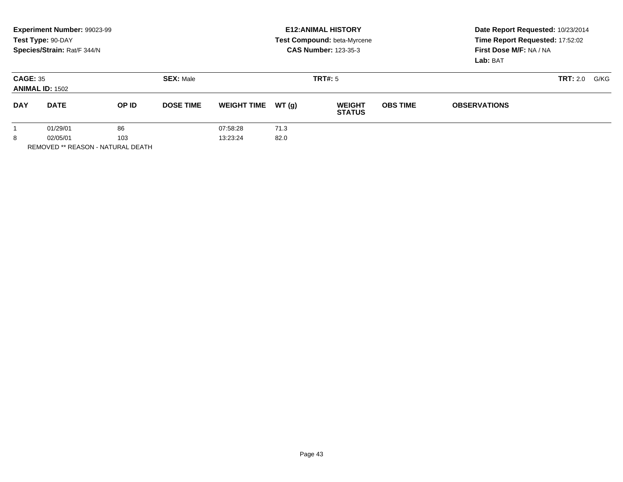|                 | Experiment Number: 99023-99<br>Test Type: 90-DAY<br>Species/Strain: Rat/F 344/N |       |                  |                    |       | <b>E12: ANIMAL HISTORY</b><br><b>Test Compound: beta-Myrcene</b><br><b>CAS Number: 123-35-3</b> | Date Report Requested: 10/23/2014<br>Time Report Requested: 17:52:02<br>First Dose M/F: NA / NA<br>Lab: BAT |                     |                         |  |
|-----------------|---------------------------------------------------------------------------------|-------|------------------|--------------------|-------|-------------------------------------------------------------------------------------------------|-------------------------------------------------------------------------------------------------------------|---------------------|-------------------------|--|
| <b>CAGE: 35</b> | <b>ANIMAL ID: 1502</b>                                                          |       | <b>SEX: Male</b> |                    |       | TRT#: 5                                                                                         |                                                                                                             |                     | <b>TRT:</b> 2.0<br>G/KG |  |
| <b>DAY</b>      | <b>DATE</b>                                                                     | OP ID | <b>DOSE TIME</b> | <b>WEIGHT TIME</b> | WT(q) | <b>WEIGHT</b><br><b>STATUS</b>                                                                  | <b>OBS TIME</b>                                                                                             | <b>OBSERVATIONS</b> |                         |  |
|                 | 86<br>01/29/01                                                                  |       | 07:58:28         | 71.3               |       |                                                                                                 |                                                                                                             |                     |                         |  |
| 8               | 103<br>02/05/01                                                                 |       |                  | 13:23:24           | 82.0  |                                                                                                 |                                                                                                             |                     |                         |  |
|                 | <b>REMOVED ** REASON - NATURAL DEATH</b>                                        |       |                  |                    |       |                                                                                                 |                                                                                                             |                     |                         |  |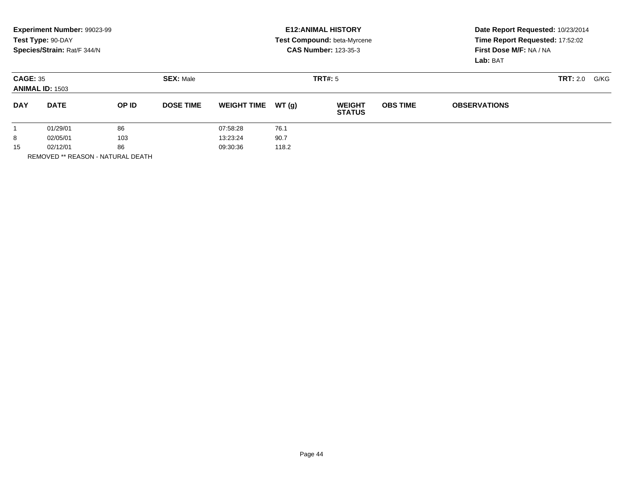|                                           | Experiment Number: 99023-99<br>Test Type: 90-DAY<br>Species/Strain: Rat/F 344/N |       |                  | <b>E12:ANIMAL HISTORY</b><br>Test Compound: beta-Myrcene<br><b>CAS Number: 123-35-3</b> |       |                                |                 | Date Report Requested: 10/23/2014<br>Time Report Requested: 17:52:02<br>First Dose M/F: NA / NA<br>Lab: BAT |  |  |
|-------------------------------------------|---------------------------------------------------------------------------------|-------|------------------|-----------------------------------------------------------------------------------------|-------|--------------------------------|-----------------|-------------------------------------------------------------------------------------------------------------|--|--|
| <b>CAGE: 35</b><br><b>ANIMAL ID: 1503</b> |                                                                                 |       | <b>SEX: Male</b> |                                                                                         |       | <b>TRT#: 5</b>                 |                 | <b>TRT:</b> 2.0<br>G/KG                                                                                     |  |  |
| <b>DAY</b>                                | <b>DATE</b>                                                                     | OP ID | <b>DOSE TIME</b> | <b>WEIGHT TIME</b>                                                                      | WT(g) | <b>WEIGHT</b><br><b>STATUS</b> | <b>OBS TIME</b> | <b>OBSERVATIONS</b>                                                                                         |  |  |
|                                           | 01/29/01                                                                        | 86    |                  | 07:58:28                                                                                | 76.1  |                                |                 |                                                                                                             |  |  |
| 8                                         | 02/05/01                                                                        | 103   |                  | 13:23:24                                                                                | 90.7  |                                |                 |                                                                                                             |  |  |
| 15                                        | 02/12/01                                                                        | 86    |                  | 09:30:36                                                                                | 118.2 |                                |                 |                                                                                                             |  |  |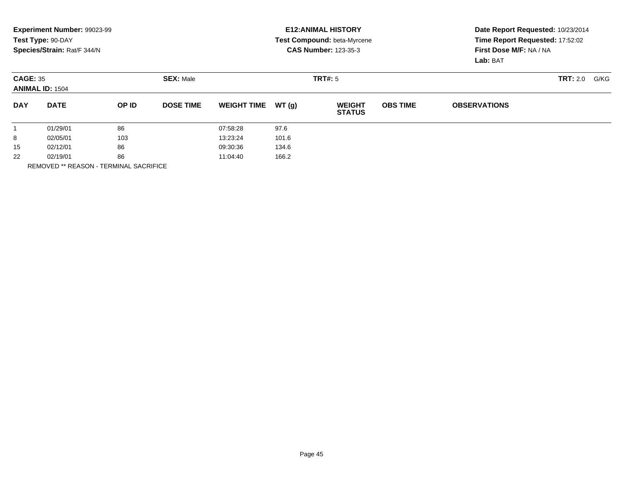|                 | Experiment Number: 99023-99<br>Test Type: 90-DAY<br>Species/Strain: Rat/F 344/N |       |                  |                    |       | <b>E12: ANIMAL HISTORY</b><br><b>Test Compound: beta-Myrcene</b><br><b>CAS Number: 123-35-3</b> | Date Report Requested: 10/23/2014<br>Time Report Requested: 17:52:02<br>First Dose M/F: NA / NA<br>Lab: BAT |                     |                 |      |
|-----------------|---------------------------------------------------------------------------------|-------|------------------|--------------------|-------|-------------------------------------------------------------------------------------------------|-------------------------------------------------------------------------------------------------------------|---------------------|-----------------|------|
| <b>CAGE: 35</b> | <b>ANIMAL ID: 1504</b>                                                          |       | <b>SEX: Male</b> |                    |       | TRT#: 5                                                                                         |                                                                                                             |                     | <b>TRT:</b> 2.0 | G/KG |
| <b>DAY</b>      | <b>DATE</b>                                                                     | OP ID | <b>DOSE TIME</b> | <b>WEIGHT TIME</b> | WT(q) | <b>WEIGHT</b><br><b>STATUS</b>                                                                  | <b>OBS TIME</b>                                                                                             | <b>OBSERVATIONS</b> |                 |      |
|                 | 01/29/01                                                                        | 86    |                  | 07:58:28           | 97.6  |                                                                                                 |                                                                                                             |                     |                 |      |
| 8               | 02/05/01                                                                        | 103   |                  | 13:23:24           | 101.6 |                                                                                                 |                                                                                                             |                     |                 |      |
| 15              | 02/12/01                                                                        | 86    |                  | 09:30:36           | 134.6 |                                                                                                 |                                                                                                             |                     |                 |      |
| 22              | 02/19/01                                                                        | 86    |                  | 11:04:40           | 166.2 |                                                                                                 |                                                                                                             |                     |                 |      |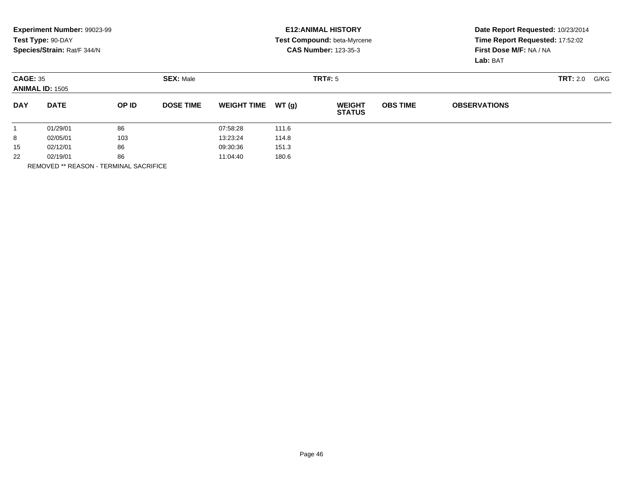|                                           | Experiment Number: 99023-99<br>Test Type: 90-DAY |       |                  |                    |       | <b>E12: ANIMAL HISTORY</b><br><b>Test Compound: beta-Myrcene</b> | Date Report Requested: 10/23/2014<br>Time Report Requested: 17:52:02 |                     |      |  |
|-------------------------------------------|--------------------------------------------------|-------|------------------|--------------------|-------|------------------------------------------------------------------|----------------------------------------------------------------------|---------------------|------|--|
|                                           | Species/Strain: Rat/F 344/N                      |       |                  |                    |       | <b>CAS Number: 123-35-3</b>                                      | First Dose M/F: NA / NA<br>Lab: BAT                                  |                     |      |  |
| <b>CAGE: 35</b><br><b>ANIMAL ID: 1505</b> |                                                  |       | <b>SEX: Male</b> |                    |       | TRT#: 5                                                          |                                                                      | <b>TRT:</b> 2.0     | G/KG |  |
| <b>DAY</b>                                | <b>DATE</b>                                      | OP ID | <b>DOSE TIME</b> | <b>WEIGHT TIME</b> | WT(q) | <b>WEIGHT</b><br><b>STATUS</b>                                   | <b>OBS TIME</b>                                                      | <b>OBSERVATIONS</b> |      |  |
|                                           | 01/29/01                                         | 86    |                  | 07:58:28           | 111.6 |                                                                  |                                                                      |                     |      |  |
| 8                                         | 02/05/01                                         | 103   |                  | 13:23:24           | 114.8 |                                                                  |                                                                      |                     |      |  |
| 15                                        | 02/12/01                                         | 86    |                  | 09:30:36           | 151.3 |                                                                  |                                                                      |                     |      |  |
| 22                                        | 02/19/01                                         | 86    |                  | 11:04:40           | 180.6 |                                                                  |                                                                      |                     |      |  |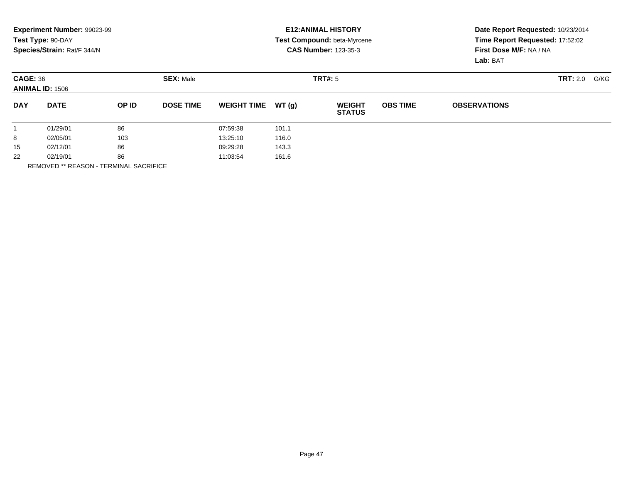|                 | Experiment Number: 99023-99 |       |                  |                    |       | <b>E12: ANIMAL HISTORY</b>         | Date Report Requested: 10/23/2014 |                         |                 |      |
|-----------------|-----------------------------|-------|------------------|--------------------|-------|------------------------------------|-----------------------------------|-------------------------|-----------------|------|
|                 | Test Type: 90-DAY           |       |                  |                    |       | <b>Test Compound: beta-Myrcene</b> | Time Report Requested: 17:52:02   |                         |                 |      |
|                 | Species/Strain: Rat/F 344/N |       |                  |                    |       | <b>CAS Number: 123-35-3</b>        |                                   | First Dose M/F: NA / NA |                 |      |
|                 |                             |       |                  |                    |       |                                    |                                   | Lab: BAT                |                 |      |
| <b>CAGE: 36</b> | <b>ANIMAL ID: 1506</b>      |       | <b>SEX: Male</b> |                    |       | TRT#: 5                            |                                   |                         | <b>TRT:</b> 2.0 | G/KG |
|                 |                             |       |                  |                    |       |                                    |                                   |                         |                 |      |
| <b>DAY</b>      | <b>DATE</b>                 | OP ID | <b>DOSE TIME</b> | <b>WEIGHT TIME</b> | WT(q) | <b>WEIGHT</b><br><b>STATUS</b>     | <b>OBS TIME</b>                   | <b>OBSERVATIONS</b>     |                 |      |
|                 | 01/29/01                    | 86    |                  | 07:59:38           | 101.1 |                                    |                                   |                         |                 |      |
| 8               | 02/05/01                    | 103   |                  | 13:25:10           | 116.0 |                                    |                                   |                         |                 |      |
| 15              | 02/12/01                    | 86    |                  | 09:29:28           | 143.3 |                                    |                                   |                         |                 |      |
| 22              | 02/19/01                    | 86    |                  | 11:03:54           | 161.6 |                                    |                                   |                         |                 |      |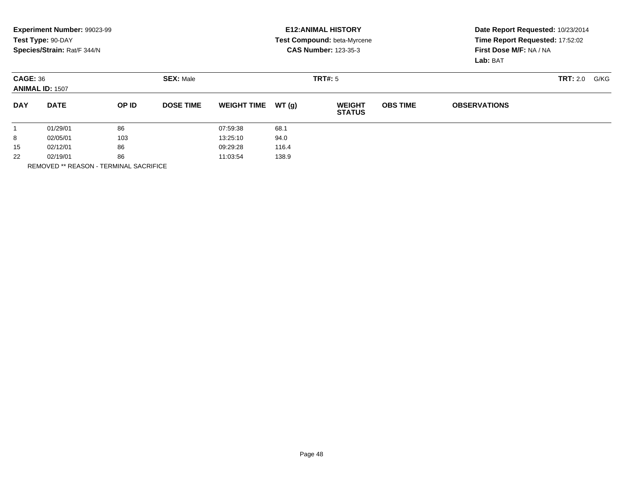|                                           | Experiment Number: 99023-99<br>Test Type: 90-DAY |       |                  |                    |       | <b>E12: ANIMAL HISTORY</b><br>Test Compound: beta-Myrcene | Date Report Requested: 10/23/2014<br>Time Report Requested: 17:52:02 |                         |  |
|-------------------------------------------|--------------------------------------------------|-------|------------------|--------------------|-------|-----------------------------------------------------------|----------------------------------------------------------------------|-------------------------|--|
|                                           | Species/Strain: Rat/F 344/N                      |       |                  |                    |       | <b>CAS Number: 123-35-3</b>                               | First Dose M/F: NA / NA<br>Lab: BAT                                  |                         |  |
| <b>CAGE: 36</b><br><b>ANIMAL ID: 1507</b> |                                                  |       | <b>SEX: Male</b> |                    |       | TRT#: 5                                                   |                                                                      | <b>TRT:</b> 2.0<br>G/KG |  |
| <b>DAY</b>                                | <b>DATE</b>                                      | OP ID | <b>DOSE TIME</b> | <b>WEIGHT TIME</b> | WT(q) | <b>WEIGHT</b><br><b>STATUS</b>                            | <b>OBS TIME</b>                                                      | <b>OBSERVATIONS</b>     |  |
|                                           | 01/29/01                                         | 86    |                  | 07:59:38           | 68.1  |                                                           |                                                                      |                         |  |
| 8                                         | 02/05/01                                         | 103   |                  | 13:25:10           | 94.0  |                                                           |                                                                      |                         |  |
| 15                                        | 02/12/01                                         | 86    |                  | 09:29:28           | 116.4 |                                                           |                                                                      |                         |  |
| 22                                        | 02/19/01                                         | 86    |                  | 11:03:54           | 138.9 |                                                           |                                                                      |                         |  |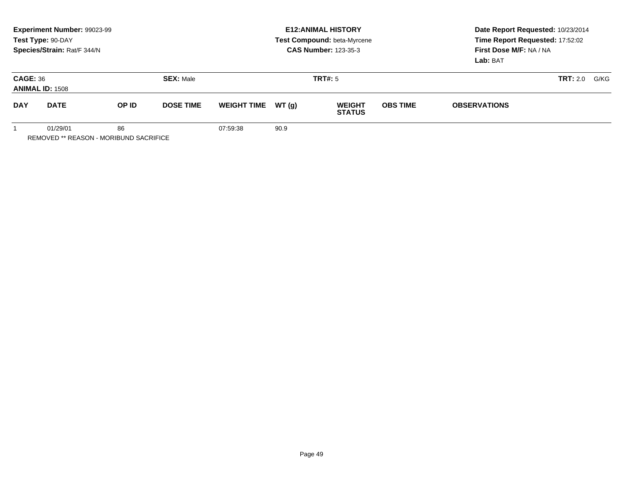|                                                          | Experiment Number: 99023-99<br>Test Type: 90-DAY<br>Species/Strain: Rat/F 344/N |       |                  | <b>E12: ANIMAL HISTORY</b><br>Test Compound: beta-Myrcene<br><b>CAS Number: 123-35-3</b> |       |                                |                 | Date Report Requested: 10/23/2014<br>Time Report Requested: 17:52:02<br>First Dose M/F: NA / NA<br>Lab: BAT |                         |  |
|----------------------------------------------------------|---------------------------------------------------------------------------------|-------|------------------|------------------------------------------------------------------------------------------|-------|--------------------------------|-----------------|-------------------------------------------------------------------------------------------------------------|-------------------------|--|
| <b>CAGE: 36</b><br><b>ANIMAL ID: 1508</b>                |                                                                                 |       | <b>SEX: Male</b> |                                                                                          |       | TRT#: 5                        |                 |                                                                                                             | <b>TRT:</b> 2.0<br>G/KG |  |
| <b>DAY</b>                                               | <b>DATE</b>                                                                     | OP ID | <b>DOSE TIME</b> | <b>WEIGHT TIME</b>                                                                       | WT(a) | <b>WEIGHT</b><br><b>STATUS</b> | <b>OBS TIME</b> | <b>OBSERVATIONS</b>                                                                                         |                         |  |
| 01/29/01<br>86<br>REMOVED ** REASON - MORIBUND SACRIFICE |                                                                                 |       | 07:59:38         | 90.9                                                                                     |       |                                |                 |                                                                                                             |                         |  |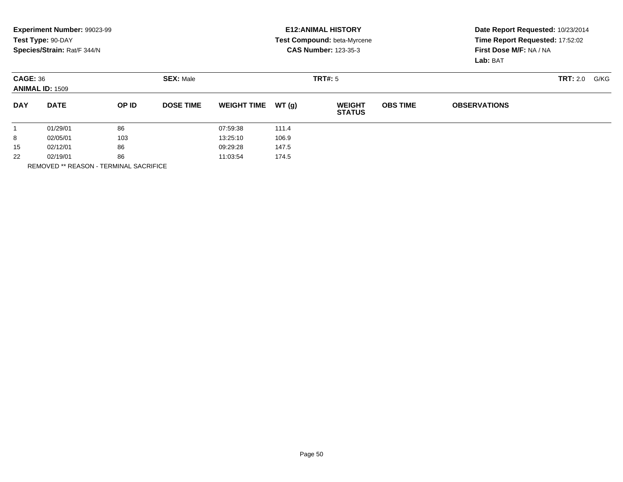|                      | Experiment Number: 99023-99<br>Test Type: 90-DAY              |                   |                   |                    |       | <b>E12: ANIMAL HISTORY</b><br>Test Compound: beta-Myrcene | Date Report Requested: 10/23/2014<br>Time Report Requested: 17:52:02 |                                     |  |  |
|----------------------|---------------------------------------------------------------|-------------------|-------------------|--------------------|-------|-----------------------------------------------------------|----------------------------------------------------------------------|-------------------------------------|--|--|
|                      | Species/Strain: Rat/F 344/N                                   |                   |                   |                    |       | <b>CAS Number: 123-35-3</b>                               |                                                                      | First Dose M/F: NA / NA<br>Lab: BAT |  |  |
|                      | <b>SEX: Male</b><br><b>CAGE: 36</b><br><b>ANIMAL ID: 1509</b> |                   |                   |                    |       | TRT#: 5                                                   |                                                                      | <b>TRT:</b> 2.0<br>G/KG             |  |  |
| <b>DAY</b>           | <b>DATE</b>                                                   | OP ID             | <b>DOSE TIME</b>  | <b>WEIGHT TIME</b> | WT(q) | <b>WEIGHT</b><br><b>STATUS</b>                            | <b>OBS TIME</b>                                                      | <b>OBSERVATIONS</b>                 |  |  |
|                      | 01/29/01                                                      | 86                |                   | 07:59:38           | 111.4 |                                                           |                                                                      |                                     |  |  |
| 8                    | 02/05/01                                                      | 103               |                   | 13:25:10           | 106.9 |                                                           |                                                                      |                                     |  |  |
| 15                   | 86<br>02/12/01                                                |                   | 09:29:28<br>147.5 |                    |       |                                                           |                                                                      |                                     |  |  |
| 22<br>02/19/01<br>86 |                                                               | 11:03:54<br>174.5 |                   |                    |       |                                                           |                                                                      |                                     |  |  |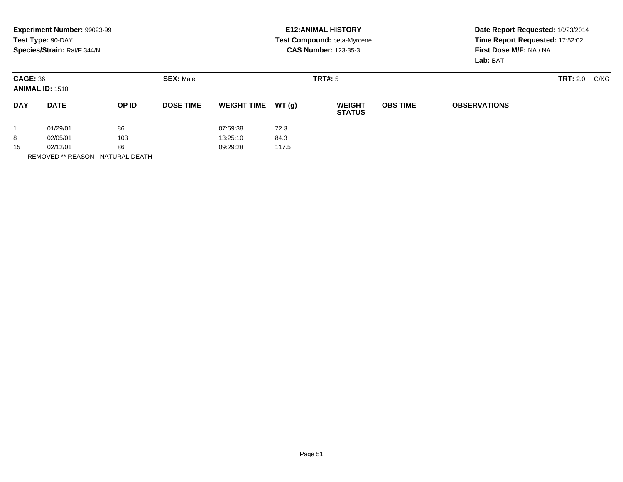|                                                                | Experiment Number: 99023-99<br>Test Type: 90-DAY<br>Species/Strain: Rat/F 344/N |       |                                                           | <b>E12: ANIMAL HISTORY</b><br><b>Test Compound: beta-Myrcene</b><br><b>CAS Number: 123-35-3</b> |       |                                |                 | Date Report Requested: 10/23/2014<br>Time Report Requested: 17:52:02<br>First Dose M/F: NA / NA<br>Lab: BAT |  |  |
|----------------------------------------------------------------|---------------------------------------------------------------------------------|-------|-----------------------------------------------------------|-------------------------------------------------------------------------------------------------|-------|--------------------------------|-----------------|-------------------------------------------------------------------------------------------------------------|--|--|
| <b>CAGE: 36</b><br><b>ANIMAL ID: 1510</b>                      |                                                                                 |       | <b>SEX: Male</b>                                          |                                                                                                 |       | <b>TRT#: 5</b>                 |                 | <b>TRT:</b> 2.0<br>G/KG                                                                                     |  |  |
| <b>DAY</b>                                                     | <b>DATE</b>                                                                     | OP ID | <b>DOSE TIME</b>                                          | <b>WEIGHT TIME</b>                                                                              | WT(q) | <b>WEIGHT</b><br><b>STATUS</b> | <b>OBS TIME</b> | <b>OBSERVATIONS</b>                                                                                         |  |  |
| 86<br>01/29/01<br>8<br>103<br>02/05/01<br>86<br>15<br>02/12/01 |                                                                                 |       | 07:59:38<br>72.3<br>84.3<br>13:25:10<br>117.5<br>09:29:28 |                                                                                                 |       |                                |                 |                                                                                                             |  |  |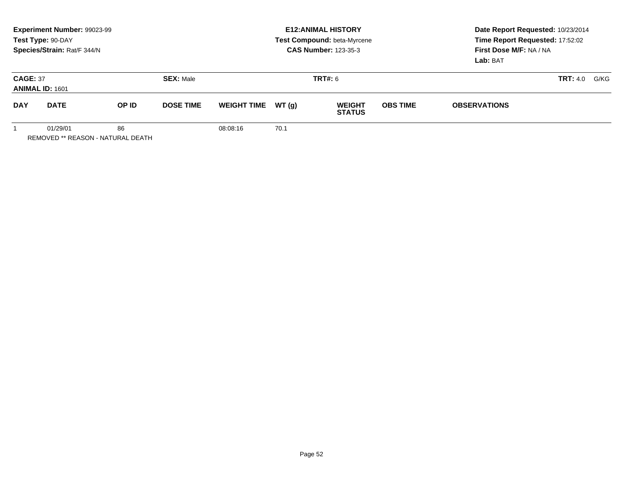|                                                            | <b>Experiment Number: 99023-99</b><br>Test Type: 90-DAY<br>Species/Strain: Rat/F 344/N |       |                  | <b>E12: ANIMAL HISTORY</b><br>Test Compound: beta-Myrcene<br><b>CAS Number: 123-35-3</b> |       |                                |                 | Date Report Requested: 10/23/2014<br>Time Report Requested: 17:52:02<br>First Dose M/F: NA / NA<br>Lab: BAT |                         |
|------------------------------------------------------------|----------------------------------------------------------------------------------------|-------|------------------|------------------------------------------------------------------------------------------|-------|--------------------------------|-----------------|-------------------------------------------------------------------------------------------------------------|-------------------------|
| <b>CAGE: 37</b><br><b>ANIMAL ID: 1601</b>                  |                                                                                        |       | <b>SEX: Male</b> |                                                                                          |       | <b>TRT#:</b> 6                 |                 |                                                                                                             | G/KG<br><b>TRT:</b> 4.0 |
| <b>DAY</b>                                                 | <b>DATE</b>                                                                            | OP ID | <b>DOSE TIME</b> | <b>WEIGHT TIME</b>                                                                       | WT(q) | <b>WEIGHT</b><br><b>STATUS</b> | <b>OBS TIME</b> | <b>OBSERVATIONS</b>                                                                                         |                         |
| 86<br>01/29/01<br><b>REMOVED ** REASON - NATURAL DEATH</b> |                                                                                        |       | 08:08:16         | 70.1                                                                                     |       |                                |                 |                                                                                                             |                         |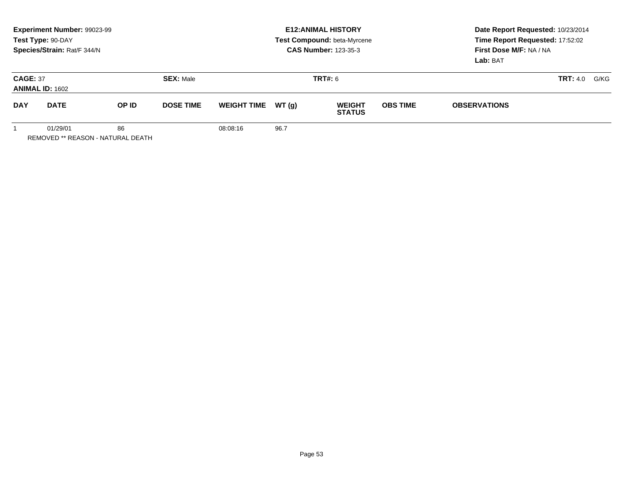|                                                     | Experiment Number: 99023-99<br>Test Type: 90-DAY<br>Species/Strain: Rat/F 344/N |       |                  | <b>E12: ANIMAL HISTORY</b><br>Test Compound: beta-Myrcene<br><b>CAS Number: 123-35-3</b> |       |                                |                 | Date Report Requested: 10/23/2014<br>Time Report Requested: 17:52:02<br>First Dose M/F: NA / NA<br>Lab: BAT |                         |
|-----------------------------------------------------|---------------------------------------------------------------------------------|-------|------------------|------------------------------------------------------------------------------------------|-------|--------------------------------|-----------------|-------------------------------------------------------------------------------------------------------------|-------------------------|
| <b>CAGE: 37</b><br><b>ANIMAL ID: 1602</b>           |                                                                                 |       | <b>SEX: Male</b> |                                                                                          |       | <b>TRT#:</b> 6                 |                 |                                                                                                             | <b>TRT:</b> 4.0<br>G/KG |
| <b>DAY</b>                                          | <b>DATE</b>                                                                     | OP ID | <b>DOSE TIME</b> | <b>WEIGHT TIME</b>                                                                       | WT(a) | <b>WEIGHT</b><br><b>STATUS</b> | <b>OBS TIME</b> | <b>OBSERVATIONS</b>                                                                                         |                         |
| 01/29/01<br>86<br>REMOVED ** REASON - NATURAL DEATH |                                                                                 |       | 08:08:16         | 96.7                                                                                     |       |                                |                 |                                                                                                             |                         |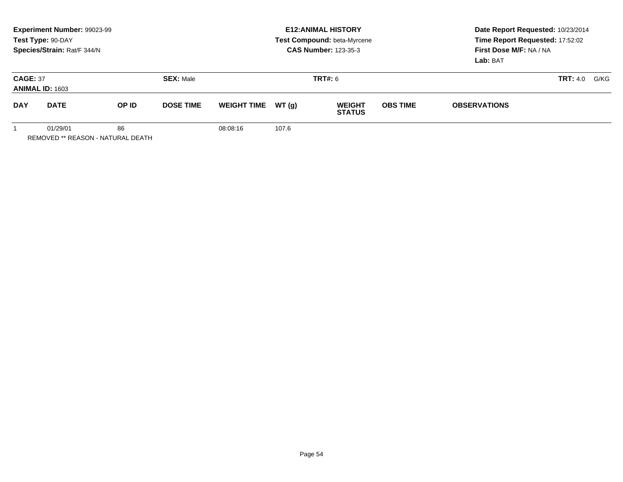|                                                     | Experiment Number: 99023-99<br>Test Type: 90-DAY<br>Species/Strain: Rat/F 344/N |       |                  | <b>E12: ANIMAL HISTORY</b><br>Test Compound: beta-Myrcene<br><b>CAS Number: 123-35-3</b> |       |                                |                 | Date Report Requested: 10/23/2014<br>Time Report Requested: 17:52:02<br>First Dose M/F: NA / NA<br>Lab: BAT |                         |
|-----------------------------------------------------|---------------------------------------------------------------------------------|-------|------------------|------------------------------------------------------------------------------------------|-------|--------------------------------|-----------------|-------------------------------------------------------------------------------------------------------------|-------------------------|
| <b>CAGE: 37</b><br><b>ANIMAL ID: 1603</b>           |                                                                                 |       | <b>SEX: Male</b> |                                                                                          |       | <b>TRT#:</b> 6                 |                 |                                                                                                             | <b>TRT:</b> 4.0<br>G/KG |
| <b>DAY</b>                                          | <b>DATE</b>                                                                     | OP ID | <b>DOSE TIME</b> | <b>WEIGHT TIME</b>                                                                       | WT(a) | <b>WEIGHT</b><br><b>STATUS</b> | <b>OBS TIME</b> | <b>OBSERVATIONS</b>                                                                                         |                         |
| 01/29/01<br>86<br>REMOVED ** REASON - NATURAL DEATH |                                                                                 |       | 08:08:16         | 107.6                                                                                    |       |                                |                 |                                                                                                             |                         |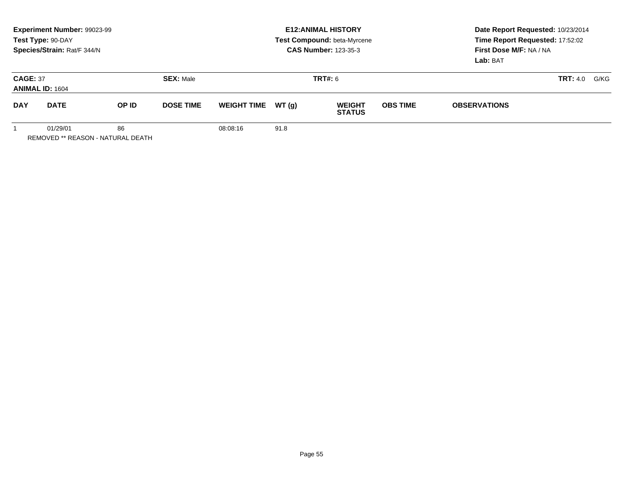|                                                            | <b>Experiment Number: 99023-99</b><br>Test Type: 90-DAY<br>Species/Strain: Rat/F 344/N |       |                  | <b>E12: ANIMAL HISTORY</b><br>Test Compound: beta-Myrcene<br><b>CAS Number: 123-35-3</b> |       |                                |                 | Date Report Requested: 10/23/2014<br>Time Report Requested: 17:52:02<br>First Dose M/F: NA / NA<br>Lab: BAT |                         |
|------------------------------------------------------------|----------------------------------------------------------------------------------------|-------|------------------|------------------------------------------------------------------------------------------|-------|--------------------------------|-----------------|-------------------------------------------------------------------------------------------------------------|-------------------------|
| <b>CAGE: 37</b><br><b>ANIMAL ID: 1604</b>                  |                                                                                        |       | <b>SEX: Male</b> |                                                                                          |       | <b>TRT#:</b> 6                 |                 |                                                                                                             | G/KG<br><b>TRT:</b> 4.0 |
| <b>DAY</b>                                                 | <b>DATE</b>                                                                            | OP ID | <b>DOSE TIME</b> | <b>WEIGHT TIME</b>                                                                       | WT(q) | <b>WEIGHT</b><br><b>STATUS</b> | <b>OBS TIME</b> | <b>OBSERVATIONS</b>                                                                                         |                         |
| 86<br>01/29/01<br><b>REMOVED ** REASON - NATURAL DEATH</b> |                                                                                        |       | 08:08:16         | 91.8                                                                                     |       |                                |                 |                                                                                                             |                         |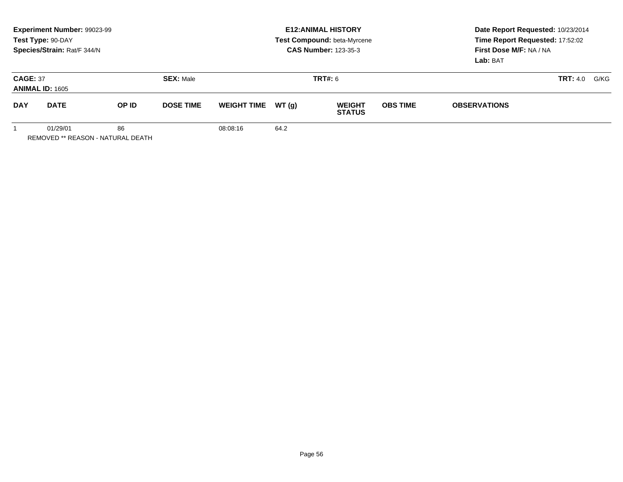|                                           | Experiment Number: 99023-99<br>Test Type: 90-DAY<br>Species/Strain: Rat/F 344/N |       |                  |                    |        | <b>E12: ANIMAL HISTORY</b><br>Test Compound: beta-Myrcene<br><b>CAS Number: 123-35-3</b> | Date Report Requested: 10/23/2014<br>Time Report Requested: 17:52:02<br>First Dose M/F: NA / NA<br>Lab: BAT |                     |      |  |
|-------------------------------------------|---------------------------------------------------------------------------------|-------|------------------|--------------------|--------|------------------------------------------------------------------------------------------|-------------------------------------------------------------------------------------------------------------|---------------------|------|--|
| <b>CAGE: 37</b><br><b>ANIMAL ID: 1605</b> |                                                                                 |       | <b>SEX: Male</b> |                    |        | <b>TRT#:</b> 6                                                                           |                                                                                                             | <b>TRT:</b> 4.0     | G/KG |  |
| <b>DAY</b>                                | <b>DATE</b>                                                                     | OP ID | <b>DOSE TIME</b> | <b>WEIGHT TIME</b> | WT (a) | <b>WEIGHT</b><br><b>STATUS</b>                                                           | <b>OBS TIME</b>                                                                                             | <b>OBSERVATIONS</b> |      |  |
| 01/29/01<br>86                            |                                                                                 |       | 08:08:16         | 64.2               |        |                                                                                          |                                                                                                             |                     |      |  |

Page 56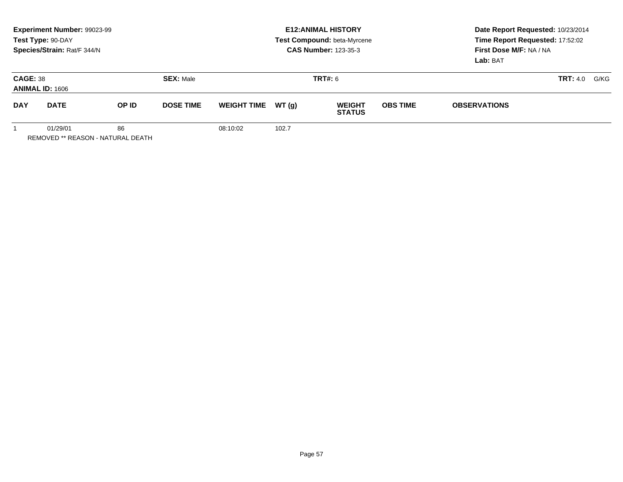|                                           | Experiment Number: 99023-99<br>Test Type: 90-DAY<br>Species/Strain: Rat/F 344/N |       |                  | <b>E12: ANIMAL HISTORY</b><br>Test Compound: beta-Myrcene<br><b>CAS Number: 123-35-3</b> |        |                                |                 | Date Report Requested: 10/23/2014<br>Time Report Requested: 17:52:02<br>First Dose M/F: NA / NA<br>Lab: BAT |      |  |
|-------------------------------------------|---------------------------------------------------------------------------------|-------|------------------|------------------------------------------------------------------------------------------|--------|--------------------------------|-----------------|-------------------------------------------------------------------------------------------------------------|------|--|
| <b>CAGE: 38</b><br><b>ANIMAL ID: 1606</b> |                                                                                 |       | <b>SEX: Male</b> |                                                                                          |        | <b>TRT#:</b> 6                 |                 | <b>TRT:</b> 4.0                                                                                             | G/KG |  |
| <b>DAY</b>                                | <b>DATE</b>                                                                     | OP ID | <b>DOSE TIME</b> | <b>WEIGHT TIME</b>                                                                       | WT (q) | <b>WEIGHT</b><br><b>STATUS</b> | <b>OBS TIME</b> | <b>OBSERVATIONS</b>                                                                                         |      |  |
| 86<br>01/29/01                            |                                                                                 |       | 08:10:02         | 102.7                                                                                    |        |                                |                 |                                                                                                             |      |  |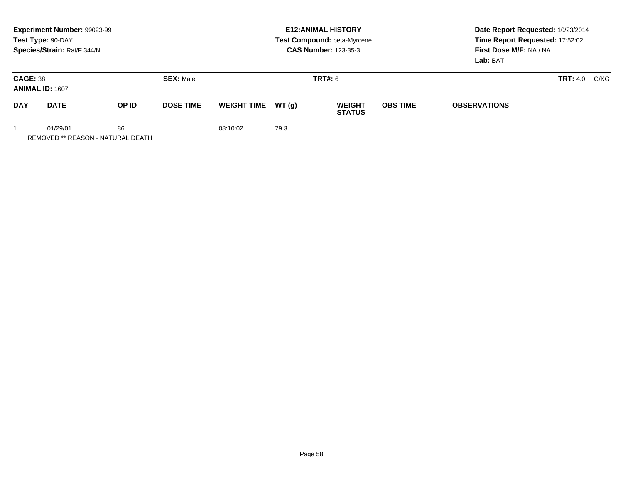|                                                     | Experiment Number: 99023-99<br>Test Type: 90-DAY<br>Species/Strain: Rat/F 344/N |       |                  | <b>E12: ANIMAL HISTORY</b><br>Test Compound: beta-Myrcene<br><b>CAS Number: 123-35-3</b> |       |                                |                 | Date Report Requested: 10/23/2014<br>Time Report Requested: 17:52:02<br>First Dose M/F: NA / NA<br>Lab: BAT |                         |
|-----------------------------------------------------|---------------------------------------------------------------------------------|-------|------------------|------------------------------------------------------------------------------------------|-------|--------------------------------|-----------------|-------------------------------------------------------------------------------------------------------------|-------------------------|
| <b>CAGE: 38</b><br><b>ANIMAL ID: 1607</b>           |                                                                                 |       | <b>SEX: Male</b> |                                                                                          |       | <b>TRT#:</b> 6                 |                 |                                                                                                             | <b>TRT:</b> 4.0<br>G/KG |
| <b>DAY</b>                                          | <b>DATE</b>                                                                     | OP ID | <b>DOSE TIME</b> | <b>WEIGHT TIME</b>                                                                       | WT(a) | <b>WEIGHT</b><br><b>STATUS</b> | <b>OBS TIME</b> | <b>OBSERVATIONS</b>                                                                                         |                         |
| 01/29/01<br>86<br>REMOVED ** REASON - NATURAL DEATH |                                                                                 |       | 08:10:02         | 79.3                                                                                     |       |                                |                 |                                                                                                             |                         |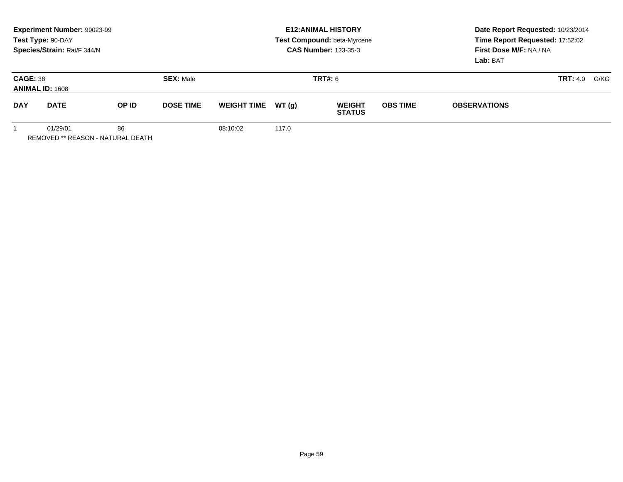|                                                     | Experiment Number: 99023-99<br>Test Type: 90-DAY<br>Species/Strain: Rat/F 344/N |       |                  | <b>E12: ANIMAL HISTORY</b><br>Test Compound: beta-Myrcene<br><b>CAS Number: 123-35-3</b> |       |                                |                 | Date Report Requested: 10/23/2014<br>Time Report Requested: 17:52:02<br>First Dose M/F: NA / NA<br>Lab: BAT |                         |
|-----------------------------------------------------|---------------------------------------------------------------------------------|-------|------------------|------------------------------------------------------------------------------------------|-------|--------------------------------|-----------------|-------------------------------------------------------------------------------------------------------------|-------------------------|
| <b>CAGE: 38</b><br><b>ANIMAL ID: 1608</b>           |                                                                                 |       | <b>SEX: Male</b> |                                                                                          |       | <b>TRT#:</b> 6                 |                 |                                                                                                             | <b>TRT:</b> 4.0<br>G/KG |
| <b>DAY</b>                                          | <b>DATE</b>                                                                     | OP ID | <b>DOSE TIME</b> | <b>WEIGHT TIME</b>                                                                       | WT(a) | <b>WEIGHT</b><br><b>STATUS</b> | <b>OBS TIME</b> | <b>OBSERVATIONS</b>                                                                                         |                         |
| 01/29/01<br>86<br>REMOVED ** REASON - NATURAL DEATH |                                                                                 |       | 08:10:02         | 117.0                                                                                    |       |                                |                 |                                                                                                             |                         |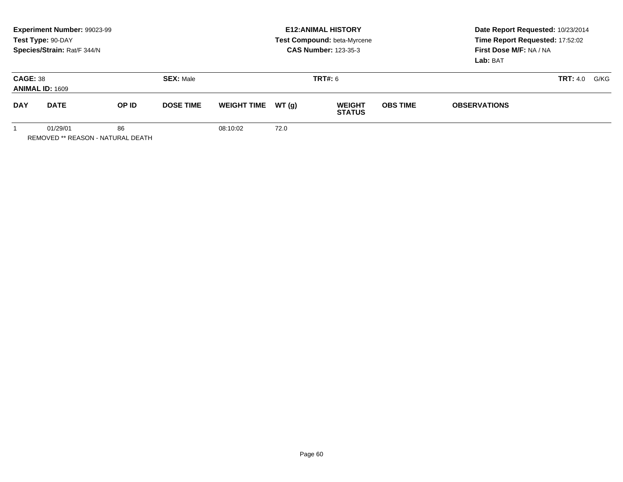|                                                     | Experiment Number: 99023-99<br>Test Type: 90-DAY<br>Species/Strain: Rat/F 344/N |       |                  | <b>E12: ANIMAL HISTORY</b><br>Test Compound: beta-Myrcene<br><b>CAS Number: 123-35-3</b> |        |                                |                 | Date Report Requested: 10/23/2014<br>Time Report Requested: 17:52:02<br>First Dose M/F: NA / NA<br>Lab: BAT |                         |
|-----------------------------------------------------|---------------------------------------------------------------------------------|-------|------------------|------------------------------------------------------------------------------------------|--------|--------------------------------|-----------------|-------------------------------------------------------------------------------------------------------------|-------------------------|
| <b>CAGE: 38</b><br><b>ANIMAL ID: 1609</b>           |                                                                                 |       | <b>SEX: Male</b> |                                                                                          |        | <b>TRT#:</b> 6                 |                 |                                                                                                             | <b>TRT:</b> 4.0<br>G/KG |
| <b>DAY</b>                                          | <b>DATE</b>                                                                     | OP ID | <b>DOSE TIME</b> | <b>WEIGHT TIME</b>                                                                       | WT (a) | <b>WEIGHT</b><br><b>STATUS</b> | <b>OBS TIME</b> | <b>OBSERVATIONS</b>                                                                                         |                         |
| 01/29/01<br>86<br>REMOVED ** REASON - NATURAL DEATH |                                                                                 |       | 08:10:02         | 72.0                                                                                     |        |                                |                 |                                                                                                             |                         |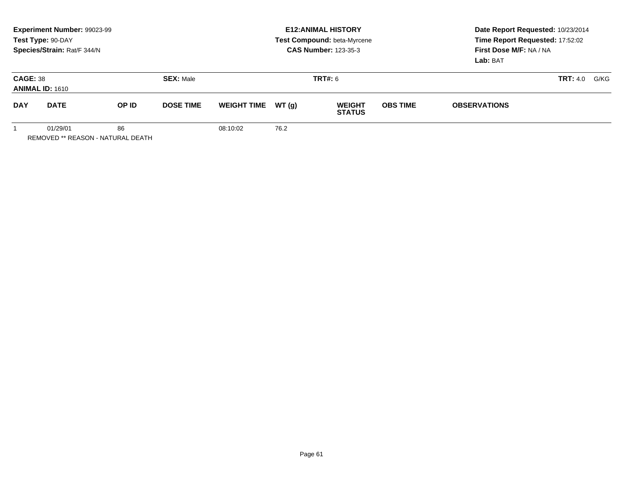|                                           | Experiment Number: 99023-99<br>Test Type: 90-DAY<br>Species/Strain: Rat/F 344/N |  |                                    |                    |        | <b>E12:ANIMAL HISTORY</b><br>Test Compound: beta-Myrcene<br><b>CAS Number: 123-35-3</b> | Date Report Requested: 10/23/2014<br>Time Report Requested: 17:52:02<br>First Dose M/F: NA / NA<br>Lab: BAT |                     |                         |
|-------------------------------------------|---------------------------------------------------------------------------------|--|------------------------------------|--------------------|--------|-----------------------------------------------------------------------------------------|-------------------------------------------------------------------------------------------------------------|---------------------|-------------------------|
| <b>CAGE: 38</b><br><b>ANIMAL ID: 1610</b> |                                                                                 |  | <b>SEX: Male</b><br><b>TRT#:</b> 6 |                    |        |                                                                                         |                                                                                                             |                     | G/KG<br><b>TRT:</b> 4.0 |
| <b>DAY</b>                                | <b>DATE</b><br>OP ID<br><b>DOSE TIME</b>                                        |  |                                    | <b>WEIGHT TIME</b> | WT (q) | <b>WEIGHT</b><br><b>STATUS</b>                                                          | <b>OBS TIME</b>                                                                                             | <b>OBSERVATIONS</b> |                         |
|                                           | 86<br>01/29/01<br>REMOVED ** REASON - NATURAL DEATH                             |  |                                    | 08:10:02           | 76.2   |                                                                                         |                                                                                                             |                     |                         |

Page 61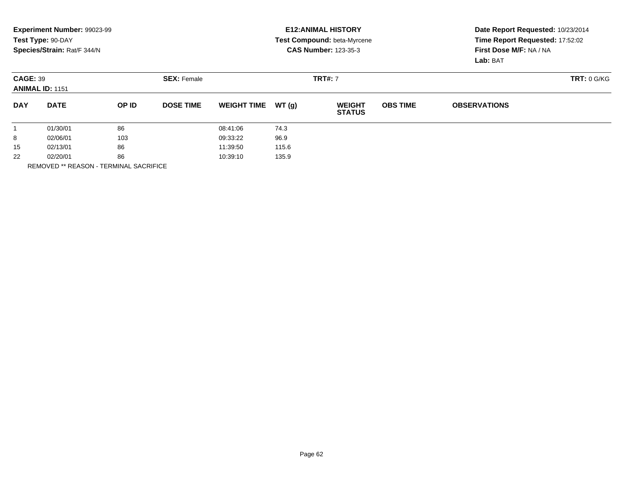|                                           | Experiment Number: 99023-99<br>Test Type: 90-DAY<br>Species/Strain: Rat/F 344/N |       |                    |                    |       | <b>E12: ANIMAL HISTORY</b><br><b>Test Compound: beta-Myrcene</b><br><b>CAS Number: 123-35-3</b> | Date Report Requested: 10/23/2014<br>Time Report Requested: 17:52:02<br>First Dose M/F: NA / NA<br>Lab: BAT |                     |             |
|-------------------------------------------|---------------------------------------------------------------------------------|-------|--------------------|--------------------|-------|-------------------------------------------------------------------------------------------------|-------------------------------------------------------------------------------------------------------------|---------------------|-------------|
| <b>CAGE: 39</b><br><b>ANIMAL ID: 1151</b> |                                                                                 |       | <b>SEX: Female</b> |                    |       | <b>TRT#: 7</b>                                                                                  |                                                                                                             |                     | TRT: 0 G/KG |
| <b>DAY</b>                                | <b>DATE</b>                                                                     | OP ID | <b>DOSE TIME</b>   | <b>WEIGHT TIME</b> | WT(q) | <b>WEIGHT</b><br><b>STATUS</b>                                                                  | <b>OBS TIME</b>                                                                                             | <b>OBSERVATIONS</b> |             |
|                                           | 01/30/01                                                                        | 86    |                    | 08:41:06           | 74.3  |                                                                                                 |                                                                                                             |                     |             |
| 8                                         | 02/06/01                                                                        | 103   |                    | 09:33:22           | 96.9  |                                                                                                 |                                                                                                             |                     |             |
| 86<br>15<br>02/13/01                      |                                                                                 |       | 11:39:50           | 115.6              |       |                                                                                                 |                                                                                                             |                     |             |
| 22<br>02/20/01<br>86                      |                                                                                 |       | 10:39:10           | 135.9              |       |                                                                                                 |                                                                                                             |                     |             |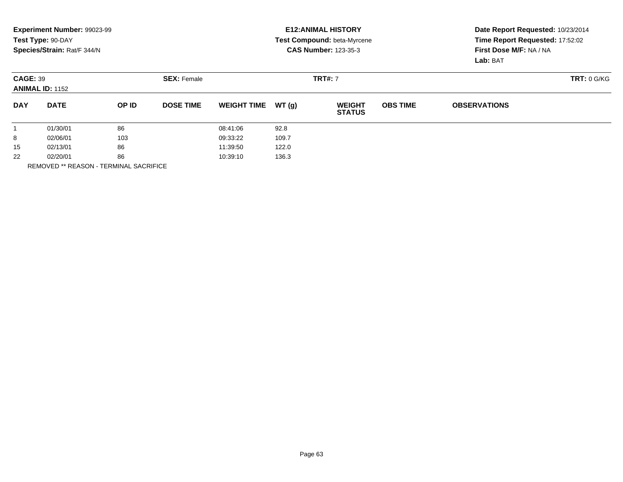|                                           | Experiment Number: 99023-99<br>Test Type: 90-DAY<br>Species/Strain: Rat/F 344/N |          |                    |                    |       | <b>E12: ANIMAL HISTORY</b><br><b>Test Compound: beta-Myrcene</b><br><b>CAS Number: 123-35-3</b> | Date Report Requested: 10/23/2014<br>Time Report Requested: 17:52:02<br>First Dose M/F: NA / NA<br>Lab: BAT |                     |             |
|-------------------------------------------|---------------------------------------------------------------------------------|----------|--------------------|--------------------|-------|-------------------------------------------------------------------------------------------------|-------------------------------------------------------------------------------------------------------------|---------------------|-------------|
| <b>CAGE: 39</b><br><b>ANIMAL ID: 1152</b> |                                                                                 |          | <b>SEX: Female</b> | <b>TRT#: 7</b>     |       |                                                                                                 |                                                                                                             |                     | TRT: 0 G/KG |
| <b>DAY</b>                                | <b>DATE</b>                                                                     | OP ID    | <b>DOSE TIME</b>   | <b>WEIGHT TIME</b> | WT(q) | <b>WEIGHT</b><br><b>STATUS</b>                                                                  | <b>OBS TIME</b>                                                                                             | <b>OBSERVATIONS</b> |             |
|                                           | 01/30/01                                                                        | 86       |                    | 08:41:06           | 92.8  |                                                                                                 |                                                                                                             |                     |             |
| 8                                         | 02/06/01                                                                        | 103      |                    | 09:33:22           | 109.7 |                                                                                                 |                                                                                                             |                     |             |
| 86<br>15<br>02/13/01                      |                                                                                 | 11:39:50 |                    | 122.0              |       |                                                                                                 |                                                                                                             |                     |             |
| 22<br>86<br>02/20/01                      |                                                                                 |          | 10:39:10           | 136.3              |       |                                                                                                 |                                                                                                             |                     |             |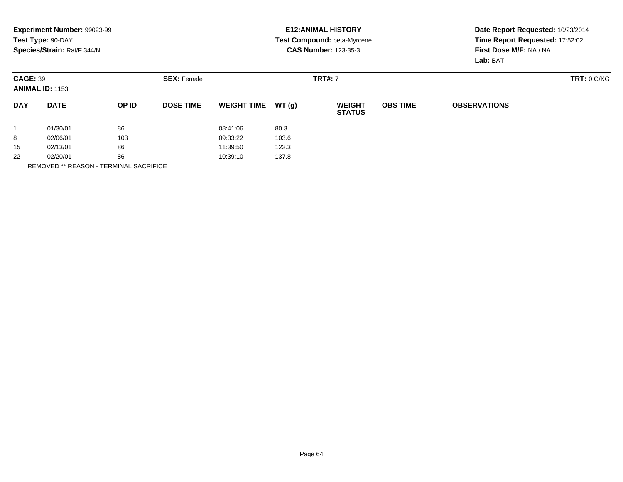|                                           | Experiment Number: 99023-99<br>Test Type: 90-DAY<br>Species/Strain: Rat/F 344/N |          |                    |                    |                | <b>E12: ANIMAL HISTORY</b><br><b>Test Compound: beta-Myrcene</b><br><b>CAS Number: 123-35-3</b> | Date Report Requested: 10/23/2014<br>Time Report Requested: 17:52:02<br>First Dose M/F: NA / NA<br>Lab: BAT |                     |  |
|-------------------------------------------|---------------------------------------------------------------------------------|----------|--------------------|--------------------|----------------|-------------------------------------------------------------------------------------------------|-------------------------------------------------------------------------------------------------------------|---------------------|--|
| <b>CAGE: 39</b><br><b>ANIMAL ID: 1153</b> |                                                                                 |          | <b>SEX: Female</b> |                    | <b>TRT#: 7</b> |                                                                                                 |                                                                                                             | TRT: 0 G/KG         |  |
| <b>DAY</b>                                | <b>DATE</b>                                                                     | OP ID    | <b>DOSE TIME</b>   | <b>WEIGHT TIME</b> | WT(q)          | <b>WEIGHT</b><br><b>STATUS</b>                                                                  | <b>OBS TIME</b>                                                                                             | <b>OBSERVATIONS</b> |  |
|                                           | 01/30/01                                                                        | 86       |                    | 08:41:06           | 80.3           |                                                                                                 |                                                                                                             |                     |  |
| 8                                         | 02/06/01                                                                        | 103      |                    | 09:33:22           | 103.6          |                                                                                                 |                                                                                                             |                     |  |
| 86<br>15<br>02/13/01                      |                                                                                 | 11:39:50 |                    | 122.3              |                |                                                                                                 |                                                                                                             |                     |  |
| 22<br>02/20/01<br>86                      |                                                                                 |          | 10:39:10           | 137.8              |                |                                                                                                 |                                                                                                             |                     |  |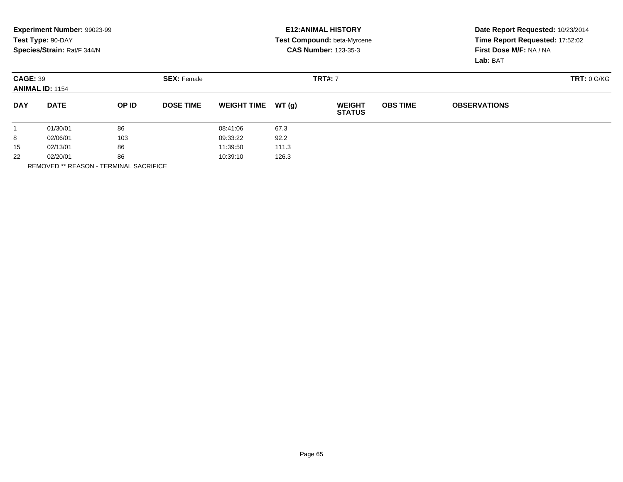|                                           | Experiment Number: 99023-99<br>Test Type: 90-DAY<br>Species/Strain: Rat/F 344/N |       |                    |                    |       | <b>E12: ANIMAL HISTORY</b><br><b>Test Compound: beta-Myrcene</b><br><b>CAS Number: 123-35-3</b> |                 | Date Report Requested: 10/23/2014<br>Time Report Requested: 17:52:02<br>First Dose M/F: NA / NA<br>Lab: BAT |             |  |
|-------------------------------------------|---------------------------------------------------------------------------------|-------|--------------------|--------------------|-------|-------------------------------------------------------------------------------------------------|-----------------|-------------------------------------------------------------------------------------------------------------|-------------|--|
| <b>CAGE: 39</b><br><b>ANIMAL ID: 1154</b> |                                                                                 |       | <b>SEX: Female</b> | <b>TRT#: 7</b>     |       |                                                                                                 |                 |                                                                                                             | TRT: 0 G/KG |  |
| <b>DAY</b>                                | <b>DATE</b>                                                                     | OP ID | <b>DOSE TIME</b>   | <b>WEIGHT TIME</b> | WT(q) | <b>WEIGHT</b><br><b>STATUS</b>                                                                  | <b>OBS TIME</b> | <b>OBSERVATIONS</b>                                                                                         |             |  |
|                                           | 01/30/01                                                                        | 86    |                    | 08:41:06           | 67.3  |                                                                                                 |                 |                                                                                                             |             |  |
| 8                                         | 02/06/01                                                                        | 103   |                    | 09:33:22           | 92.2  |                                                                                                 |                 |                                                                                                             |             |  |
| 86<br>15<br>02/13/01                      |                                                                                 |       | 11:39:50           | 111.3              |       |                                                                                                 |                 |                                                                                                             |             |  |
| 22<br>02/20/01<br>86                      |                                                                                 |       | 10:39:10           | 126.3              |       |                                                                                                 |                 |                                                                                                             |             |  |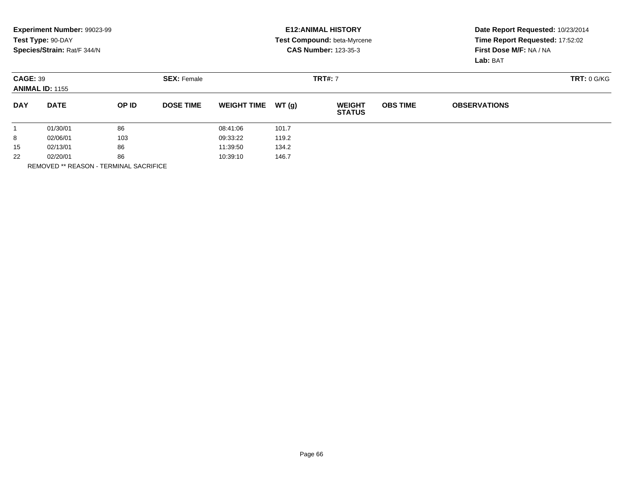|                                           | Experiment Number: 99023-99<br>Test Type: 90-DAY<br>Species/Strain: Rat/F 344/N |       |                    |                    |       | <b>E12: ANIMAL HISTORY</b><br>Test Compound: beta-Myrcene<br><b>CAS Number: 123-35-3</b> | Date Report Requested: 10/23/2014<br>Time Report Requested: 17:52:02<br>First Dose M/F: NA / NA |                     |             |
|-------------------------------------------|---------------------------------------------------------------------------------|-------|--------------------|--------------------|-------|------------------------------------------------------------------------------------------|-------------------------------------------------------------------------------------------------|---------------------|-------------|
|                                           |                                                                                 |       |                    |                    |       |                                                                                          |                                                                                                 | Lab: BAT            |             |
| <b>CAGE: 39</b><br><b>ANIMAL ID: 1155</b> |                                                                                 |       | <b>SEX: Female</b> | <b>TRT#: 7</b>     |       |                                                                                          |                                                                                                 |                     | TRT: 0 G/KG |
| <b>DAY</b>                                | <b>DATE</b>                                                                     | OP ID | <b>DOSE TIME</b>   | <b>WEIGHT TIME</b> | WT(q) | <b>WEIGHT</b><br><b>STATUS</b>                                                           | <b>OBS TIME</b>                                                                                 | <b>OBSERVATIONS</b> |             |
|                                           | 01/30/01                                                                        | 86    |                    | 08:41:06           | 101.7 |                                                                                          |                                                                                                 |                     |             |
| 8                                         | 02/06/01                                                                        | 103   |                    | 09:33:22           | 119.2 |                                                                                          |                                                                                                 |                     |             |
| 86<br>15<br>02/13/01                      |                                                                                 |       | 11:39:50           | 134.2              |       |                                                                                          |                                                                                                 |                     |             |
| 22<br>02/20/01<br>86                      |                                                                                 |       | 10:39:10           | 146.7              |       |                                                                                          |                                                                                                 |                     |             |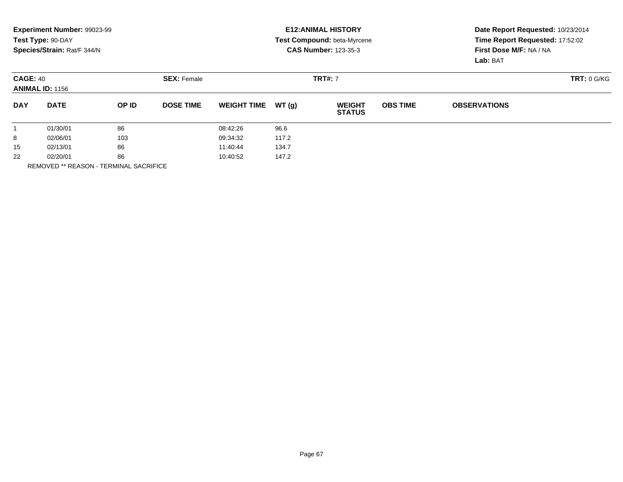|                                           | Experiment Number: 99023-99<br>Test Type: 90-DAY<br>Species/Strain: Rat/F 344/N |       |                    |                    |       | <b>E12: ANIMAL HISTORY</b><br><b>Test Compound: beta-Myrcene</b><br><b>CAS Number: 123-35-3</b> | Date Report Requested: 10/23/2014<br>Time Report Requested: 17:52:02<br>First Dose M/F: NA / NA<br>Lab: BAT |                     |  |
|-------------------------------------------|---------------------------------------------------------------------------------|-------|--------------------|--------------------|-------|-------------------------------------------------------------------------------------------------|-------------------------------------------------------------------------------------------------------------|---------------------|--|
| <b>CAGE: 40</b><br><b>ANIMAL ID: 1156</b> |                                                                                 |       | <b>SEX: Female</b> |                    |       | <b>TRT#: 7</b>                                                                                  |                                                                                                             | TRT: 0 G/KG         |  |
| <b>DAY</b>                                | <b>DATE</b>                                                                     | OP ID | <b>DOSE TIME</b>   | <b>WEIGHT TIME</b> | WT(q) | <b>WEIGHT</b><br><b>STATUS</b>                                                                  | <b>OBS TIME</b>                                                                                             | <b>OBSERVATIONS</b> |  |
|                                           | 01/30/01                                                                        | 86    |                    | 08:42:26           | 96.6  |                                                                                                 |                                                                                                             |                     |  |
| 8                                         | 02/06/01                                                                        | 103   |                    | 09:34:32           | 117.2 |                                                                                                 |                                                                                                             |                     |  |
| 15                                        | 86<br>02/13/01                                                                  |       |                    | 11:40:44<br>134.7  |       |                                                                                                 |                                                                                                             |                     |  |
| 22<br>02/20/01<br>86                      |                                                                                 |       | 10:40:52           | 147.2              |       |                                                                                                 |                                                                                                             |                     |  |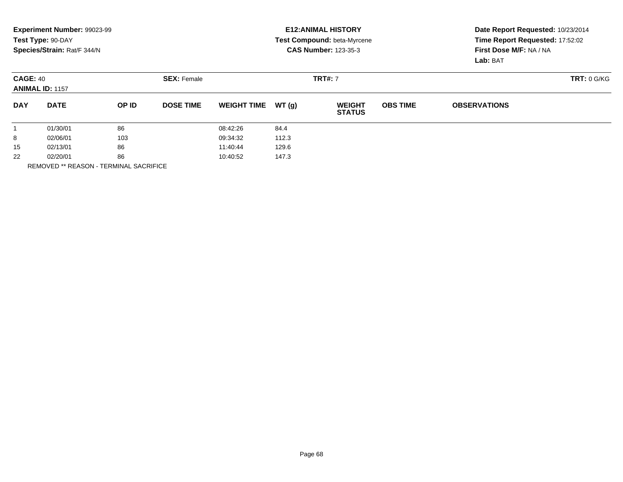|                                           | Experiment Number: 99023-99<br>Test Type: 90-DAY<br>Species/Strain: Rat/F 344/N |       |                    |                    |       | <b>E12: ANIMAL HISTORY</b><br><b>Test Compound: beta-Myrcene</b><br><b>CAS Number: 123-35-3</b> | Date Report Requested: 10/23/2014<br>Time Report Requested: 17:52:02<br>First Dose M/F: NA / NA<br>Lab: BAT |                     |             |
|-------------------------------------------|---------------------------------------------------------------------------------|-------|--------------------|--------------------|-------|-------------------------------------------------------------------------------------------------|-------------------------------------------------------------------------------------------------------------|---------------------|-------------|
| <b>CAGE: 40</b><br><b>ANIMAL ID: 1157</b> |                                                                                 |       | <b>SEX: Female</b> | <b>TRT#: 7</b>     |       |                                                                                                 |                                                                                                             |                     | TRT: 0 G/KG |
| <b>DAY</b>                                | <b>DATE</b>                                                                     | OP ID | <b>DOSE TIME</b>   | <b>WEIGHT TIME</b> | WT(q) | <b>WEIGHT</b><br><b>STATUS</b>                                                                  | <b>OBS TIME</b>                                                                                             | <b>OBSERVATIONS</b> |             |
|                                           | 01/30/01                                                                        | 86    |                    | 08:42:26           | 84.4  |                                                                                                 |                                                                                                             |                     |             |
| 8                                         | 02/06/01                                                                        | 103   |                    | 09:34:32           | 112.3 |                                                                                                 |                                                                                                             |                     |             |
| 15                                        | 86<br>02/13/01                                                                  |       | 11:40:44           |                    | 129.6 |                                                                                                 |                                                                                                             |                     |             |
| 22<br>02/20/01<br>86                      |                                                                                 |       | 10:40:52           | 147.3              |       |                                                                                                 |                                                                                                             |                     |             |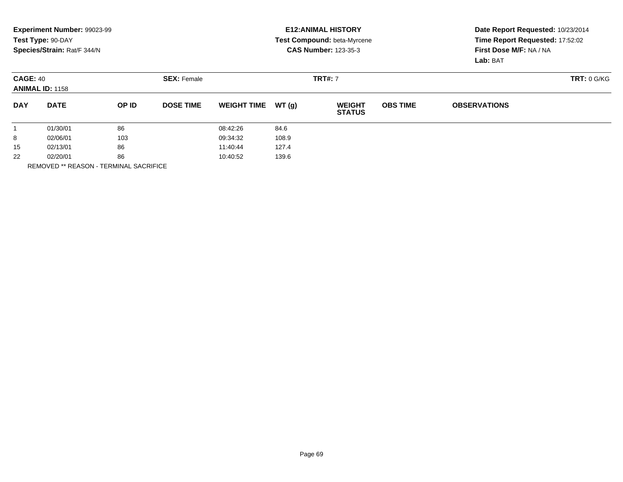|                                           | Experiment Number: 99023-99<br>Test Type: 90-DAY<br>Species/Strain: Rat/F 344/N |       |                    |                    |       | <b>E12: ANIMAL HISTORY</b><br><b>Test Compound: beta-Myrcene</b><br><b>CAS Number: 123-35-3</b> | Date Report Requested: 10/23/2014<br>Time Report Requested: 17:52:02<br>First Dose M/F: NA / NA<br>Lab: BAT |                     |             |
|-------------------------------------------|---------------------------------------------------------------------------------|-------|--------------------|--------------------|-------|-------------------------------------------------------------------------------------------------|-------------------------------------------------------------------------------------------------------------|---------------------|-------------|
| <b>CAGE: 40</b><br><b>ANIMAL ID: 1158</b> |                                                                                 |       | <b>SEX: Female</b> | <b>TRT#: 7</b>     |       |                                                                                                 |                                                                                                             |                     | TRT: 0 G/KG |
| <b>DAY</b>                                | <b>DATE</b>                                                                     | OP ID | <b>DOSE TIME</b>   | <b>WEIGHT TIME</b> | WT(q) | <b>WEIGHT</b><br><b>STATUS</b>                                                                  | <b>OBS TIME</b>                                                                                             | <b>OBSERVATIONS</b> |             |
|                                           | 01/30/01                                                                        | 86    |                    | 08:42:26           | 84.6  |                                                                                                 |                                                                                                             |                     |             |
| 8                                         | 02/06/01                                                                        | 103   |                    | 09:34:32           | 108.9 |                                                                                                 |                                                                                                             |                     |             |
| 15                                        | 86<br>02/13/01                                                                  |       | 11:40:44           |                    | 127.4 |                                                                                                 |                                                                                                             |                     |             |
| 22<br>02/20/01<br>86                      |                                                                                 |       | 10:40:52           | 139.6              |       |                                                                                                 |                                                                                                             |                     |             |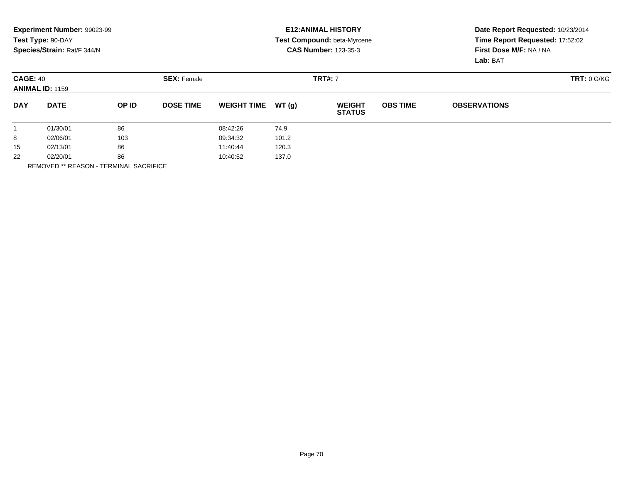|                                           | Experiment Number: 99023-99<br>Test Type: 90-DAY<br>Species/Strain: Rat/F 344/N |       |                                      |                    |       | <b>E12: ANIMAL HISTORY</b><br><b>Test Compound: beta-Myrcene</b><br><b>CAS Number: 123-35-3</b> | Date Report Requested: 10/23/2014<br>Time Report Requested: 17:52:02<br>First Dose M/F: NA / NA<br>Lab: BAT |                     |             |
|-------------------------------------------|---------------------------------------------------------------------------------|-------|--------------------------------------|--------------------|-------|-------------------------------------------------------------------------------------------------|-------------------------------------------------------------------------------------------------------------|---------------------|-------------|
| <b>CAGE: 40</b><br><b>ANIMAL ID: 1159</b> |                                                                                 |       | <b>TRT#: 7</b><br><b>SEX: Female</b> |                    |       |                                                                                                 |                                                                                                             |                     | TRT: 0 G/KG |
| <b>DAY</b>                                | <b>DATE</b>                                                                     | OP ID | <b>DOSE TIME</b>                     | <b>WEIGHT TIME</b> | WT(q) | <b>WEIGHT</b><br><b>STATUS</b>                                                                  | <b>OBS TIME</b>                                                                                             | <b>OBSERVATIONS</b> |             |
|                                           | 01/30/01                                                                        | 86    |                                      | 08:42:26           | 74.9  |                                                                                                 |                                                                                                             |                     |             |
| 8                                         | 103<br>02/06/01                                                                 |       |                                      | 09:34:32           | 101.2 |                                                                                                 |                                                                                                             |                     |             |
| 15                                        | 86<br>02/13/01                                                                  |       | 11:40:44                             |                    | 120.3 |                                                                                                 |                                                                                                             |                     |             |
| 22<br>86<br>02/20/01                      |                                                                                 |       | 10:40:52                             | 137.0              |       |                                                                                                 |                                                                                                             |                     |             |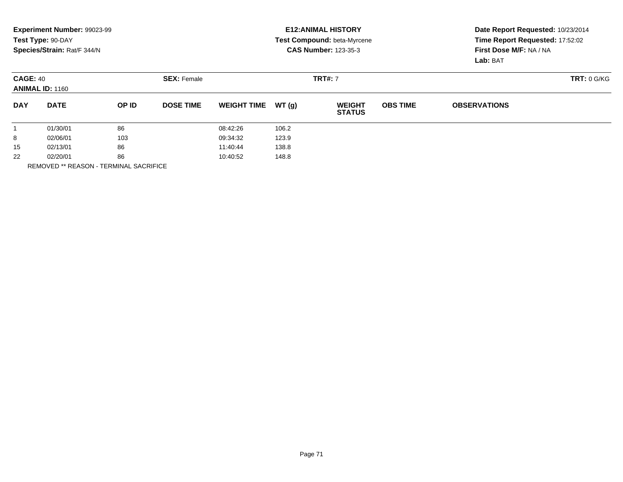|                                           | Experiment Number: 99023-99<br>Test Type: 90-DAY<br>Species/Strain: Rat/F 344/N |       |                    |                    |       | <b>E12: ANIMAL HISTORY</b><br>Test Compound: beta-Myrcene<br><b>CAS Number: 123-35-3</b> |                 | Date Report Requested: 10/23/2014<br>Time Report Requested: 17:52:02<br>First Dose M/F: NA / NA |             |  |
|-------------------------------------------|---------------------------------------------------------------------------------|-------|--------------------|--------------------|-------|------------------------------------------------------------------------------------------|-----------------|-------------------------------------------------------------------------------------------------|-------------|--|
|                                           |                                                                                 |       |                    |                    |       |                                                                                          |                 | Lab: BAT                                                                                        |             |  |
| <b>CAGE: 40</b><br><b>ANIMAL ID: 1160</b> |                                                                                 |       | <b>SEX: Female</b> | <b>TRT#: 7</b>     |       |                                                                                          |                 |                                                                                                 | TRT: 0 G/KG |  |
| <b>DAY</b>                                | <b>DATE</b>                                                                     | OP ID | <b>DOSE TIME</b>   | <b>WEIGHT TIME</b> | WT(q) | <b>WEIGHT</b><br><b>STATUS</b>                                                           | <b>OBS TIME</b> | <b>OBSERVATIONS</b>                                                                             |             |  |
|                                           | 01/30/01                                                                        | 86    |                    | 08:42:26           | 106.2 |                                                                                          |                 |                                                                                                 |             |  |
| 8                                         | 02/06/01                                                                        | 103   |                    | 09:34:32           | 123.9 |                                                                                          |                 |                                                                                                 |             |  |
| 15                                        | 86<br>02/13/01                                                                  |       | 11:40:44           |                    | 138.8 |                                                                                          |                 |                                                                                                 |             |  |
| 22<br>02/20/01<br>86                      |                                                                                 |       | 10:40:52           | 148.8              |       |                                                                                          |                 |                                                                                                 |             |  |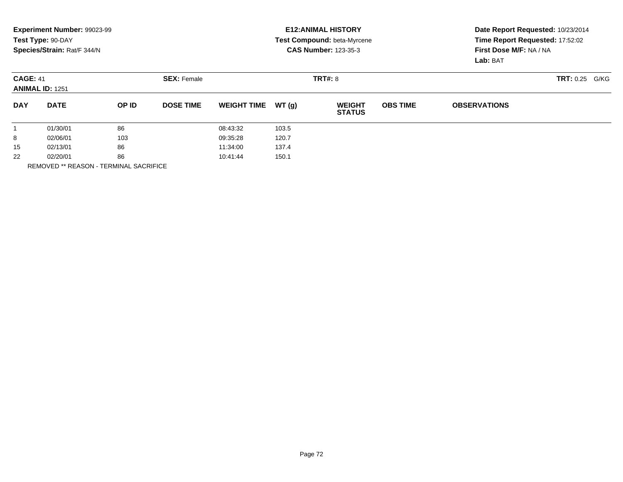|                                           | Experiment Number: 99023-99<br>Test Type: 90-DAY<br>Species/Strain: Rat/F 344/N |       |                    |                    |         | <b>E12: ANIMAL HISTORY</b><br><b>Test Compound: beta-Myrcene</b><br><b>CAS Number: 123-35-3</b> |                   | Date Report Requested: 10/23/2014<br>Time Report Requested: 17:52:02<br>First Dose M/F: NA / NA<br>Lab: BAT |  |  |
|-------------------------------------------|---------------------------------------------------------------------------------|-------|--------------------|--------------------|---------|-------------------------------------------------------------------------------------------------|-------------------|-------------------------------------------------------------------------------------------------------------|--|--|
| <b>CAGE: 41</b><br><b>ANIMAL ID: 1251</b> |                                                                                 |       | <b>SEX: Female</b> |                    | TRT#: 8 |                                                                                                 | TRT: 0.25<br>G/KG |                                                                                                             |  |  |
| <b>DAY</b>                                | <b>DATE</b>                                                                     | OP ID | <b>DOSE TIME</b>   | <b>WEIGHT TIME</b> | WT (g)  | <b>WEIGHT</b><br><b>STATUS</b>                                                                  | <b>OBS TIME</b>   | <b>OBSERVATIONS</b>                                                                                         |  |  |
|                                           | 01/30/01                                                                        | 86    |                    | 08:43:32           | 103.5   |                                                                                                 |                   |                                                                                                             |  |  |
| 8                                         | 103<br>02/06/01                                                                 |       |                    | 09:35:28           | 120.7   |                                                                                                 |                   |                                                                                                             |  |  |
| 15                                        | 86<br>02/13/01                                                                  |       |                    | 11:34:00           | 137.4   |                                                                                                 |                   |                                                                                                             |  |  |
| 22                                        | 86<br>02/20/01                                                                  |       |                    | 10:41:44           | 150.1   |                                                                                                 |                   |                                                                                                             |  |  |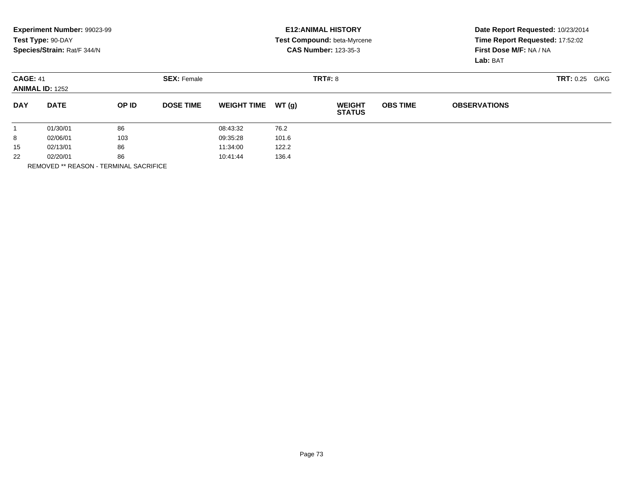|                                           | Experiment Number: 99023-99<br>Test Type: 90-DAY<br>Species/Strain: Rat/F 344/N |                    |                  |                    |       | <b>E12: ANIMAL HISTORY</b><br>Test Compound: beta-Myrcene<br><b>CAS Number: 123-35-3</b> | Date Report Requested: 10/23/2014<br>Time Report Requested: 17:52:02<br>First Dose M/F: NA / NA<br>Lab: BAT |                     |  |
|-------------------------------------------|---------------------------------------------------------------------------------|--------------------|------------------|--------------------|-------|------------------------------------------------------------------------------------------|-------------------------------------------------------------------------------------------------------------|---------------------|--|
| <b>CAGE: 41</b><br><b>ANIMAL ID: 1252</b> |                                                                                 | <b>SEX: Female</b> |                  | <b>TRT#: 8</b>     |       |                                                                                          |                                                                                                             | TRT: 0.25<br>G/KG   |  |
| <b>DAY</b>                                | <b>DATE</b>                                                                     | OP ID              | <b>DOSE TIME</b> | <b>WEIGHT TIME</b> | WT(g) | <b>WEIGHT</b><br><b>STATUS</b>                                                           | <b>OBS TIME</b>                                                                                             | <b>OBSERVATIONS</b> |  |
|                                           | 01/30/01                                                                        | 86                 |                  | 08:43:32           | 76.2  |                                                                                          |                                                                                                             |                     |  |
| 8                                         | 02/06/01                                                                        | 103                |                  | 09:35:28           | 101.6 |                                                                                          |                                                                                                             |                     |  |
| 15                                        | 02/13/01                                                                        | 86                 |                  | 11:34:00           | 122.2 |                                                                                          |                                                                                                             |                     |  |
| 22                                        | 02/20/01                                                                        | 86                 |                  | 10:41:44           | 136.4 |                                                                                          |                                                                                                             |                     |  |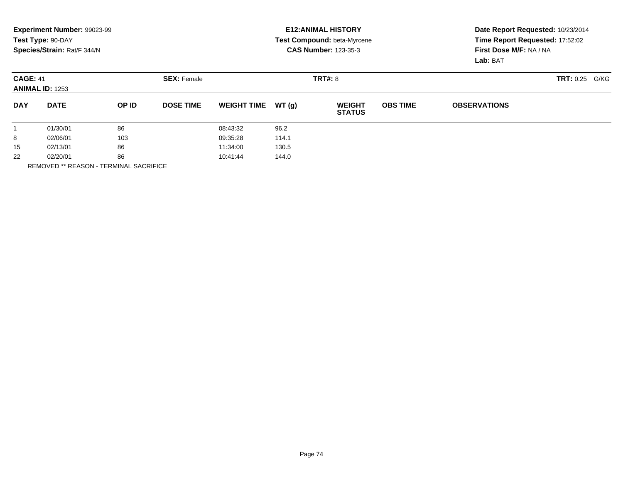|                                           | Experiment Number: 99023-99<br>Test Type: 90-DAY<br>Species/Strain: Rat/F 344/N |       |                    |                    |         | <b>E12: ANIMAL HISTORY</b><br><b>Test Compound: beta-Myrcene</b><br><b>CAS Number: 123-35-3</b> | Date Report Requested: 10/23/2014<br>Time Report Requested: 17:52:02<br>First Dose M/F: NA / NA<br>Lab: BAT |                     |                   |
|-------------------------------------------|---------------------------------------------------------------------------------|-------|--------------------|--------------------|---------|-------------------------------------------------------------------------------------------------|-------------------------------------------------------------------------------------------------------------|---------------------|-------------------|
| <b>CAGE: 41</b><br><b>ANIMAL ID: 1253</b> |                                                                                 |       | <b>SEX: Female</b> |                    | TRT#: 8 |                                                                                                 |                                                                                                             |                     | TRT: 0.25<br>G/KG |
| <b>DAY</b>                                | <b>DATE</b>                                                                     | OP ID | <b>DOSE TIME</b>   | <b>WEIGHT TIME</b> | WT (g)  | <b>WEIGHT</b><br><b>STATUS</b>                                                                  | <b>OBS TIME</b>                                                                                             | <b>OBSERVATIONS</b> |                   |
|                                           | 01/30/01                                                                        | 86    |                    | 08:43:32           | 96.2    |                                                                                                 |                                                                                                             |                     |                   |
| 8                                         | 02/06/01                                                                        | 103   |                    | 09:35:28           | 114.1   |                                                                                                 |                                                                                                             |                     |                   |
| 15                                        | 02/13/01                                                                        | 86    |                    | 11:34:00           | 130.5   |                                                                                                 |                                                                                                             |                     |                   |
| 22                                        | 02/20/01                                                                        | 86    |                    | 10:41:44           | 144.0   |                                                                                                 |                                                                                                             |                     |                   |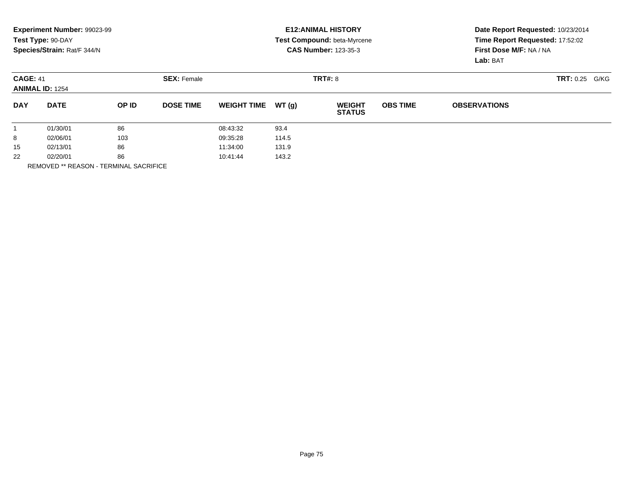|                                           | Experiment Number: 99023-99<br>Test Type: 90-DAY<br>Species/Strain: Rat/F 344/N |                    |                  |                    |       | <b>E12: ANIMAL HISTORY</b><br><b>Test Compound: beta-Myrcene</b><br><b>CAS Number: 123-35-3</b> | Date Report Requested: 10/23/2014<br>Time Report Requested: 17:52:02<br>First Dose M/F: NA / NA<br>Lab: BAT |                     |  |
|-------------------------------------------|---------------------------------------------------------------------------------|--------------------|------------------|--------------------|-------|-------------------------------------------------------------------------------------------------|-------------------------------------------------------------------------------------------------------------|---------------------|--|
| <b>CAGE: 41</b><br><b>ANIMAL ID: 1254</b> |                                                                                 | <b>SEX: Female</b> |                  | TRT#: 8            |       |                                                                                                 |                                                                                                             | TRT: 0.25<br>G/KG   |  |
| <b>DAY</b>                                | <b>DATE</b>                                                                     | OP ID              | <b>DOSE TIME</b> | <b>WEIGHT TIME</b> | WT(q) | <b>WEIGHT</b><br><b>STATUS</b>                                                                  | <b>OBS TIME</b>                                                                                             | <b>OBSERVATIONS</b> |  |
|                                           | 01/30/01                                                                        | 86                 |                  | 08:43:32           | 93.4  |                                                                                                 |                                                                                                             |                     |  |
| 8                                         | 02/06/01                                                                        | 103                |                  | 09:35:28           | 114.5 |                                                                                                 |                                                                                                             |                     |  |
| 15                                        | 02/13/01                                                                        | 86                 |                  | 11:34:00           | 131.9 |                                                                                                 |                                                                                                             |                     |  |
| 22                                        | 02/20/01                                                                        | 86                 |                  | 10:41:44           | 143.2 |                                                                                                 |                                                                                                             |                     |  |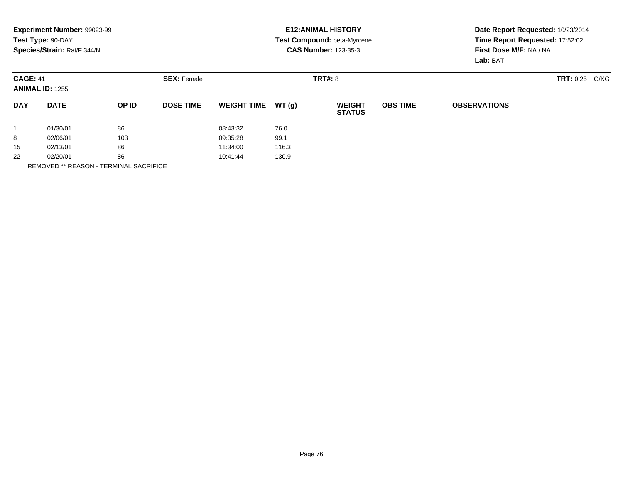|                                           | Experiment Number: 99023-99<br>Test Type: 90-DAY<br>Species/Strain: Rat/F 344/N |       |                    |                    |         | <b>E12: ANIMAL HISTORY</b><br>Test Compound: beta-Myrcene<br><b>CAS Number: 123-35-3</b> | Date Report Requested: 10/23/2014<br>Time Report Requested: 17:52:02<br>First Dose M/F: NA / NA<br>Lab: BAT |                     |                          |
|-------------------------------------------|---------------------------------------------------------------------------------|-------|--------------------|--------------------|---------|------------------------------------------------------------------------------------------|-------------------------------------------------------------------------------------------------------------|---------------------|--------------------------|
| <b>CAGE: 41</b><br><b>ANIMAL ID: 1255</b> |                                                                                 |       | <b>SEX: Female</b> |                    | TRT#: 8 |                                                                                          |                                                                                                             |                     | <b>TRT: 0.25</b><br>G/KG |
| <b>DAY</b>                                | <b>DATE</b>                                                                     | OP ID | <b>DOSE TIME</b>   | <b>WEIGHT TIME</b> | WT (q)  | <b>WEIGHT</b><br><b>STATUS</b>                                                           | <b>OBS TIME</b>                                                                                             | <b>OBSERVATIONS</b> |                          |
|                                           | 01/30/01                                                                        | 86    |                    | 08:43:32           | 76.0    |                                                                                          |                                                                                                             |                     |                          |
| 8                                         | 02/06/01                                                                        | 103   |                    | 09:35:28           | 99.1    |                                                                                          |                                                                                                             |                     |                          |
| 15                                        | 86<br>02/13/01                                                                  |       | 11:34:00           | 116.3              |         |                                                                                          |                                                                                                             |                     |                          |
| 22                                        | 02/20/01                                                                        | 86    |                    | 10:41:44           | 130.9   |                                                                                          |                                                                                                             |                     |                          |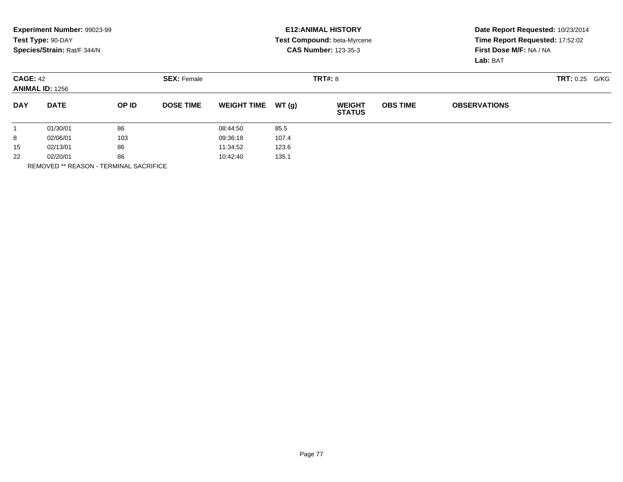|                                           | Experiment Number: 99023-99<br>Test Type: 90-DAY<br>Species/Strain: Rat/F 344/N |       |                    |                    |         | <b>E12: ANIMAL HISTORY</b><br><b>Test Compound: beta-Myrcene</b><br><b>CAS Number: 123-35-3</b> | Date Report Requested: 10/23/2014<br>Time Report Requested: 17:52:02<br>First Dose M/F: NA / NA<br>Lab: BAT |                     |                   |
|-------------------------------------------|---------------------------------------------------------------------------------|-------|--------------------|--------------------|---------|-------------------------------------------------------------------------------------------------|-------------------------------------------------------------------------------------------------------------|---------------------|-------------------|
| <b>CAGE: 42</b><br><b>ANIMAL ID: 1256</b> |                                                                                 |       | <b>SEX: Female</b> |                    | TRT#: 8 |                                                                                                 |                                                                                                             |                     | TRT: 0.25<br>G/KG |
| <b>DAY</b>                                | <b>DATE</b>                                                                     | OP ID | <b>DOSE TIME</b>   | <b>WEIGHT TIME</b> | WT (g)  | <b>WEIGHT</b><br><b>STATUS</b>                                                                  | <b>OBS TIME</b>                                                                                             | <b>OBSERVATIONS</b> |                   |
|                                           | 01/30/01                                                                        | 86    |                    | 08:44:50           | 85.5    |                                                                                                 |                                                                                                             |                     |                   |
| 8                                         | 02/06/01                                                                        | 103   |                    | 09:36:18           | 107.4   |                                                                                                 |                                                                                                             |                     |                   |
| 15                                        | 02/13/01                                                                        | 86    |                    | 11:34:52           | 123.6   |                                                                                                 |                                                                                                             |                     |                   |
| 22                                        | 02/20/01                                                                        | 86    |                    | 10:42:40           | 135.1   |                                                                                                 |                                                                                                             |                     |                   |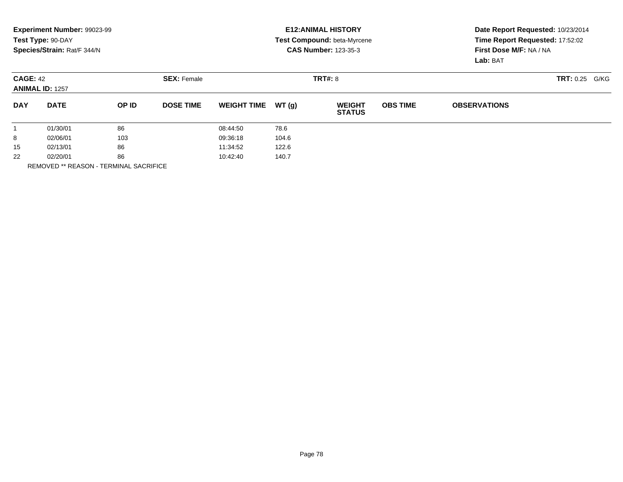|                                           | Experiment Number: 99023-99<br>Test Type: 90-DAY<br>Species/Strain: Rat/F 344/N |                    |                  |                    |        | <b>E12: ANIMAL HISTORY</b><br><b>Test Compound: beta-Myrcene</b><br><b>CAS Number: 123-35-3</b> | Date Report Requested: 10/23/2014<br>Time Report Requested: 17:52:02<br>First Dose M/F: NA / NA<br>Lab: BAT |                     |  |
|-------------------------------------------|---------------------------------------------------------------------------------|--------------------|------------------|--------------------|--------|-------------------------------------------------------------------------------------------------|-------------------------------------------------------------------------------------------------------------|---------------------|--|
| <b>CAGE: 42</b><br><b>ANIMAL ID: 1257</b> |                                                                                 | <b>SEX: Female</b> |                  | <b>TRT#: 8</b>     |        |                                                                                                 |                                                                                                             | TRT: 0.25<br>G/KG   |  |
| <b>DAY</b>                                | <b>DATE</b>                                                                     | OP ID              | <b>DOSE TIME</b> | <b>WEIGHT TIME</b> | WT (q) | <b>WEIGHT</b><br><b>STATUS</b>                                                                  | <b>OBS TIME</b>                                                                                             | <b>OBSERVATIONS</b> |  |
|                                           | 01/30/01                                                                        | 86                 |                  | 08:44:50           | 78.6   |                                                                                                 |                                                                                                             |                     |  |
| 8                                         | 02/06/01                                                                        | 103                |                  | 09:36:18           | 104.6  |                                                                                                 |                                                                                                             |                     |  |
| 15                                        | 02/13/01                                                                        | 86                 |                  | 11:34:52           | 122.6  |                                                                                                 |                                                                                                             |                     |  |
| 22                                        | 02/20/01                                                                        | 86                 |                  | 10:42:40           | 140.7  |                                                                                                 |                                                                                                             |                     |  |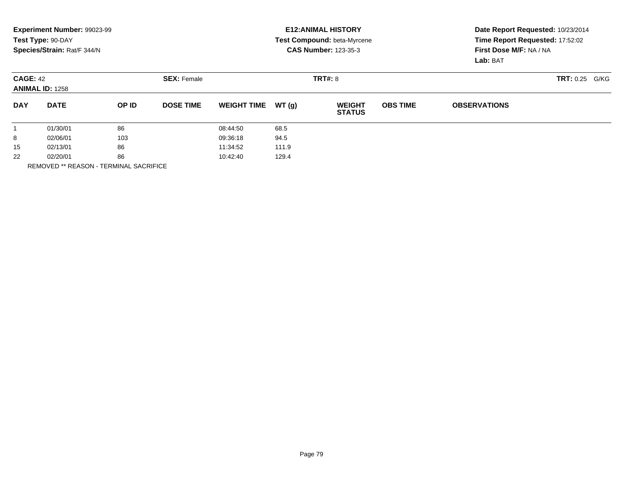|                                           | Experiment Number: 99023-99<br>Test Type: 90-DAY<br>Species/Strain: Rat/F 344/N |       |                    |                    |         | <b>E12: ANIMAL HISTORY</b><br><b>Test Compound: beta-Myrcene</b><br><b>CAS Number: 123-35-3</b> | Date Report Requested: 10/23/2014<br>Time Report Requested: 17:52:02<br>First Dose M/F: NA / NA<br>Lab: BAT |                     |                   |
|-------------------------------------------|---------------------------------------------------------------------------------|-------|--------------------|--------------------|---------|-------------------------------------------------------------------------------------------------|-------------------------------------------------------------------------------------------------------------|---------------------|-------------------|
| <b>CAGE: 42</b><br><b>ANIMAL ID: 1258</b> |                                                                                 |       | <b>SEX: Female</b> |                    | TRT#: 8 |                                                                                                 |                                                                                                             |                     | TRT: 0.25<br>G/KG |
| <b>DAY</b>                                | <b>DATE</b>                                                                     | OP ID | <b>DOSE TIME</b>   | <b>WEIGHT TIME</b> | WT (g)  | <b>WEIGHT</b><br><b>STATUS</b>                                                                  | <b>OBS TIME</b>                                                                                             | <b>OBSERVATIONS</b> |                   |
|                                           | 01/30/01                                                                        | 86    |                    | 08:44:50           | 68.5    |                                                                                                 |                                                                                                             |                     |                   |
| 8                                         | 02/06/01                                                                        | 103   |                    | 09:36:18           | 94.5    |                                                                                                 |                                                                                                             |                     |                   |
| 15                                        | 02/13/01                                                                        | 86    |                    | 11:34:52           | 111.9   |                                                                                                 |                                                                                                             |                     |                   |
| 22                                        | 02/20/01                                                                        | 86    |                    | 10:42:40           | 129.4   |                                                                                                 |                                                                                                             |                     |                   |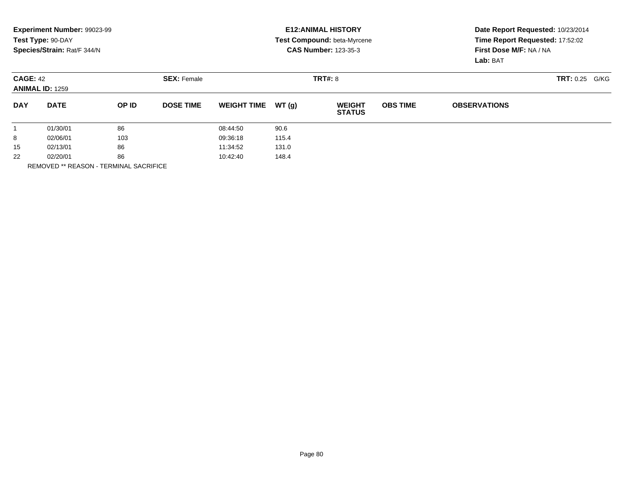|                                           | Experiment Number: 99023-99<br>Test Type: 90-DAY<br>Species/Strain: Rat/F 344/N |                    |                  |                    |       | <b>E12: ANIMAL HISTORY</b><br>Test Compound: beta-Myrcene<br><b>CAS Number: 123-35-3</b> |                 | Date Report Requested: 10/23/2014<br>Time Report Requested: 17:52:02<br>First Dose M/F: NA / NA<br>Lab: BAT |  |  |
|-------------------------------------------|---------------------------------------------------------------------------------|--------------------|------------------|--------------------|-------|------------------------------------------------------------------------------------------|-----------------|-------------------------------------------------------------------------------------------------------------|--|--|
| <b>CAGE: 42</b><br><b>ANIMAL ID: 1259</b> |                                                                                 | <b>SEX: Female</b> |                  | <b>TRT#: 8</b>     |       |                                                                                          |                 | TRT: 0.25<br>G/KG                                                                                           |  |  |
| <b>DAY</b>                                | <b>DATE</b>                                                                     | OP ID              | <b>DOSE TIME</b> | <b>WEIGHT TIME</b> | WT(q) | <b>WEIGHT</b><br><b>STATUS</b>                                                           | <b>OBS TIME</b> | <b>OBSERVATIONS</b>                                                                                         |  |  |
|                                           | 01/30/01                                                                        | 86                 |                  | 08:44:50           | 90.6  |                                                                                          |                 |                                                                                                             |  |  |
| 8                                         | 02/06/01                                                                        | 103                |                  | 09:36:18           | 115.4 |                                                                                          |                 |                                                                                                             |  |  |
| 15                                        | 02/13/01                                                                        | 86                 |                  | 11:34:52           | 131.0 |                                                                                          |                 |                                                                                                             |  |  |
| 22                                        | 02/20/01                                                                        | 86                 |                  | 10:42:40           | 148.4 |                                                                                          |                 |                                                                                                             |  |  |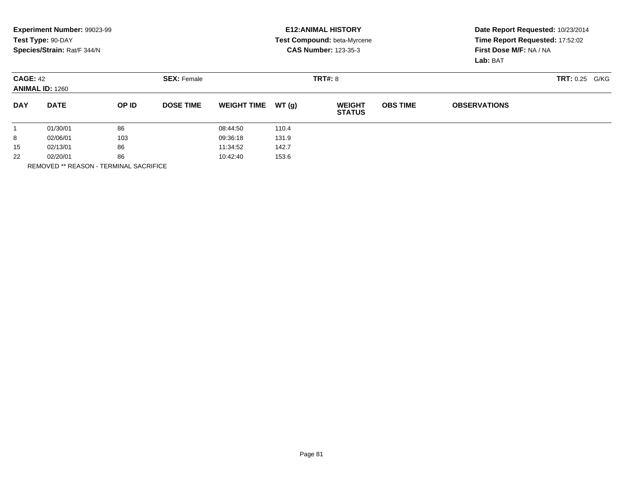|                                           | Experiment Number: 99023-99<br>Test Type: 90-DAY<br>Species/Strain: Rat/F 344/N |       |                    |                    |         | <b>E12: ANIMAL HISTORY</b><br><b>Test Compound: beta-Myrcene</b><br><b>CAS Number: 123-35-3</b> | Date Report Requested: 10/23/2014<br>Time Report Requested: 17:52:02<br>First Dose M/F: NA / NA<br>Lab: BAT |                     |                   |
|-------------------------------------------|---------------------------------------------------------------------------------|-------|--------------------|--------------------|---------|-------------------------------------------------------------------------------------------------|-------------------------------------------------------------------------------------------------------------|---------------------|-------------------|
| <b>CAGE: 42</b><br><b>ANIMAL ID: 1260</b> |                                                                                 |       | <b>SEX: Female</b> |                    | TRT#: 8 |                                                                                                 |                                                                                                             |                     | TRT: 0.25<br>G/KG |
| <b>DAY</b>                                | <b>DATE</b>                                                                     | OP ID | <b>DOSE TIME</b>   | <b>WEIGHT TIME</b> | WT (g)  | <b>WEIGHT</b><br><b>STATUS</b>                                                                  | <b>OBS TIME</b>                                                                                             | <b>OBSERVATIONS</b> |                   |
|                                           | 01/30/01                                                                        | 86    |                    | 08:44:50           | 110.4   |                                                                                                 |                                                                                                             |                     |                   |
| 8                                         | 02/06/01                                                                        | 103   |                    | 09:36:18           | 131.9   |                                                                                                 |                                                                                                             |                     |                   |
| 15                                        | 02/13/01                                                                        | 86    |                    | 11:34:52           | 142.7   |                                                                                                 |                                                                                                             |                     |                   |
| 22                                        | 02/20/01                                                                        | 86    |                    | 10:42:40           | 153.6   |                                                                                                 |                                                                                                             |                     |                   |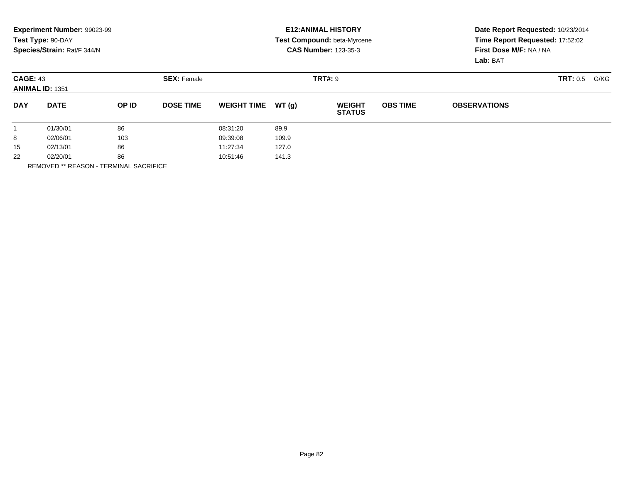|            | Experiment Number: 99023-99               |       |                    |                    |       | <b>E12: ANIMAL HISTORY</b>     | Date Report Requested: 10/23/2014 |                                                            |  |      |
|------------|-------------------------------------------|-------|--------------------|--------------------|-------|--------------------------------|-----------------------------------|------------------------------------------------------------|--|------|
|            | Test Type: 90-DAY                         |       |                    |                    |       | Test Compound: beta-Myrcene    |                                   | Time Report Requested: 17:52:02<br>First Dose M/F: NA / NA |  |      |
|            | Species/Strain: Rat/F 344/N               |       |                    |                    |       | <b>CAS Number: 123-35-3</b>    |                                   |                                                            |  |      |
|            |                                           |       |                    |                    |       |                                |                                   | Lab: BAT                                                   |  |      |
|            | <b>CAGE: 43</b><br><b>ANIMAL ID: 1351</b> |       | <b>SEX: Female</b> | <b>TRT#: 9</b>     |       |                                |                                   |                                                            |  | G/KG |
| <b>DAY</b> | <b>DATE</b>                               | OP ID | <b>DOSE TIME</b>   | <b>WEIGHT TIME</b> | WT(q) | <b>WEIGHT</b><br><b>STATUS</b> | <b>OBS TIME</b>                   | <b>OBSERVATIONS</b>                                        |  |      |
|            | 01/30/01                                  | 86    |                    | 08:31:20           | 89.9  |                                |                                   |                                                            |  |      |
| 8          | 02/06/01                                  | 103   |                    | 09:39:08           | 109.9 |                                |                                   |                                                            |  |      |
| 15         | 02/13/01                                  | 86    |                    | 11:27:34           | 127.0 |                                |                                   |                                                            |  |      |
| 22         | 02/20/01                                  | 86    |                    | 10:51:46           | 141.3 |                                |                                   |                                                            |  |      |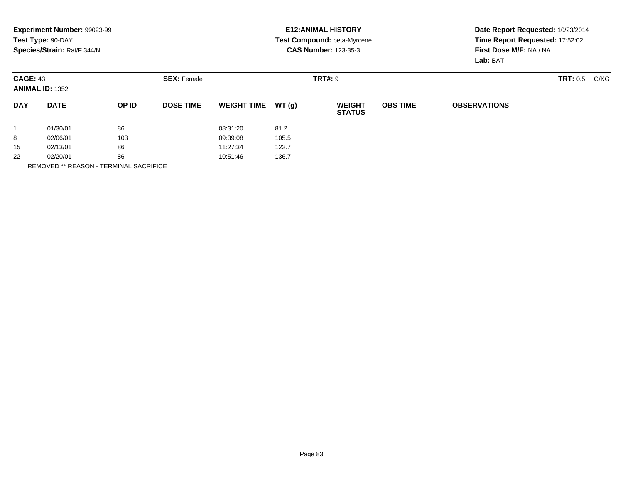|            | Experiment Number: 99023-99               |       |                    |                    |       | <b>E12: ANIMAL HISTORY</b>     | Date Report Requested: 10/23/2014 |                                                            |  |  |
|------------|-------------------------------------------|-------|--------------------|--------------------|-------|--------------------------------|-----------------------------------|------------------------------------------------------------|--|--|
|            | Test Type: 90-DAY                         |       |                    |                    |       | Test Compound: beta-Myrcene    |                                   | Time Report Requested: 17:52:02<br>First Dose M/F: NA / NA |  |  |
|            | Species/Strain: Rat/F 344/N               |       |                    |                    |       | <b>CAS Number: 123-35-3</b>    |                                   |                                                            |  |  |
|            |                                           |       |                    |                    |       |                                |                                   | Lab: BAT                                                   |  |  |
|            | <b>CAGE: 43</b><br><b>ANIMAL ID: 1352</b> |       | <b>SEX: Female</b> |                    |       | <b>TRT#: 9</b>                 |                                   | TRT: 0.5<br>G/KG                                           |  |  |
|            |                                           |       |                    |                    |       |                                |                                   |                                                            |  |  |
| <b>DAY</b> | <b>DATE</b>                               | OP ID | <b>DOSE TIME</b>   | <b>WEIGHT TIME</b> | WT(q) | <b>WEIGHT</b><br><b>STATUS</b> | <b>OBS TIME</b>                   | <b>OBSERVATIONS</b>                                        |  |  |
|            | 01/30/01                                  | 86    |                    | 08:31:20           | 81.2  |                                |                                   |                                                            |  |  |
| 8          | 02/06/01                                  | 103   |                    | 09:39:08           | 105.5 |                                |                                   |                                                            |  |  |
| 15         | 02/13/01                                  | 86    |                    | 11:27:34           | 122.7 |                                |                                   |                                                            |  |  |
| 22         | 02/20/01                                  | 86    |                    | 10:51:46           | 136.7 |                                |                                   |                                                            |  |  |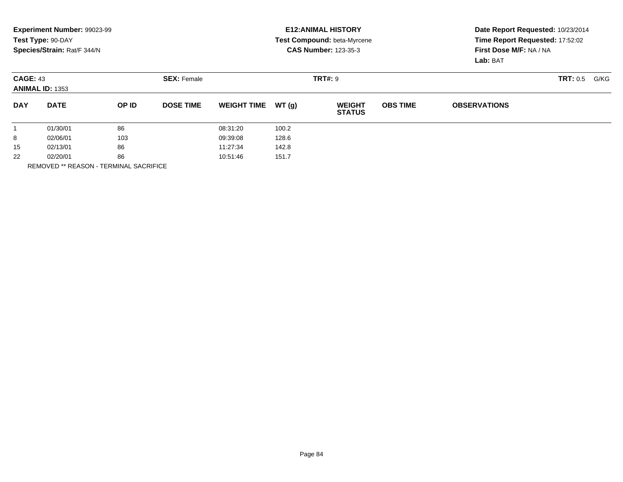|                                           | <b>Experiment Number: 99023-99</b><br>Test Type: 90-DAY<br>Species/Strain: Rat/F 344/N |                    |                  | <b>E12:ANIMAL HISTORY</b><br>Test Compound: beta-Myrcene<br><b>CAS Number: 123-35-3</b> | Date Report Requested: 10/23/2014<br>Time Report Requested: 17:52:02<br>First Dose M/F: NA / NA |                                |                 |                     |  |  |
|-------------------------------------------|----------------------------------------------------------------------------------------|--------------------|------------------|-----------------------------------------------------------------------------------------|-------------------------------------------------------------------------------------------------|--------------------------------|-----------------|---------------------|--|--|
|                                           |                                                                                        |                    |                  |                                                                                         |                                                                                                 |                                |                 | Lab: BAT            |  |  |
| <b>CAGE: 43</b><br><b>ANIMAL ID: 1353</b> |                                                                                        | <b>SEX: Female</b> |                  |                                                                                         | <b>TRT#: 9</b>                                                                                  |                                |                 | TRT: 0.5<br>G/KG    |  |  |
| <b>DAY</b>                                | <b>DATE</b>                                                                            | OP ID              | <b>DOSE TIME</b> | <b>WEIGHT TIME</b>                                                                      | WT(q)                                                                                           | <b>WEIGHT</b><br><b>STATUS</b> | <b>OBS TIME</b> | <b>OBSERVATIONS</b> |  |  |
|                                           | 01/30/01                                                                               | 86                 |                  | 08:31:20                                                                                | 100.2                                                                                           |                                |                 |                     |  |  |
| 8                                         | 02/06/01                                                                               | 103                |                  | 09:39:08                                                                                | 128.6                                                                                           |                                |                 |                     |  |  |
| 15                                        | 02/13/01                                                                               | 86                 |                  | 11:27:34                                                                                | 142.8                                                                                           |                                |                 |                     |  |  |
| 22                                        | 02/20/01                                                                               | 86                 |                  | 10:51:46                                                                                | 151.7                                                                                           |                                |                 |                     |  |  |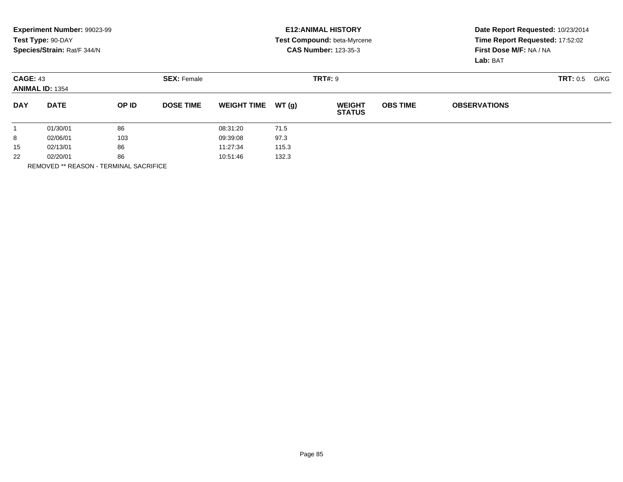|            | Experiment Number: 99023-99<br>Test Type: 90-DAY |       |                    | <b>E12: ANIMAL HISTORY</b><br>Test Compound: beta-Myrcene |       |                                |                                     | Date Report Requested: 10/23/2014<br>Time Report Requested: 17:52:02 |                 |      |  |
|------------|--------------------------------------------------|-------|--------------------|-----------------------------------------------------------|-------|--------------------------------|-------------------------------------|----------------------------------------------------------------------|-----------------|------|--|
|            | Species/Strain: Rat/F 344/N                      |       |                    |                                                           |       | <b>CAS Number: 123-35-3</b>    | First Dose M/F: NA / NA<br>Lab: BAT |                                                                      |                 |      |  |
|            | <b>CAGE: 43</b><br><b>ANIMAL ID: 1354</b>        |       | <b>SEX: Female</b> |                                                           |       | <b>TRT#: 9</b>                 |                                     |                                                                      | <b>TRT: 0.5</b> | G/KG |  |
| <b>DAY</b> | <b>DATE</b>                                      | OP ID | <b>DOSE TIME</b>   | <b>WEIGHT TIME</b>                                        | WT(q) | <b>WEIGHT</b><br><b>STATUS</b> | <b>OBS TIME</b>                     | <b>OBSERVATIONS</b>                                                  |                 |      |  |
|            | 01/30/01                                         | 86    |                    | 08:31:20                                                  | 71.5  |                                |                                     |                                                                      |                 |      |  |
| 8          | 02/06/01                                         | 103   |                    | 09:39:08                                                  | 97.3  |                                |                                     |                                                                      |                 |      |  |
| 15         | 02/13/01                                         | 86    |                    | 11:27:34                                                  | 115.3 |                                |                                     |                                                                      |                 |      |  |
| 22         | 02/20/01                                         | 86    |                    | 10:51:46                                                  | 132.3 |                                |                                     |                                                                      |                 |      |  |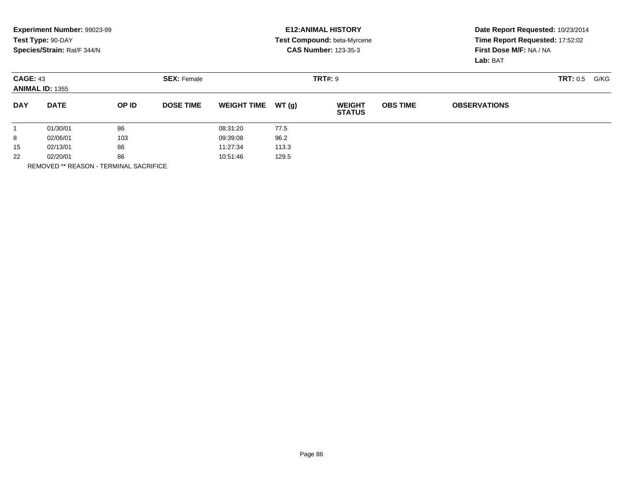|            | Experiment Number: 99023-99               |       |                    | <b>E12: ANIMAL HISTORY</b> |                |                                |                 | Date Report Requested: 10/23/2014 |          |      |  |
|------------|-------------------------------------------|-------|--------------------|----------------------------|----------------|--------------------------------|-----------------|-----------------------------------|----------|------|--|
|            | Test Type: 90-DAY                         |       |                    |                            |                | Test Compound: beta-Myrcene    |                 | Time Report Requested: 17:52:02   |          |      |  |
|            | Species/Strain: Rat/F 344/N               |       |                    |                            |                | <b>CAS Number: 123-35-3</b>    |                 | First Dose M/F: NA / NA           |          |      |  |
|            |                                           |       |                    |                            |                |                                |                 | Lab: BAT                          |          |      |  |
|            | <b>CAGE: 43</b><br><b>ANIMAL ID: 1355</b> |       | <b>SEX: Female</b> |                            | <b>TRT#: 9</b> |                                |                 |                                   | TRT: 0.5 | G/KG |  |
|            |                                           |       |                    |                            |                |                                |                 |                                   |          |      |  |
| <b>DAY</b> | <b>DATE</b>                               | OP ID | <b>DOSE TIME</b>   | <b>WEIGHT TIME</b>         | WT(q)          | <b>WEIGHT</b><br><b>STATUS</b> | <b>OBS TIME</b> | <b>OBSERVATIONS</b>               |          |      |  |
|            | 01/30/01                                  | 86    |                    | 08:31:20                   | 77.5           |                                |                 |                                   |          |      |  |
| 8          | 02/06/01                                  | 103   |                    | 09:39:08                   | 96.2           |                                |                 |                                   |          |      |  |
| 15         | 02/13/01                                  | 86    |                    | 11:27:34                   | 113.3          |                                |                 |                                   |          |      |  |
| 22         | 02/20/01                                  | 86    |                    | 10:51:46                   | 129.5          |                                |                 |                                   |          |      |  |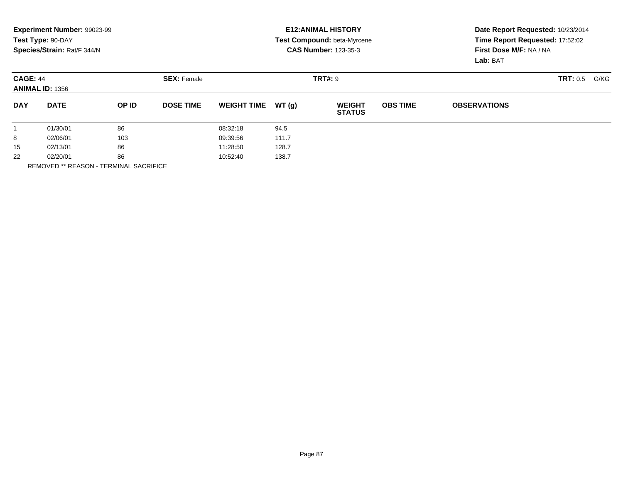|            | Experiment Number: 99023-99<br>Test Type: 90-DAY |       |                    | <b>E12: ANIMAL HISTORY</b><br>Test Compound: beta-Myrcene<br><b>CAS Number: 123-35-3</b> |       |                                |                 | Date Report Requested: 10/23/2014<br>Time Report Requested: 17:52:02 |                 |      |  |
|------------|--------------------------------------------------|-------|--------------------|------------------------------------------------------------------------------------------|-------|--------------------------------|-----------------|----------------------------------------------------------------------|-----------------|------|--|
|            | Species/Strain: Rat/F 344/N                      |       |                    |                                                                                          |       |                                |                 | First Dose M/F: NA / NA<br>Lab: BAT                                  |                 |      |  |
|            | <b>CAGE: 44</b><br><b>ANIMAL ID: 1356</b>        |       | <b>SEX: Female</b> |                                                                                          |       | <b>TRT#: 9</b>                 |                 |                                                                      | <b>TRT: 0.5</b> | G/KG |  |
| <b>DAY</b> | <b>DATE</b>                                      | OP ID | <b>DOSE TIME</b>   | <b>WEIGHT TIME</b>                                                                       | WT(q) | <b>WEIGHT</b><br><b>STATUS</b> | <b>OBS TIME</b> | <b>OBSERVATIONS</b>                                                  |                 |      |  |
|            | 01/30/01                                         | 86    |                    | 08:32:18                                                                                 | 94.5  |                                |                 |                                                                      |                 |      |  |
| 8          | 02/06/01                                         | 103   |                    | 09:39:56                                                                                 | 111.7 |                                |                 |                                                                      |                 |      |  |
| 15         | 02/13/01                                         | 86    |                    | 11:28:50                                                                                 | 128.7 |                                |                 |                                                                      |                 |      |  |
| 22         | 02/20/01                                         | 86    |                    | 10:52:40                                                                                 | 138.7 |                                |                 |                                                                      |                 |      |  |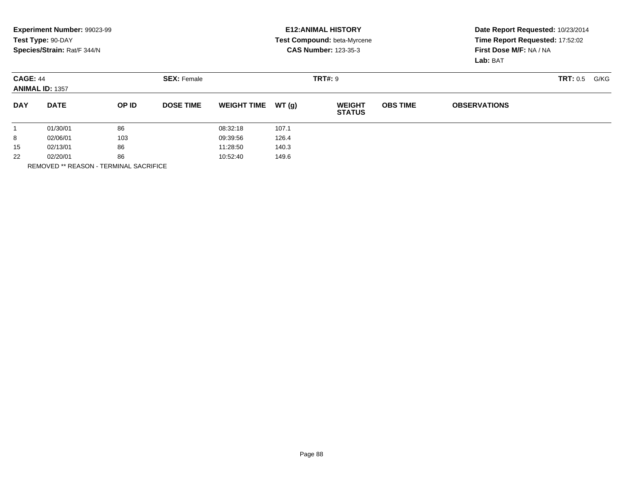|            | Experiment Number: 99023-99<br>Test Type: 90-DAY |       |                    | <b>E12: ANIMAL HISTORY</b><br>Test Compound: beta-Myrcene |                |                                |                 | Date Report Requested: 10/23/2014<br>Time Report Requested: 17:52:02 |                 |      |  |
|------------|--------------------------------------------------|-------|--------------------|-----------------------------------------------------------|----------------|--------------------------------|-----------------|----------------------------------------------------------------------|-----------------|------|--|
|            | Species/Strain: Rat/F 344/N                      |       |                    |                                                           |                | <b>CAS Number: 123-35-3</b>    |                 | First Dose M/F: NA / NA<br>Lab: BAT                                  |                 |      |  |
|            | <b>CAGE: 44</b><br><b>ANIMAL ID: 1357</b>        |       | <b>SEX: Female</b> |                                                           | <b>TRT#: 9</b> |                                |                 |                                                                      | <b>TRT: 0.5</b> | G/KG |  |
| <b>DAY</b> | <b>DATE</b>                                      | OP ID | <b>DOSE TIME</b>   | <b>WEIGHT TIME</b>                                        | WT(q)          | <b>WEIGHT</b><br><b>STATUS</b> | <b>OBS TIME</b> | <b>OBSERVATIONS</b>                                                  |                 |      |  |
|            | 01/30/01                                         | 86    |                    | 08:32:18                                                  | 107.1          |                                |                 |                                                                      |                 |      |  |
| 8          | 02/06/01                                         | 103   |                    | 09:39:56                                                  | 126.4          |                                |                 |                                                                      |                 |      |  |
| 15         | 02/13/01                                         | 86    |                    | 11:28:50                                                  | 140.3          |                                |                 |                                                                      |                 |      |  |
| 22         | 02/20/01                                         | 86    |                    | 10:52:40                                                  | 149.6          |                                |                 |                                                                      |                 |      |  |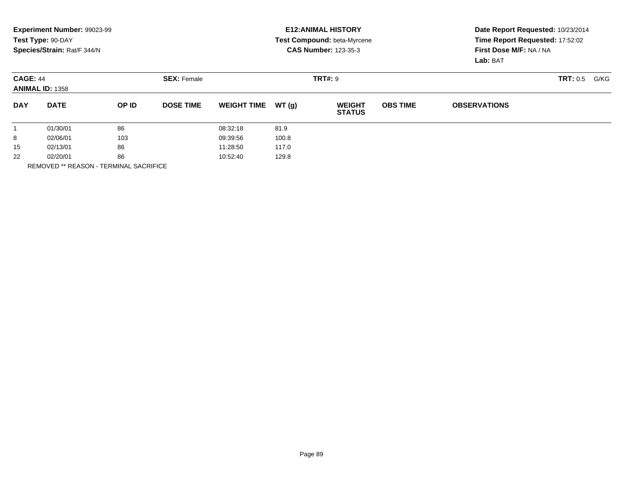|            | Experiment Number: 99023-99<br>Test Type: 90-DAY |       |                    | <b>E12: ANIMAL HISTORY</b><br>Test Compound: beta-Myrcene |       |                                |                 | Date Report Requested: 10/23/2014<br>Time Report Requested: 17:52:02 |                         |  |  |
|------------|--------------------------------------------------|-------|--------------------|-----------------------------------------------------------|-------|--------------------------------|-----------------|----------------------------------------------------------------------|-------------------------|--|--|
|            | Species/Strain: Rat/F 344/N                      |       |                    |                                                           |       | <b>CAS Number: 123-35-3</b>    |                 | First Dose M/F: NA / NA<br>Lab: BAT                                  |                         |  |  |
|            | <b>CAGE: 44</b><br><b>ANIMAL ID: 1358</b>        |       | <b>SEX: Female</b> |                                                           |       | <b>TRT#: 9</b>                 |                 |                                                                      | <b>TRT: 0.5</b><br>G/KG |  |  |
| <b>DAY</b> | <b>DATE</b>                                      | OP ID | <b>DOSE TIME</b>   | <b>WEIGHT TIME</b>                                        | WT(q) | <b>WEIGHT</b><br><b>STATUS</b> | <b>OBS TIME</b> | <b>OBSERVATIONS</b>                                                  |                         |  |  |
|            | 01/30/01                                         | 86    |                    | 08:32:18                                                  | 81.9  |                                |                 |                                                                      |                         |  |  |
| 8          | 02/06/01                                         | 103   |                    | 09:39:56                                                  | 100.8 |                                |                 |                                                                      |                         |  |  |
| 15         | 02/13/01                                         | 86    |                    | 11:28:50                                                  | 117.0 |                                |                 |                                                                      |                         |  |  |
| 22         | 02/20/01                                         | 86    |                    | 10:52:40                                                  | 129.8 |                                |                 |                                                                      |                         |  |  |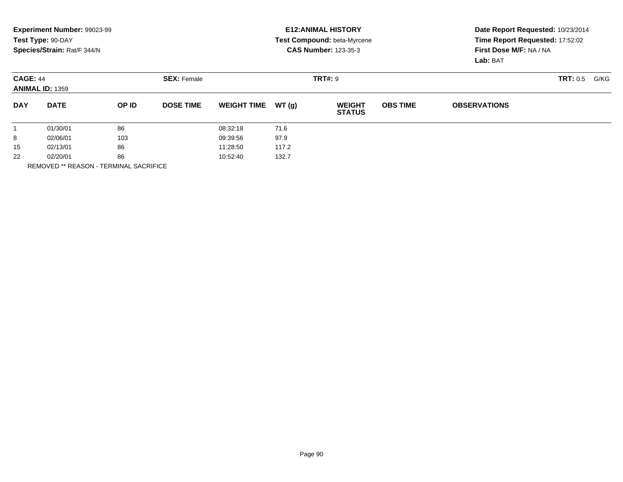|            | Experiment Number: 99023-99                      |       |                    | <b>E12: ANIMAL HISTORY</b><br>Test Compound: beta-Myrcene |       |                                |                 | Date Report Requested: 10/23/2014                          |                 |      |  |
|------------|--------------------------------------------------|-------|--------------------|-----------------------------------------------------------|-------|--------------------------------|-----------------|------------------------------------------------------------|-----------------|------|--|
|            | Test Type: 90-DAY<br>Species/Strain: Rat/F 344/N |       |                    |                                                           |       | <b>CAS Number: 123-35-3</b>    |                 | Time Report Requested: 17:52:02<br>First Dose M/F: NA / NA |                 |      |  |
|            |                                                  |       |                    |                                                           |       |                                |                 | Lab: BAT                                                   |                 |      |  |
|            | <b>CAGE: 44</b><br><b>ANIMAL ID: 1359</b>        |       | <b>SEX: Female</b> |                                                           |       | <b>TRT#: 9</b>                 |                 |                                                            | <b>TRT: 0.5</b> | G/KG |  |
| <b>DAY</b> | <b>DATE</b>                                      | OP ID | <b>DOSE TIME</b>   | <b>WEIGHT TIME</b>                                        | WT(q) | <b>WEIGHT</b><br><b>STATUS</b> | <b>OBS TIME</b> | <b>OBSERVATIONS</b>                                        |                 |      |  |
|            | 01/30/01                                         | 86    |                    | 08:32:18                                                  | 71.6  |                                |                 |                                                            |                 |      |  |
| 8          | 02/06/01                                         | 103   |                    | 09:39:56                                                  | 97.9  |                                |                 |                                                            |                 |      |  |
| 15         | 02/13/01                                         | 86    |                    | 11:28:50                                                  | 117.2 |                                |                 |                                                            |                 |      |  |
| 22         | 02/20/01                                         | 86    |                    | 10:52:40                                                  | 132.7 |                                |                 |                                                            |                 |      |  |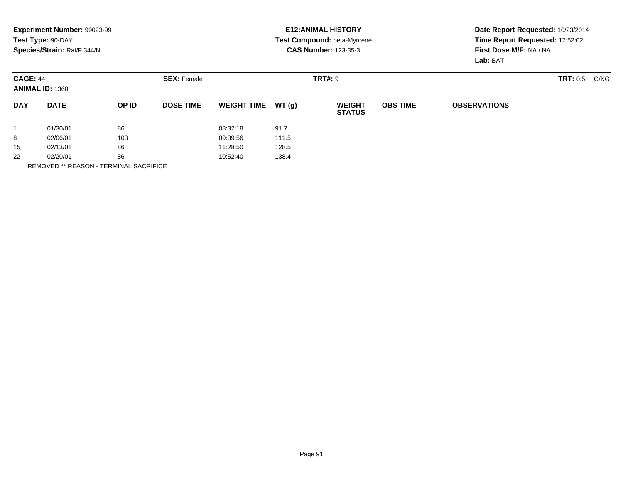|            | Experiment Number: 99023-99<br>Test Type: 90-DAY |       |                    | <b>E12: ANIMAL HISTORY</b><br>Test Compound: beta-Myrcene |       |                                |                 | Date Report Requested: 10/23/2014<br>Time Report Requested: 17:52:02 |                 |      |  |
|------------|--------------------------------------------------|-------|--------------------|-----------------------------------------------------------|-------|--------------------------------|-----------------|----------------------------------------------------------------------|-----------------|------|--|
|            | Species/Strain: Rat/F 344/N                      |       |                    |                                                           |       | <b>CAS Number: 123-35-3</b>    |                 | First Dose M/F: NA / NA<br>Lab: BAT                                  |                 |      |  |
|            | <b>CAGE: 44</b><br><b>ANIMAL ID: 1360</b>        |       | <b>SEX: Female</b> |                                                           |       | <b>TRT#: 9</b>                 |                 |                                                                      | <b>TRT: 0.5</b> | G/KG |  |
| <b>DAY</b> | <b>DATE</b>                                      | OP ID | <b>DOSE TIME</b>   | <b>WEIGHT TIME</b>                                        | WT(q) | <b>WEIGHT</b><br><b>STATUS</b> | <b>OBS TIME</b> | <b>OBSERVATIONS</b>                                                  |                 |      |  |
|            | 01/30/01                                         | 86    |                    | 08:32:18                                                  | 91.7  |                                |                 |                                                                      |                 |      |  |
| 8          | 02/06/01                                         | 103   |                    | 09:39:56                                                  | 111.5 |                                |                 |                                                                      |                 |      |  |
| 15         | 02/13/01                                         | 86    |                    | 11:28:50                                                  | 128.5 |                                |                 |                                                                      |                 |      |  |
| 22         | 02/20/01                                         | 86    |                    | 10:52:40                                                  | 138.4 |                                |                 |                                                                      |                 |      |  |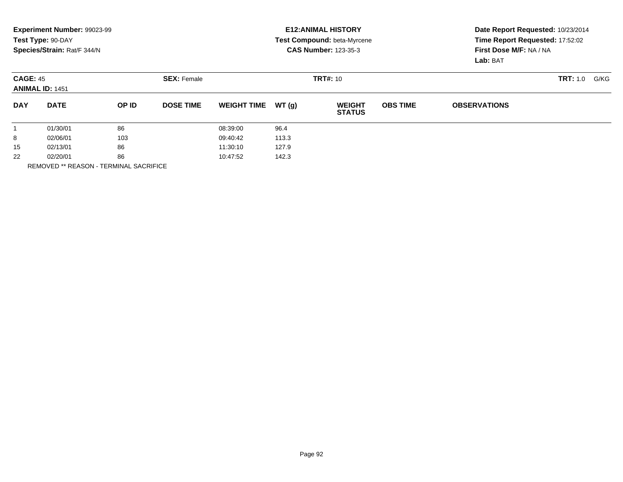|            | Experiment Number: 99023-99<br>Test Type: 90-DAY<br>Species/Strain: Rat/F 344/N |       |                    |                    |        | <b>E12: ANIMAL HISTORY</b><br><b>Test Compound: beta-Myrcene</b><br><b>CAS Number: 123-35-3</b> | Date Report Requested: 10/23/2014<br>Time Report Requested: 17:52:02<br>First Dose M/F: NA / NA<br>Lab: BAT |                     |                  |
|------------|---------------------------------------------------------------------------------|-------|--------------------|--------------------|--------|-------------------------------------------------------------------------------------------------|-------------------------------------------------------------------------------------------------------------|---------------------|------------------|
|            | <b>CAGE: 45</b><br><b>ANIMAL ID: 1451</b>                                       |       | <b>SEX: Female</b> |                    |        | <b>TRT#: 10</b>                                                                                 |                                                                                                             |                     | TRT: 1.0<br>G/KG |
| <b>DAY</b> | <b>DATE</b>                                                                     | OP ID | <b>DOSE TIME</b>   | <b>WEIGHT TIME</b> | WT (q) | <b>WEIGHT</b><br><b>STATUS</b>                                                                  | <b>OBS TIME</b>                                                                                             | <b>OBSERVATIONS</b> |                  |
|            | 01/30/01                                                                        | 86    |                    | 08:39:00           | 96.4   |                                                                                                 |                                                                                                             |                     |                  |
| 8          | 02/06/01                                                                        | 103   |                    | 09:40:42           | 113.3  |                                                                                                 |                                                                                                             |                     |                  |
| 15         | 02/13/01                                                                        | 86    |                    | 11:30:10           | 127.9  |                                                                                                 |                                                                                                             |                     |                  |
| 22         | 02/20/01                                                                        | 86    |                    | 10:47:52           | 142.3  |                                                                                                 |                                                                                                             |                     |                  |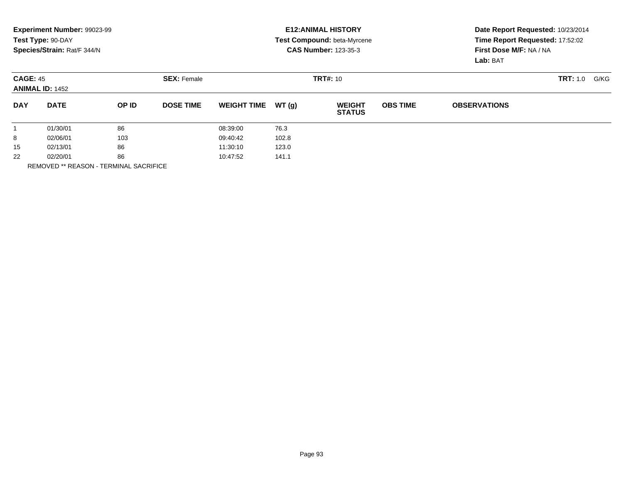|            | Experiment Number: 99023-99<br>Test Type: 90-DAY<br>Species/Strain: Rat/F 344/N |       |                    |                    |        | <b>E12: ANIMAL HISTORY</b><br>Test Compound: beta-Myrcene<br><b>CAS Number: 123-35-3</b> | Date Report Requested: 10/23/2014<br>Time Report Requested: 17:52:02<br>First Dose M/F: NA / NA<br>Lab: BAT |                     |                  |
|------------|---------------------------------------------------------------------------------|-------|--------------------|--------------------|--------|------------------------------------------------------------------------------------------|-------------------------------------------------------------------------------------------------------------|---------------------|------------------|
|            | <b>CAGE: 45</b><br><b>ANIMAL ID: 1452</b>                                       |       | <b>SEX: Female</b> |                    |        | <b>TRT#: 10</b>                                                                          |                                                                                                             |                     | TRT: 1.0<br>G/KG |
| <b>DAY</b> | <b>DATE</b>                                                                     | OP ID | <b>DOSE TIME</b>   | <b>WEIGHT TIME</b> | WT (q) | <b>WEIGHT</b><br><b>STATUS</b>                                                           | <b>OBS TIME</b>                                                                                             | <b>OBSERVATIONS</b> |                  |
|            | 01/30/01                                                                        | 86    |                    | 08:39:00           | 76.3   |                                                                                          |                                                                                                             |                     |                  |
| 8          | 02/06/01                                                                        | 103   |                    | 09:40:42           | 102.8  |                                                                                          |                                                                                                             |                     |                  |
| 15         | 02/13/01                                                                        | 86    |                    | 11:30:10           | 123.0  |                                                                                          |                                                                                                             |                     |                  |
| 22         | 02/20/01                                                                        | 86    |                    | 10:47:52           | 141.1  |                                                                                          |                                                                                                             |                     |                  |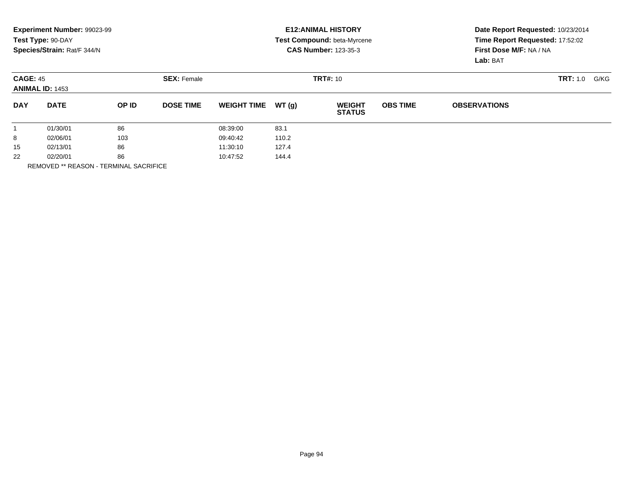|            | Experiment Number: 99023-99<br>Test Type: 90-DAY<br>Species/Strain: Rat/F 344/N |       |                    |                    |       | <b>E12: ANIMAL HISTORY</b><br>Test Compound: beta-Myrcene<br><b>CAS Number: 123-35-3</b> | Date Report Requested: 10/23/2014<br>Time Report Requested: 17:52:02<br>First Dose M/F: NA / NA<br>Lab: BAT |                     |                         |  |
|------------|---------------------------------------------------------------------------------|-------|--------------------|--------------------|-------|------------------------------------------------------------------------------------------|-------------------------------------------------------------------------------------------------------------|---------------------|-------------------------|--|
|            | <b>CAGE: 45</b><br><b>ANIMAL ID: 1453</b>                                       |       | <b>SEX: Female</b> |                    |       | <b>TRT#: 10</b>                                                                          |                                                                                                             |                     | <b>TRT:</b> 1.0<br>G/KG |  |
| <b>DAY</b> | <b>DATE</b>                                                                     | OP ID | <b>DOSE TIME</b>   | <b>WEIGHT TIME</b> | WT(q) | <b>WEIGHT</b><br><b>STATUS</b>                                                           | <b>OBS TIME</b>                                                                                             | <b>OBSERVATIONS</b> |                         |  |
|            | 01/30/01                                                                        | 86    |                    | 08:39:00           | 83.1  |                                                                                          |                                                                                                             |                     |                         |  |
| 8          | 02/06/01                                                                        | 103   |                    | 09:40:42           | 110.2 |                                                                                          |                                                                                                             |                     |                         |  |
| 15         | 02/13/01                                                                        | 86    |                    | 11:30:10           | 127.4 |                                                                                          |                                                                                                             |                     |                         |  |
| 22         | 02/20/01                                                                        | 86    |                    | 10:47:52           | 144.4 |                                                                                          |                                                                                                             |                     |                         |  |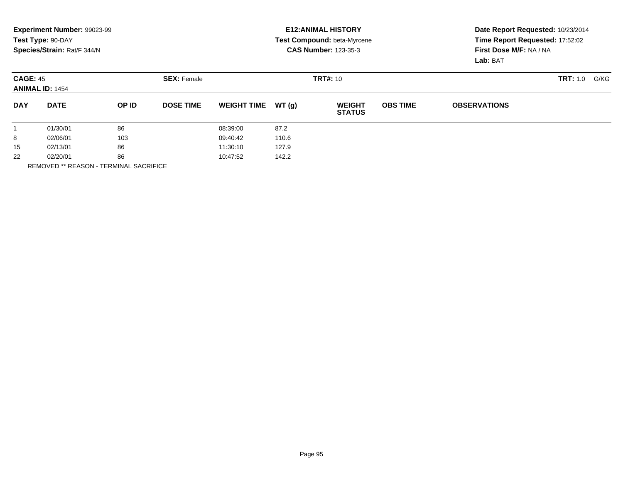|            | Experiment Number: 99023-99<br>Test Type: 90-DAY<br>Species/Strain: Rat/F 344/N |       |                    |                    |       | <b>E12: ANIMAL HISTORY</b><br>Test Compound: beta-Myrcene<br><b>CAS Number: 123-35-3</b> | Date Report Requested: 10/23/2014<br>Time Report Requested: 17:52:02<br>First Dose M/F: NA / NA<br>Lab: BAT |                     |                         |  |
|------------|---------------------------------------------------------------------------------|-------|--------------------|--------------------|-------|------------------------------------------------------------------------------------------|-------------------------------------------------------------------------------------------------------------|---------------------|-------------------------|--|
|            | <b>CAGE: 45</b><br><b>ANIMAL ID: 1454</b>                                       |       | <b>SEX: Female</b> |                    |       | <b>TRT#: 10</b>                                                                          |                                                                                                             |                     | <b>TRT:</b> 1.0<br>G/KG |  |
| <b>DAY</b> | <b>DATE</b>                                                                     | OP ID | <b>DOSE TIME</b>   | <b>WEIGHT TIME</b> | WT(q) | <b>WEIGHT</b><br><b>STATUS</b>                                                           | <b>OBS TIME</b>                                                                                             | <b>OBSERVATIONS</b> |                         |  |
|            | 01/30/01                                                                        | 86    |                    | 08:39:00           | 87.2  |                                                                                          |                                                                                                             |                     |                         |  |
| 8          | 02/06/01                                                                        | 103   |                    | 09:40:42           | 110.6 |                                                                                          |                                                                                                             |                     |                         |  |
| 15         | 02/13/01                                                                        | 86    |                    | 11:30:10           | 127.9 |                                                                                          |                                                                                                             |                     |                         |  |
| 22         | 02/20/01                                                                        | 86    |                    | 10:47:52           | 142.2 |                                                                                          |                                                                                                             |                     |                         |  |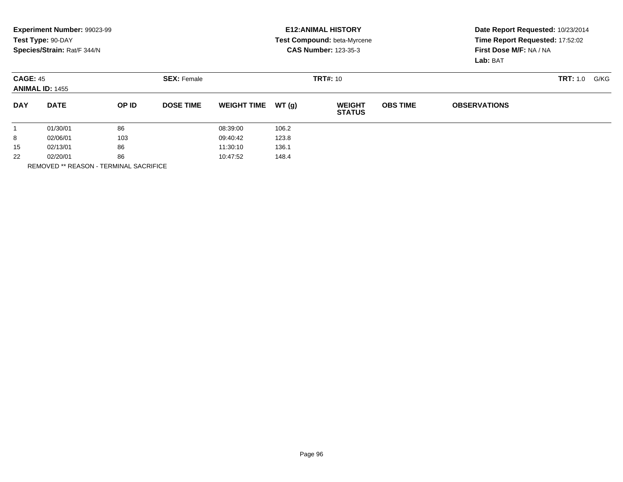|            | Experiment Number: 99023-99<br>Test Type: 90-DAY<br>Species/Strain: Rat/F 344/N |       |                    |                    |                 | <b>E12: ANIMAL HISTORY</b><br><b>Test Compound: beta-Myrcene</b><br><b>CAS Number: 123-35-3</b> | Date Report Requested: 10/23/2014<br>Time Report Requested: 17:52:02<br>First Dose M/F: NA / NA<br>Lab: BAT |                     |          |      |
|------------|---------------------------------------------------------------------------------|-------|--------------------|--------------------|-----------------|-------------------------------------------------------------------------------------------------|-------------------------------------------------------------------------------------------------------------|---------------------|----------|------|
|            | <b>CAGE: 45</b><br><b>ANIMAL ID: 1455</b>                                       |       | <b>SEX: Female</b> |                    | <b>TRT#: 10</b> |                                                                                                 |                                                                                                             |                     | TRT: 1.0 | G/KG |
| <b>DAY</b> | <b>DATE</b>                                                                     | OP ID | <b>DOSE TIME</b>   | <b>WEIGHT TIME</b> | WT(q)           | <b>WEIGHT</b><br><b>STATUS</b>                                                                  | <b>OBS TIME</b>                                                                                             | <b>OBSERVATIONS</b> |          |      |
|            | 01/30/01                                                                        | 86    |                    | 08:39:00           | 106.2           |                                                                                                 |                                                                                                             |                     |          |      |
| 8          | 02/06/01                                                                        | 103   |                    | 09:40:42           | 123.8           |                                                                                                 |                                                                                                             |                     |          |      |
| 15         | 02/13/01                                                                        | 86    |                    | 11:30:10           | 136.1           |                                                                                                 |                                                                                                             |                     |          |      |
| 22         | 02/20/01                                                                        | 86    |                    | 10:47:52           | 148.4           |                                                                                                 |                                                                                                             |                     |          |      |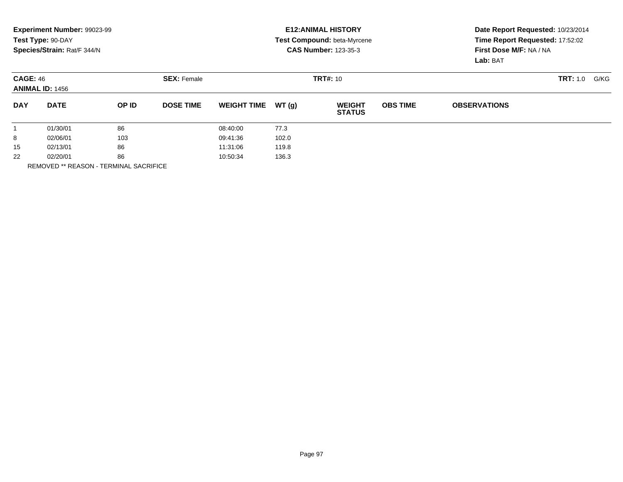|            | Experiment Number: 99023-99<br>Test Type: 90-DAY<br>Species/Strain: Rat/F 344/N |       |                                       |                    |       | <b>E12: ANIMAL HISTORY</b><br>Test Compound: beta-Myrcene<br><b>CAS Number: 123-35-3</b> | Date Report Requested: 10/23/2014<br>Time Report Requested: 17:52:02<br>First Dose M/F: NA / NA<br>Lab: BAT |                     |      |  |
|------------|---------------------------------------------------------------------------------|-------|---------------------------------------|--------------------|-------|------------------------------------------------------------------------------------------|-------------------------------------------------------------------------------------------------------------|---------------------|------|--|
|            | <b>CAGE: 46</b><br><b>ANIMAL ID: 1456</b>                                       |       | <b>TRT#: 10</b><br><b>SEX: Female</b> |                    |       |                                                                                          |                                                                                                             | <b>TRT:</b> 1.0     | G/KG |  |
| <b>DAY</b> | <b>DATE</b>                                                                     | OP ID | <b>DOSE TIME</b>                      | <b>WEIGHT TIME</b> | WT(q) | <b>WEIGHT</b><br><b>STATUS</b>                                                           | <b>OBS TIME</b>                                                                                             | <b>OBSERVATIONS</b> |      |  |
|            | 01/30/01                                                                        | 86    |                                       | 08:40:00           | 77.3  |                                                                                          |                                                                                                             |                     |      |  |
| 8          | 02/06/01                                                                        | 103   |                                       | 09:41:36           | 102.0 |                                                                                          |                                                                                                             |                     |      |  |
| 15         | 86<br>02/13/01                                                                  |       | 11:31:06                              | 119.8              |       |                                                                                          |                                                                                                             |                     |      |  |
| 22         | 86<br>02/20/01                                                                  |       |                                       | 10:50:34<br>136.3  |       |                                                                                          |                                                                                                             |                     |      |  |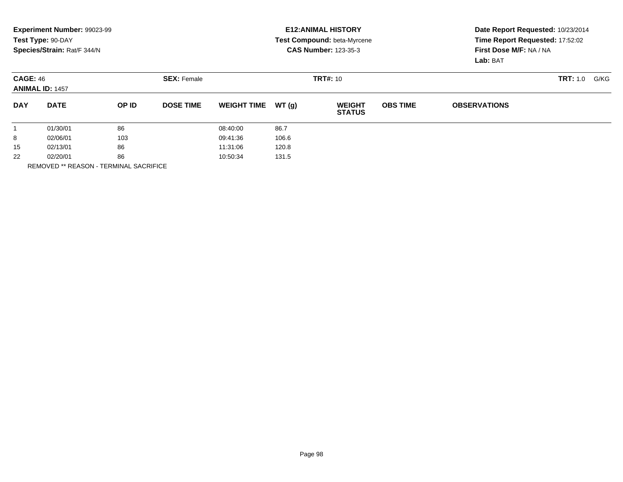|            | Experiment Number: 99023-99<br>Test Type: 90-DAY<br>Species/Strain: Rat/F 344/N |       |                                       |                    |       | <b>E12: ANIMAL HISTORY</b><br><b>Test Compound: beta-Myrcene</b><br><b>CAS Number: 123-35-3</b> | Date Report Requested: 10/23/2014<br>Time Report Requested: 17:52:02<br>First Dose M/F: NA / NA<br>Lab: BAT |                     |                  |
|------------|---------------------------------------------------------------------------------|-------|---------------------------------------|--------------------|-------|-------------------------------------------------------------------------------------------------|-------------------------------------------------------------------------------------------------------------|---------------------|------------------|
|            | <b>CAGE: 46</b><br><b>ANIMAL ID: 1457</b>                                       |       | <b>SEX: Female</b><br><b>TRT#: 10</b> |                    |       |                                                                                                 |                                                                                                             |                     | TRT: 1.0<br>G/KG |
| <b>DAY</b> | <b>DATE</b>                                                                     | OP ID | <b>DOSE TIME</b>                      | <b>WEIGHT TIME</b> | WT(q) | <b>WEIGHT</b><br><b>STATUS</b>                                                                  | <b>OBS TIME</b>                                                                                             | <b>OBSERVATIONS</b> |                  |
|            | 01/30/01                                                                        | 86    |                                       | 08:40:00           | 86.7  |                                                                                                 |                                                                                                             |                     |                  |
| 8          | 02/06/01                                                                        | 103   |                                       | 09:41:36           | 106.6 |                                                                                                 |                                                                                                             |                     |                  |
| 15         | 86<br>02/13/01                                                                  |       |                                       | 11:31:06           | 120.8 |                                                                                                 |                                                                                                             |                     |                  |
| 22         | 86<br>02/20/01                                                                  |       |                                       | 131.5<br>10:50:34  |       |                                                                                                 |                                                                                                             |                     |                  |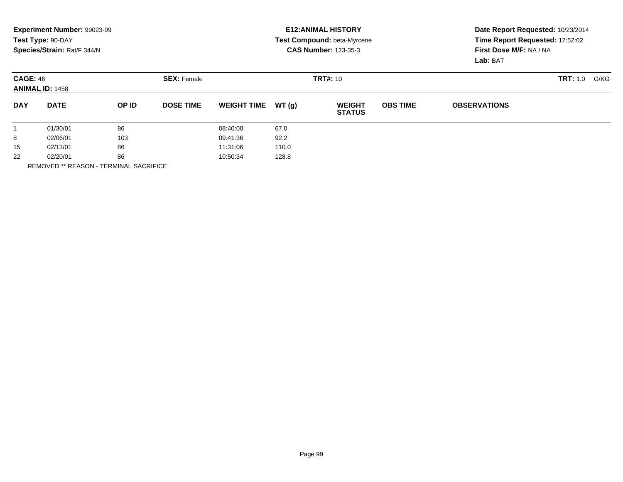|                      | Experiment Number: 99023-99<br>Test Type: 90-DAY<br>Species/Strain: Rat/F 344/N |          |                    |                    |        | <b>E12: ANIMAL HISTORY</b><br>Test Compound: beta-Myrcene<br><b>CAS Number: 123-35-3</b> | Date Report Requested: 10/23/2014<br>Time Report Requested: 17:52:02<br>First Dose M/F: NA / NA<br>Lab: BAT |                     |                  |
|----------------------|---------------------------------------------------------------------------------|----------|--------------------|--------------------|--------|------------------------------------------------------------------------------------------|-------------------------------------------------------------------------------------------------------------|---------------------|------------------|
|                      | <b>CAGE: 46</b><br><b>ANIMAL ID: 1458</b>                                       |          | <b>SEX: Female</b> | <b>TRT#: 10</b>    |        |                                                                                          |                                                                                                             |                     | TRT: 1.0<br>G/KG |
| <b>DAY</b>           | <b>DATE</b>                                                                     | OP ID    | <b>DOSE TIME</b>   | <b>WEIGHT TIME</b> | WT (q) | <b>WEIGHT</b><br><b>STATUS</b>                                                           | <b>OBS TIME</b>                                                                                             | <b>OBSERVATIONS</b> |                  |
|                      | 01/30/01                                                                        | 86       |                    | 08:40:00           | 67.0   |                                                                                          |                                                                                                             |                     |                  |
| 8                    | 02/06/01                                                                        | 103      |                    | 09:41:36           | 92.2   |                                                                                          |                                                                                                             |                     |                  |
| 86<br>15<br>02/13/01 |                                                                                 | 11:31:06 | 110.0              |                    |        |                                                                                          |                                                                                                             |                     |                  |
| 22                   | 86<br>02/20/01                                                                  |          |                    | 128.8<br>10:50:34  |        |                                                                                          |                                                                                                             |                     |                  |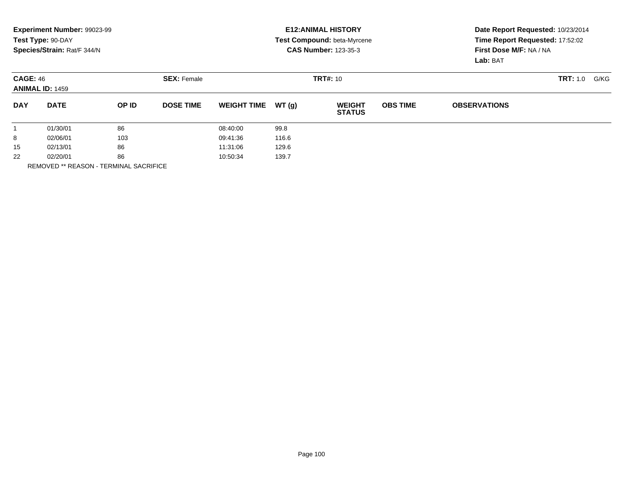|            | Experiment Number: 99023-99<br>Test Type: 90-DAY<br>Species/Strain: Rat/F 344/N |       |                                       |                    |        | <b>E12: ANIMAL HISTORY</b><br>Test Compound: beta-Myrcene<br><b>CAS Number: 123-35-3</b> | Date Report Requested: 10/23/2014<br>Time Report Requested: 17:52:02<br>First Dose M/F: NA / NA<br>Lab: BAT |                     |                  |
|------------|---------------------------------------------------------------------------------|-------|---------------------------------------|--------------------|--------|------------------------------------------------------------------------------------------|-------------------------------------------------------------------------------------------------------------|---------------------|------------------|
|            | <b>CAGE: 46</b><br><b>ANIMAL ID: 1459</b>                                       |       | <b>SEX: Female</b><br><b>TRT#: 10</b> |                    |        |                                                                                          |                                                                                                             |                     | TRT: 1.0<br>G/KG |
| <b>DAY</b> | <b>DATE</b>                                                                     | OP ID | <b>DOSE TIME</b>                      | <b>WEIGHT TIME</b> | WT (q) | <b>WEIGHT</b><br><b>STATUS</b>                                                           | <b>OBS TIME</b>                                                                                             | <b>OBSERVATIONS</b> |                  |
|            | 01/30/01                                                                        | 86    |                                       | 08:40:00           | 99.8   |                                                                                          |                                                                                                             |                     |                  |
| 8          | 02/06/01                                                                        | 103   |                                       | 09:41:36           | 116.6  |                                                                                          |                                                                                                             |                     |                  |
| 15         | 86<br>02/13/01                                                                  |       | 11:31:06                              | 129.6              |        |                                                                                          |                                                                                                             |                     |                  |
| 22         | 86<br>02/20/01                                                                  |       |                                       | 139.7<br>10:50:34  |        |                                                                                          |                                                                                                             |                     |                  |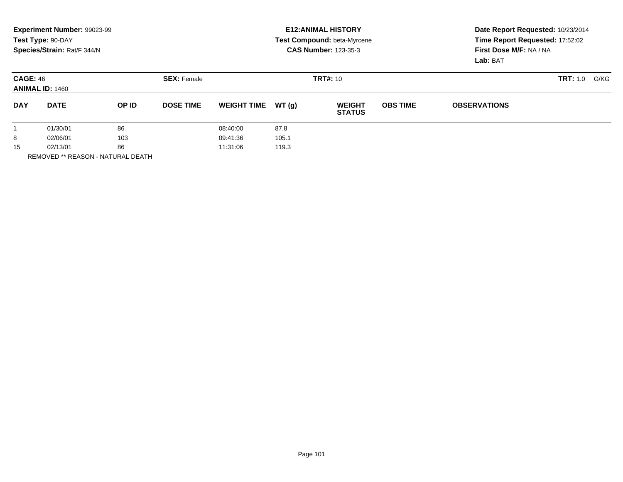|            | Experiment Number: 99023-99<br>Test Type: 90-DAY<br>Species/Strain: Rat/F 344/N | <b>E12: ANIMAL HISTORY</b><br><b>Test Compound: beta-Myrcene</b><br><b>CAS Number: 123-35-3</b> |                                       |                                  |                        | Date Report Requested: 10/23/2014<br>Time Report Requested: 17:52:02<br>First Dose M/F: NA / NA<br>Lab: BAT |                 |                     |                         |
|------------|---------------------------------------------------------------------------------|-------------------------------------------------------------------------------------------------|---------------------------------------|----------------------------------|------------------------|-------------------------------------------------------------------------------------------------------------|-----------------|---------------------|-------------------------|
|            | <b>CAGE: 46</b><br><b>ANIMAL ID: 1460</b>                                       |                                                                                                 | <b>SEX: Female</b><br><b>TRT#: 10</b> |                                  |                        |                                                                                                             |                 |                     | <b>TRT:</b> 1.0<br>G/KG |
| <b>DAY</b> | <b>DATE</b>                                                                     | OP ID                                                                                           | <b>DOSE TIME</b>                      | <b>WEIGHT TIME</b>               | WT(q)                  | <b>WEIGHT</b><br><b>STATUS</b>                                                                              | <b>OBS TIME</b> | <b>OBSERVATIONS</b> |                         |
| 8<br>15    | 01/30/01<br>02/06/01<br>02/13/01                                                | 86<br>103<br>86                                                                                 |                                       | 08:40:00<br>09:41:36<br>11:31:06 | 87.8<br>105.1<br>119.3 |                                                                                                             |                 |                     |                         |

REMOVED \*\* REASON - NATURAL DEATH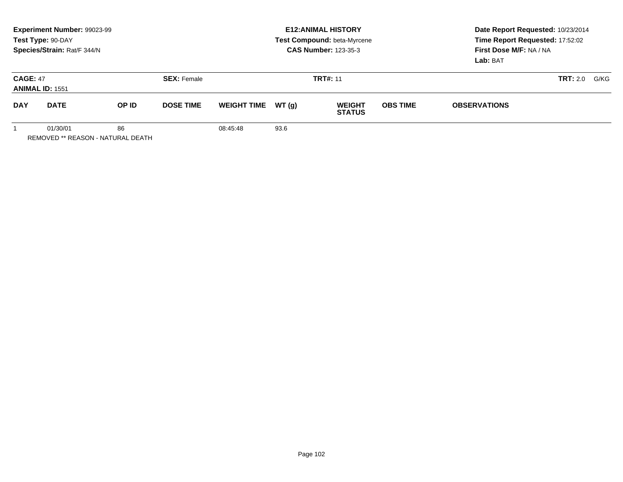| Experiment Number: 99023-99<br>Test Type: 90-DAY<br>Species/Strain: Rat/F 344/N |                                                     |       |                                       | <b>E12: ANIMAL HISTORY</b><br>Test Compound: beta-Myrcene<br><b>CAS Number: 123-35-3</b> |        |                                |                 | Date Report Requested: 10/23/2014<br>Time Report Requested: 17:52:02<br>First Dose M/F: NA / NA<br>Lab: BAT |                 |      |
|---------------------------------------------------------------------------------|-----------------------------------------------------|-------|---------------------------------------|------------------------------------------------------------------------------------------|--------|--------------------------------|-----------------|-------------------------------------------------------------------------------------------------------------|-----------------|------|
| <b>CAGE: 47</b><br><b>ANIMAL ID: 1551</b>                                       |                                                     |       | <b>TRT#: 11</b><br><b>SEX: Female</b> |                                                                                          |        |                                |                 |                                                                                                             | <b>TRT:</b> 2.0 | G/KG |
| <b>DAY</b>                                                                      | <b>DATE</b>                                         | OP ID | <b>DOSE TIME</b>                      | <b>WEIGHT TIME</b>                                                                       | WT (a) | <b>WEIGHT</b><br><b>STATUS</b> | <b>OBS TIME</b> | <b>OBSERVATIONS</b>                                                                                         |                 |      |
|                                                                                 | 01/30/01<br>86<br>REMOVED ** REASON - NATURAL DEATH |       |                                       | 08:45:48                                                                                 | 93.6   |                                |                 |                                                                                                             |                 |      |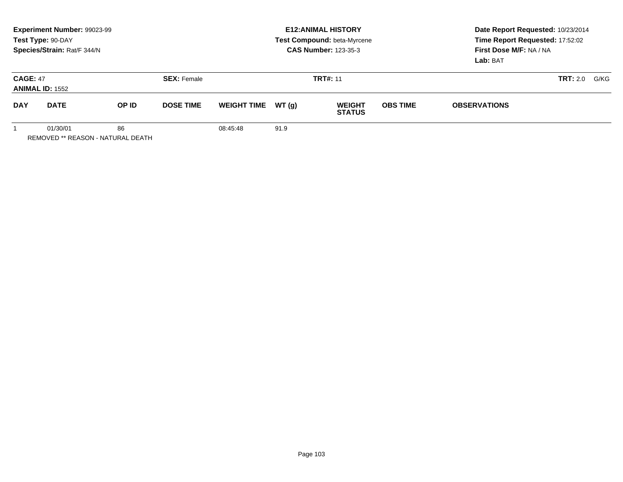|                                           | Experiment Number: 99023-99<br>Test Type: 90-DAY<br>Species/Strain: Rat/F 344/N |       |                                       | <b>E12: ANIMAL HISTORY</b><br>Test Compound: beta-Myrcene<br><b>CAS Number: 123-35-3</b> |        |                                |                 | Date Report Requested: 10/23/2014<br>Time Report Requested: 17:52:02<br>First Dose M/F: NA / NA<br>Lab: BAT |                 |      |
|-------------------------------------------|---------------------------------------------------------------------------------|-------|---------------------------------------|------------------------------------------------------------------------------------------|--------|--------------------------------|-----------------|-------------------------------------------------------------------------------------------------------------|-----------------|------|
| <b>CAGE: 47</b><br><b>ANIMAL ID: 1552</b> |                                                                                 |       | <b>TRT#: 11</b><br><b>SEX: Female</b> |                                                                                          |        |                                |                 |                                                                                                             | <b>TRT:</b> 2.0 | G/KG |
| <b>DAY</b>                                | <b>DATE</b>                                                                     | OP ID | <b>DOSE TIME</b>                      | <b>WEIGHT TIME</b>                                                                       | WT (a) | <b>WEIGHT</b><br><b>STATUS</b> | <b>OBS TIME</b> | <b>OBSERVATIONS</b>                                                                                         |                 |      |
|                                           | 01/30/01<br>86<br>REMOVED ** REASON - NATURAL DEATH                             |       |                                       | 08:45:48                                                                                 | 91.9   |                                |                 |                                                                                                             |                 |      |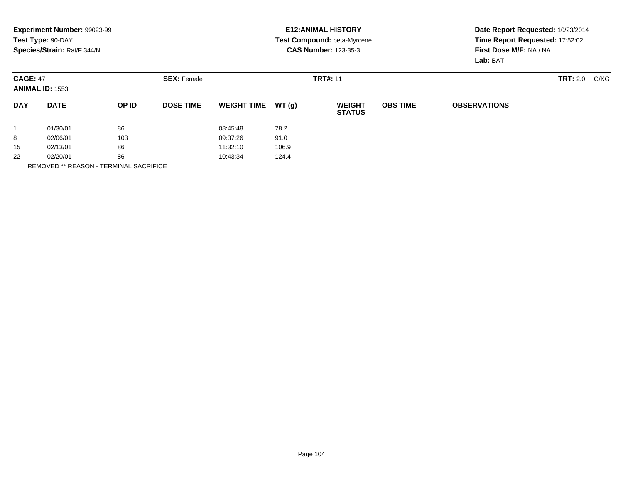|            | Experiment Number: 99023-99<br>Test Type: 90-DAY<br>Species/Strain: Rat/F 344/N |       |                                       |                    |       | <b>E12: ANIMAL HISTORY</b><br><b>Test Compound: beta-Myrcene</b><br><b>CAS Number: 123-35-3</b> | Date Report Requested: 10/23/2014<br>Time Report Requested: 17:52:02<br>First Dose M/F: NA / NA<br>Lab: BAT |                     |                 |      |
|------------|---------------------------------------------------------------------------------|-------|---------------------------------------|--------------------|-------|-------------------------------------------------------------------------------------------------|-------------------------------------------------------------------------------------------------------------|---------------------|-----------------|------|
|            | <b>CAGE: 47</b><br><b>ANIMAL ID: 1553</b>                                       |       | <b>TRT#: 11</b><br><b>SEX: Female</b> |                    |       |                                                                                                 |                                                                                                             |                     | <b>TRT:</b> 2.0 | G/KG |
| <b>DAY</b> | <b>DATE</b>                                                                     | OP ID | <b>DOSE TIME</b>                      | <b>WEIGHT TIME</b> | WT(q) | <b>WEIGHT</b><br><b>STATUS</b>                                                                  | <b>OBS TIME</b>                                                                                             | <b>OBSERVATIONS</b> |                 |      |
|            | 01/30/01                                                                        | 86    |                                       | 08:45:48           | 78.2  |                                                                                                 |                                                                                                             |                     |                 |      |
| 8          | 02/06/01                                                                        | 103   |                                       | 09:37:26           | 91.0  |                                                                                                 |                                                                                                             |                     |                 |      |
| 15         | 86<br>02/13/01                                                                  |       |                                       | 11:32:10           | 106.9 |                                                                                                 |                                                                                                             |                     |                 |      |
| 22         | 86<br>02/20/01                                                                  |       | 10:43:34<br>124.4                     |                    |       |                                                                                                 |                                                                                                             |                     |                 |      |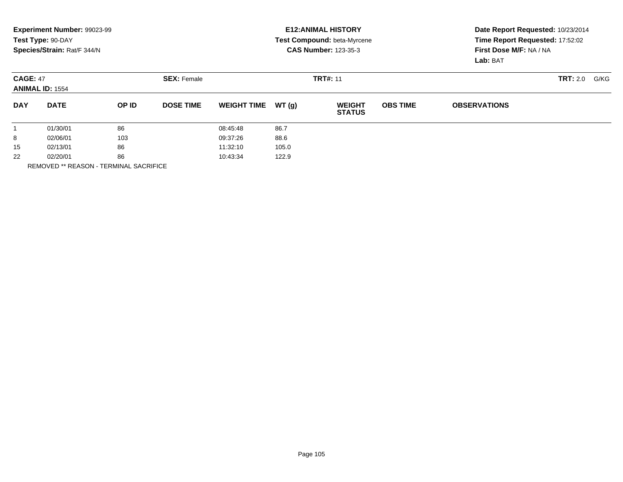|            | Experiment Number: 99023-99<br>Test Type: 90-DAY<br>Species/Strain: Rat/F 344/N |       |                                       |                    |       | <b>E12: ANIMAL HISTORY</b><br><b>Test Compound: beta-Myrcene</b><br><b>CAS Number: 123-35-3</b> | Date Report Requested: 10/23/2014<br>Time Report Requested: 17:52:02<br>First Dose M/F: NA / NA<br>Lab: BAT |                     |                 |      |
|------------|---------------------------------------------------------------------------------|-------|---------------------------------------|--------------------|-------|-------------------------------------------------------------------------------------------------|-------------------------------------------------------------------------------------------------------------|---------------------|-----------------|------|
|            | <b>CAGE: 47</b><br><b>ANIMAL ID: 1554</b>                                       |       | <b>SEX: Female</b><br><b>TRT#: 11</b> |                    |       |                                                                                                 |                                                                                                             |                     | <b>TRT:</b> 2.0 | G/KG |
| <b>DAY</b> | <b>DATE</b>                                                                     | OP ID | <b>DOSE TIME</b>                      | <b>WEIGHT TIME</b> | WT(q) | <b>WEIGHT</b><br><b>STATUS</b>                                                                  | <b>OBS TIME</b>                                                                                             | <b>OBSERVATIONS</b> |                 |      |
|            | 01/30/01                                                                        | 86    |                                       | 08:45:48           | 86.7  |                                                                                                 |                                                                                                             |                     |                 |      |
| 8          | 02/06/01                                                                        | 103   |                                       | 09:37:26           | 88.6  |                                                                                                 |                                                                                                             |                     |                 |      |
| 15         | 86<br>02/13/01                                                                  |       | 11:32:10                              | 105.0              |       |                                                                                                 |                                                                                                             |                     |                 |      |
| 22         | 86<br>02/20/01                                                                  |       |                                       | 122.9<br>10:43:34  |       |                                                                                                 |                                                                                                             |                     |                 |      |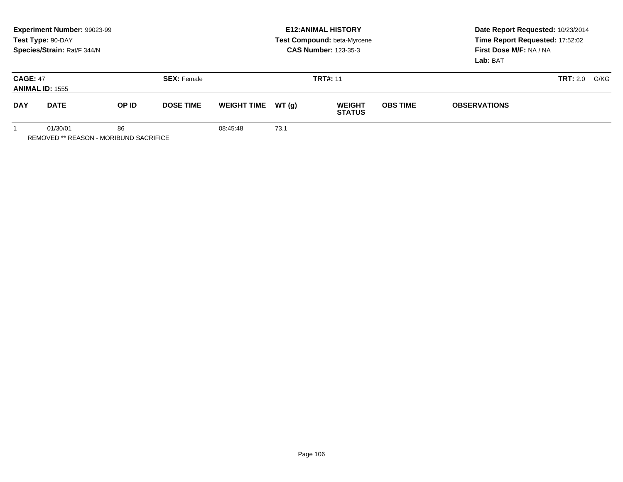|                                           | Experiment Number: 99023-99<br>Test Type: 90-DAY<br>Species/Strain: Rat/F 344/N |       |                    | <b>E12: ANIMAL HISTORY</b><br>Test Compound: beta-Myrcene<br><b>CAS Number: 123-35-3</b> |        |                                |                 | Date Report Requested: 10/23/2014<br>Time Report Requested: 17:52:02<br>First Dose M/F: NA / NA<br>Lab: BAT |      |  |
|-------------------------------------------|---------------------------------------------------------------------------------|-------|--------------------|------------------------------------------------------------------------------------------|--------|--------------------------------|-----------------|-------------------------------------------------------------------------------------------------------------|------|--|
| <b>CAGE: 47</b><br><b>ANIMAL ID: 1555</b> |                                                                                 |       | <b>SEX: Female</b> |                                                                                          |        | <b>TRT#: 11</b>                |                 | <b>TRT:</b> 2.0                                                                                             | G/KG |  |
| <b>DAY</b>                                | <b>DATE</b>                                                                     | OP ID | <b>DOSE TIME</b>   | <b>WEIGHT TIME</b>                                                                       | WT (a) | <b>WEIGHT</b><br><b>STATUS</b> | <b>OBS TIME</b> | <b>OBSERVATIONS</b>                                                                                         |      |  |
|                                           | 86<br>01/30/01                                                                  |       |                    | 08:45:48                                                                                 | 73.1   |                                |                 |                                                                                                             |      |  |

REMOVED \*\* REASON - MORIBUND SACRIFICE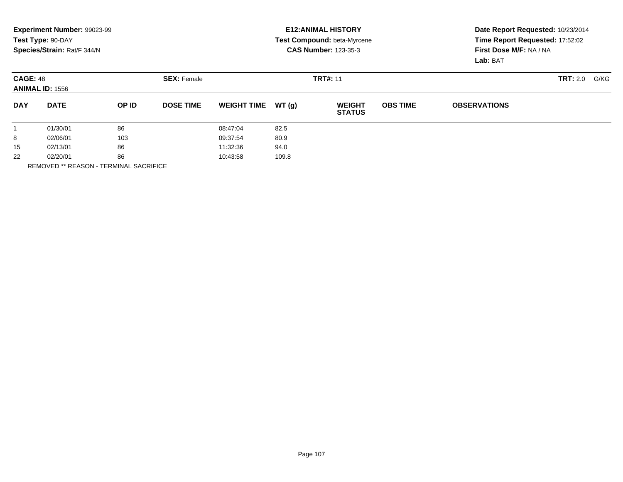|            | Experiment Number: 99023-99<br>Test Type: 90-DAY<br>Species/Strain: Rat/F 344/N |       |                                       |                    |       | <b>E12: ANIMAL HISTORY</b><br><b>Test Compound: beta-Myrcene</b><br><b>CAS Number: 123-35-3</b> | Date Report Requested: 10/23/2014<br>Time Report Requested: 17:52:02<br>First Dose M/F: NA / NA<br>Lab: BAT |                     |                 |      |
|------------|---------------------------------------------------------------------------------|-------|---------------------------------------|--------------------|-------|-------------------------------------------------------------------------------------------------|-------------------------------------------------------------------------------------------------------------|---------------------|-----------------|------|
|            | <b>CAGE: 48</b><br><b>ANIMAL ID: 1556</b>                                       |       | <b>SEX: Female</b><br><b>TRT#: 11</b> |                    |       |                                                                                                 |                                                                                                             |                     | <b>TRT:</b> 2.0 | G/KG |
| <b>DAY</b> | <b>DATE</b>                                                                     | OP ID | <b>DOSE TIME</b>                      | <b>WEIGHT TIME</b> | WT(q) | <b>WEIGHT</b><br><b>STATUS</b>                                                                  | <b>OBS TIME</b>                                                                                             | <b>OBSERVATIONS</b> |                 |      |
|            | 01/30/01                                                                        | 86    |                                       | 08:47:04           | 82.5  |                                                                                                 |                                                                                                             |                     |                 |      |
| 8          | 02/06/01                                                                        | 103   |                                       | 09:37:54           | 80.9  |                                                                                                 |                                                                                                             |                     |                 |      |
| 15         | 86<br>02/13/01                                                                  |       | 11:32:36                              | 94.0               |       |                                                                                                 |                                                                                                             |                     |                 |      |
| 22         | 86<br>02/20/01                                                                  |       |                                       | 109.8<br>10:43:58  |       |                                                                                                 |                                                                                                             |                     |                 |      |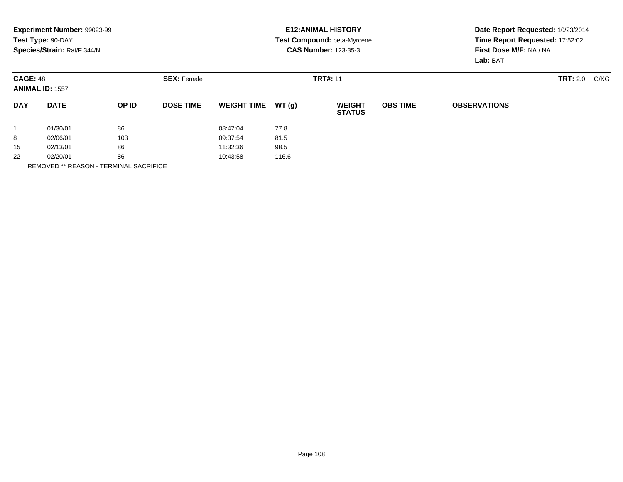|            | Experiment Number: 99023-99<br>Test Type: 90-DAY<br>Species/Strain: Rat/F 344/N |       |                                       |                    |       | <b>E12: ANIMAL HISTORY</b><br><b>Test Compound: beta-Myrcene</b><br><b>CAS Number: 123-35-3</b> | Date Report Requested: 10/23/2014<br>Time Report Requested: 17:52:02<br>First Dose M/F: NA / NA<br>Lab: BAT |                     |                 |      |
|------------|---------------------------------------------------------------------------------|-------|---------------------------------------|--------------------|-------|-------------------------------------------------------------------------------------------------|-------------------------------------------------------------------------------------------------------------|---------------------|-----------------|------|
|            | <b>CAGE: 48</b><br><b>ANIMAL ID: 1557</b>                                       |       | <b>SEX: Female</b><br><b>TRT#: 11</b> |                    |       |                                                                                                 |                                                                                                             |                     | <b>TRT:</b> 2.0 | G/KG |
| <b>DAY</b> | <b>DATE</b>                                                                     | OP ID | <b>DOSE TIME</b>                      | <b>WEIGHT TIME</b> | WT(q) | <b>WEIGHT</b><br><b>STATUS</b>                                                                  | <b>OBS TIME</b>                                                                                             | <b>OBSERVATIONS</b> |                 |      |
|            | 01/30/01                                                                        | 86    |                                       | 08:47:04           | 77.8  |                                                                                                 |                                                                                                             |                     |                 |      |
| 8          | 02/06/01                                                                        | 103   |                                       | 09:37:54           | 81.5  |                                                                                                 |                                                                                                             |                     |                 |      |
| 15         | 86<br>02/13/01                                                                  |       | 11:32:36                              | 98.5               |       |                                                                                                 |                                                                                                             |                     |                 |      |
| 22         | 86<br>02/20/01                                                                  |       |                                       | 116.6<br>10:43:58  |       |                                                                                                 |                                                                                                             |                     |                 |      |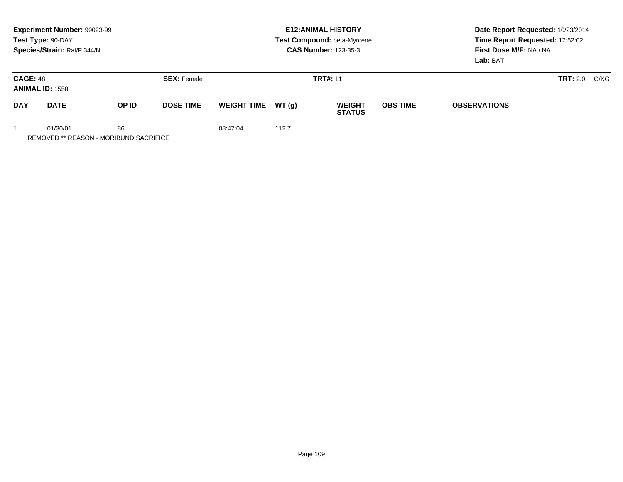|                                           | <b>Experiment Number: 99023-99</b><br>Test Type: 90-DAY<br>Species/Strain: Rat/F 344/N |                    |                  |                    |                 | <b>E12: ANIMAL HISTORY</b><br>Test Compound: beta-Myrcene<br><b>CAS Number: 123-35-3</b> | Date Report Requested: 10/23/2014<br>Time Report Requested: 17:52:02<br>First Dose M/F: NA / NA<br>Lab: BAT |                     |      |  |
|-------------------------------------------|----------------------------------------------------------------------------------------|--------------------|------------------|--------------------|-----------------|------------------------------------------------------------------------------------------|-------------------------------------------------------------------------------------------------------------|---------------------|------|--|
| <b>CAGE: 48</b><br><b>ANIMAL ID: 1558</b> |                                                                                        | <b>SEX: Female</b> |                  |                    | <b>TRT#: 11</b> |                                                                                          | <b>TRT:</b> 2.0                                                                                             |                     | G/KG |  |
| <b>DAY</b>                                | <b>DATE</b>                                                                            | OP ID              | <b>DOSE TIME</b> | <b>WEIGHT TIME</b> | WT (a)          | <b>WEIGHT</b><br><b>STATUS</b>                                                           | <b>OBS TIME</b>                                                                                             | <b>OBSERVATIONS</b> |      |  |
|                                           | 86<br>01/30/01                                                                         |                    |                  | 08:47:04           | 112.7           |                                                                                          |                                                                                                             |                     |      |  |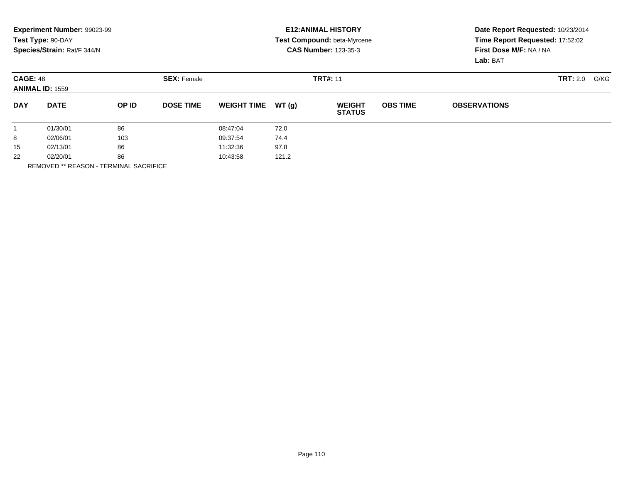|                 | Experiment Number: 99023-99<br>Test Type: 90-DAY<br>Species/Strain: Rat/F 344/N |       |                    |                    |       | <b>E12: ANIMAL HISTORY</b><br>Test Compound: beta-Myrcene<br><b>CAS Number: 123-35-3</b> |                 | Date Report Requested: 10/23/2014<br>Time Report Requested: 17:52:02<br>First Dose M/F: NA / NA<br>Lab: BAT |      |  |  |
|-----------------|---------------------------------------------------------------------------------|-------|--------------------|--------------------|-------|------------------------------------------------------------------------------------------|-----------------|-------------------------------------------------------------------------------------------------------------|------|--|--|
| <b>CAGE: 48</b> | <b>ANIMAL ID: 1559</b>                                                          |       | <b>SEX: Female</b> |                    |       | <b>TRT#: 11</b>                                                                          |                 | <b>TRT:</b> 2.0                                                                                             | G/KG |  |  |
| <b>DAY</b>      | <b>DATE</b>                                                                     | OP ID | <b>DOSE TIME</b>   | <b>WEIGHT TIME</b> | WT(q) | <b>WEIGHT</b><br><b>STATUS</b>                                                           | <b>OBS TIME</b> | <b>OBSERVATIONS</b>                                                                                         |      |  |  |
|                 | 01/30/01                                                                        | 86    |                    | 08:47:04           | 72.0  |                                                                                          |                 |                                                                                                             |      |  |  |
| 8               | 02/06/01                                                                        | 103   |                    | 09:37:54           | 74.4  |                                                                                          |                 |                                                                                                             |      |  |  |
| 15              | 02/13/01                                                                        | 86    |                    | 11:32:36           | 97.8  |                                                                                          |                 |                                                                                                             |      |  |  |
| 22              | 02/20/01                                                                        | 86    |                    | 10:43:58           | 121.2 |                                                                                          |                 |                                                                                                             |      |  |  |

REMOVED \*\* REASON - TERMINAL SACRIFICE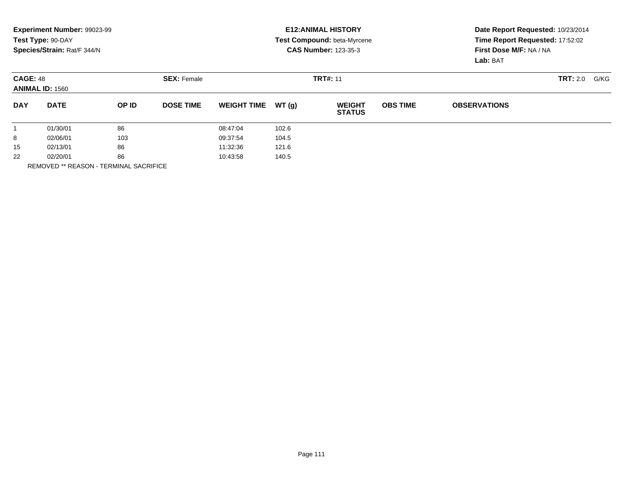|                 | Experiment Number: 99023-99<br>Test Type: 90-DAY<br>Species/Strain: Rat/F 344/N |       |                    |                    |       | <b>E12: ANIMAL HISTORY</b><br>Test Compound: beta-Myrcene<br><b>CAS Number: 123-35-3</b> |                 | Date Report Requested: 10/23/2014<br>Time Report Requested: 17:52:02<br>First Dose M/F: NA / NA<br>Lab: BAT |      |  |  |
|-----------------|---------------------------------------------------------------------------------|-------|--------------------|--------------------|-------|------------------------------------------------------------------------------------------|-----------------|-------------------------------------------------------------------------------------------------------------|------|--|--|
| <b>CAGE: 48</b> | <b>ANIMAL ID: 1560</b>                                                          |       | <b>SEX: Female</b> |                    |       | <b>TRT#: 11</b>                                                                          |                 | <b>TRT:</b> 2.0                                                                                             | G/KG |  |  |
| <b>DAY</b>      | <b>DATE</b>                                                                     | OP ID | <b>DOSE TIME</b>   | <b>WEIGHT TIME</b> | WT(q) | <b>WEIGHT</b><br><b>STATUS</b>                                                           | <b>OBS TIME</b> | <b>OBSERVATIONS</b>                                                                                         |      |  |  |
|                 | 01/30/01                                                                        | 86    |                    | 08:47:04           | 102.6 |                                                                                          |                 |                                                                                                             |      |  |  |
| 8               | 02/06/01                                                                        | 103   |                    | 09:37:54           | 104.5 |                                                                                          |                 |                                                                                                             |      |  |  |
| 15              | 02/13/01                                                                        | 86    |                    | 11:32:36           | 121.6 |                                                                                          |                 |                                                                                                             |      |  |  |
| 22              | 02/20/01                                                                        | 86    |                    | 10:43:58           | 140.5 |                                                                                          |                 |                                                                                                             |      |  |  |

REMOVED \*\* REASON - TERMINAL SACRIFICE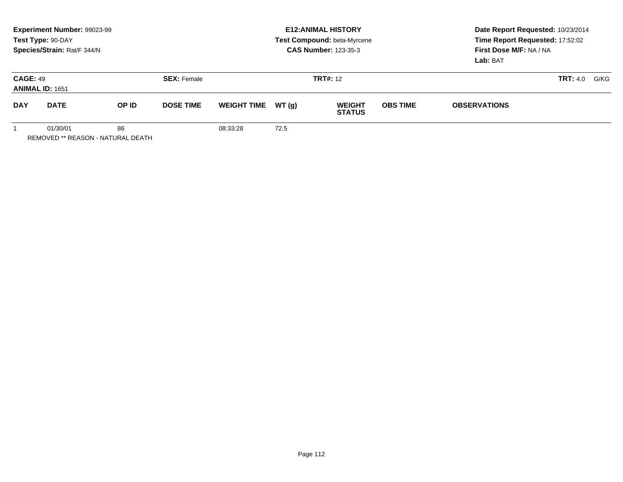|                                           | Experiment Number: 99023-99<br>Test Type: 90-DAY<br>Species/Strain: Rat/F 344/N |       |                    | <b>E12: ANIMAL HISTORY</b><br>Test Compound: beta-Myrcene<br><b>CAS Number: 123-35-3</b> |        |                                |                 | Date Report Requested: 10/23/2014<br>Time Report Requested: 17:52:02<br>First Dose M/F: NA / NA<br>Lab: BAT |      |  |
|-------------------------------------------|---------------------------------------------------------------------------------|-------|--------------------|------------------------------------------------------------------------------------------|--------|--------------------------------|-----------------|-------------------------------------------------------------------------------------------------------------|------|--|
| <b>CAGE: 49</b><br><b>ANIMAL ID: 1651</b> |                                                                                 |       | <b>SEX: Female</b> |                                                                                          |        | <b>TRT#: 12</b>                | <b>TRT:</b> 4.0 |                                                                                                             | G/KG |  |
| <b>DAY</b>                                | <b>DATE</b>                                                                     | OP ID | <b>DOSE TIME</b>   | <b>WEIGHT TIME</b>                                                                       | WT (q) | <b>WEIGHT</b><br><b>STATUS</b> | <b>OBS TIME</b> | <b>OBSERVATIONS</b>                                                                                         |      |  |
|                                           | 86<br>01/30/01                                                                  |       |                    | 08:33:28                                                                                 | 72.5   |                                |                 |                                                                                                             |      |  |

Page 112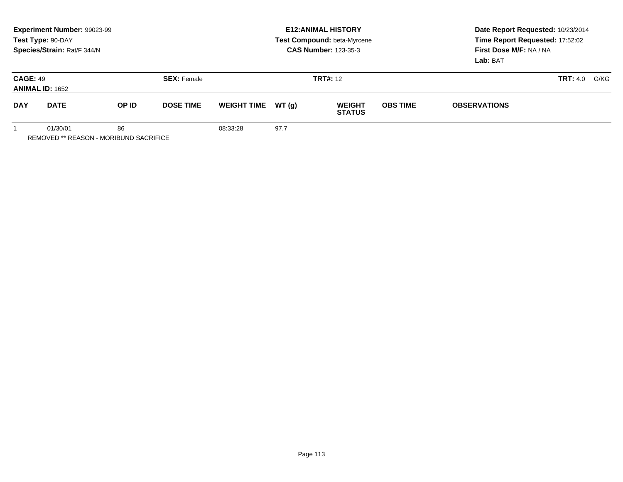|                                           | Experiment Number: 99023-99<br>Test Type: 90-DAY<br>Species/Strain: Rat/F 344/N |       |                    | <b>E12: ANIMAL HISTORY</b><br>Test Compound: beta-Myrcene<br><b>CAS Number: 123-35-3</b> |        |                                |                 | Date Report Requested: 10/23/2014<br>Time Report Requested: 17:52:02<br>First Dose M/F: NA / NA<br>Lab: BAT |  |  |
|-------------------------------------------|---------------------------------------------------------------------------------|-------|--------------------|------------------------------------------------------------------------------------------|--------|--------------------------------|-----------------|-------------------------------------------------------------------------------------------------------------|--|--|
| <b>CAGE: 49</b><br><b>ANIMAL ID: 1652</b> |                                                                                 |       | <b>SEX: Female</b> |                                                                                          |        | <b>TRT#: 12</b>                |                 | <b>TRT:</b> 4.0                                                                                             |  |  |
| <b>DAY</b>                                | <b>DATE</b>                                                                     | OP ID | <b>DOSE TIME</b>   | <b>WEIGHT TIME</b>                                                                       | WT (a) | <b>WEIGHT</b><br><b>STATUS</b> | <b>OBS TIME</b> | <b>OBSERVATIONS</b>                                                                                         |  |  |
|                                           | 86<br>01/30/01                                                                  |       |                    | 08:33:28                                                                                 | 97.7   |                                |                 |                                                                                                             |  |  |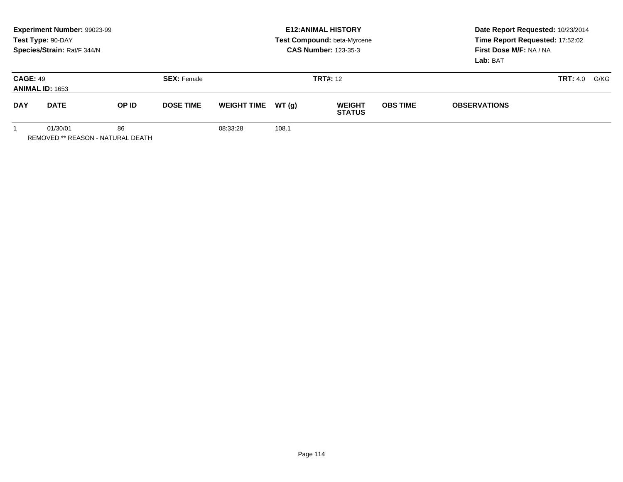|                                           | Experiment Number: 99023-99<br>Test Type: 90-DAY<br>Species/Strain: Rat/F 344/N |       |                    |                    |        | <b>E12: ANIMAL HISTORY</b><br>Test Compound: beta-Myrcene<br><b>CAS Number: 123-35-3</b> | Date Report Requested: 10/23/2014<br>Time Report Requested: 17:52:02<br>First Dose M/F: NA / NA<br>Lab: BAT |                     |      |  |
|-------------------------------------------|---------------------------------------------------------------------------------|-------|--------------------|--------------------|--------|------------------------------------------------------------------------------------------|-------------------------------------------------------------------------------------------------------------|---------------------|------|--|
| <b>CAGE: 49</b><br><b>ANIMAL ID: 1653</b> |                                                                                 |       | <b>SEX: Female</b> |                    |        | <b>TRT#: 12</b>                                                                          | <b>TRT:</b> 4.0                                                                                             |                     | G/KG |  |
| <b>DAY</b>                                | <b>DATE</b>                                                                     | OP ID | <b>DOSE TIME</b>   | <b>WEIGHT TIME</b> | WT (a) | <b>WEIGHT</b><br><b>STATUS</b>                                                           | <b>OBS TIME</b>                                                                                             | <b>OBSERVATIONS</b> |      |  |
|                                           | 86<br>01/30/01                                                                  |       |                    | 08:33:28           | 108.1  |                                                                                          |                                                                                                             |                     |      |  |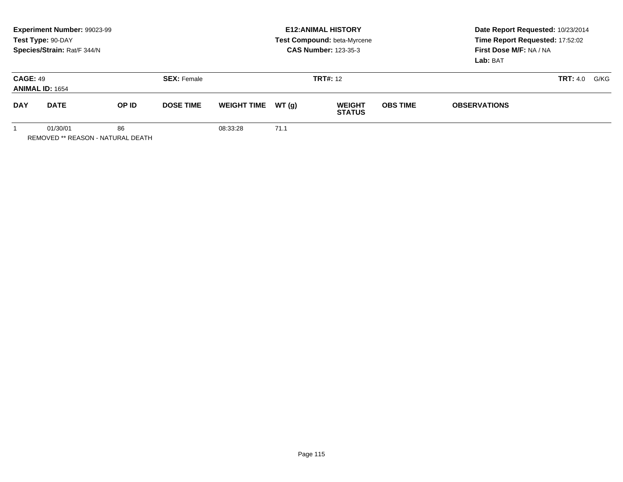|                                           | Experiment Number: 99023-99<br>Test Type: 90-DAY<br>Species/Strain: Rat/F 344/N |       | <b>E12: ANIMAL HISTORY</b><br>Test Compound: beta-Myrcene<br><b>CAS Number: 123-35-3</b> |                    |        |                                | Date Report Requested: 10/23/2014<br>Time Report Requested: 17:52:02<br>First Dose M/F: NA / NA<br>Lab: BAT |                     |  |      |
|-------------------------------------------|---------------------------------------------------------------------------------|-------|------------------------------------------------------------------------------------------|--------------------|--------|--------------------------------|-------------------------------------------------------------------------------------------------------------|---------------------|--|------|
| <b>CAGE: 49</b><br><b>ANIMAL ID: 1654</b> |                                                                                 |       | <b>SEX: Female</b>                                                                       |                    |        | <b>TRT#: 12</b>                |                                                                                                             | <b>TRT:</b> 4.0     |  | G/KG |
| <b>DAY</b>                                | <b>DATE</b>                                                                     | OP ID | <b>DOSE TIME</b>                                                                         | <b>WEIGHT TIME</b> | WT (q) | <b>WEIGHT</b><br><b>STATUS</b> | <b>OBS TIME</b>                                                                                             | <b>OBSERVATIONS</b> |  |      |
|                                           | 86<br>01/30/01                                                                  |       |                                                                                          | 08:33:28           | 71.1   |                                |                                                                                                             |                     |  |      |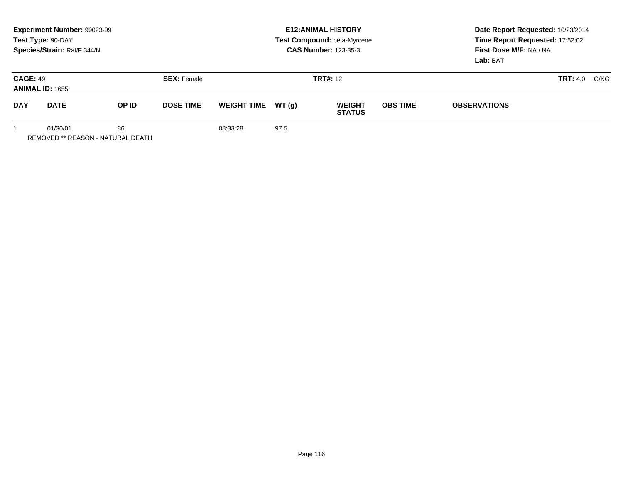|                                           | Experiment Number: 99023-99<br>Test Type: 90-DAY<br>Species/Strain: Rat/F 344/N |                    |                  |                    |                 | <b>E12: ANIMAL HISTORY</b><br>Test Compound: beta-Myrcene<br><b>CAS Number: 123-35-3</b> | Date Report Requested: 10/23/2014<br>Time Report Requested: 17:52:02<br>First Dose M/F: NA / NA<br>Lab: BAT |                     |      |  |
|-------------------------------------------|---------------------------------------------------------------------------------|--------------------|------------------|--------------------|-----------------|------------------------------------------------------------------------------------------|-------------------------------------------------------------------------------------------------------------|---------------------|------|--|
| <b>CAGE: 49</b><br><b>ANIMAL ID: 1655</b> |                                                                                 | <b>SEX: Female</b> |                  |                    | <b>TRT#:</b> 12 |                                                                                          | <b>TRT:</b> 4.0                                                                                             |                     | G/KG |  |
| <b>DAY</b>                                | <b>DATE</b>                                                                     | OP ID              | <b>DOSE TIME</b> | <b>WEIGHT TIME</b> | WT (q)          | <b>WEIGHT</b><br><b>STATUS</b>                                                           | <b>OBS TIME</b>                                                                                             | <b>OBSERVATIONS</b> |      |  |
|                                           | 01/30/01                                                                        | 86                 |                  | 08:33:28           | 97.5            |                                                                                          |                                                                                                             |                     |      |  |

Page 116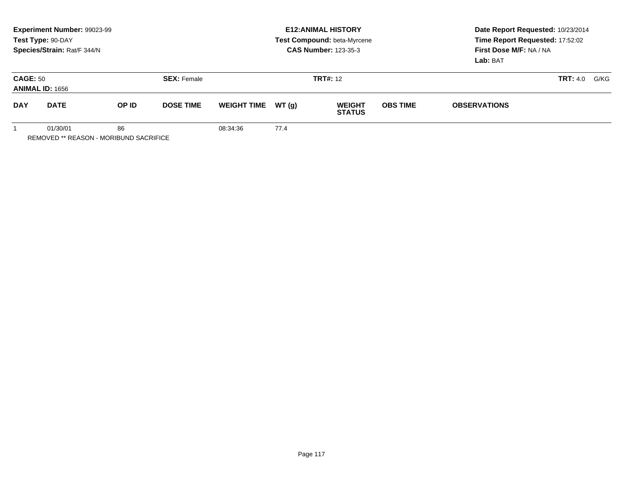|                                           | Experiment Number: 99023-99<br>Test Type: 90-DAY<br>Species/Strain: Rat/F 344/N |              |                    |                    |        | <b>E12: ANIMAL HISTORY</b><br>Test Compound: beta-Myrcene<br><b>CAS Number: 123-35-3</b> | Date Report Requested: 10/23/2014<br>Time Report Requested: 17:52:02<br>First Dose M/F: NA / NA<br>Lab: BAT |                     |  |      |
|-------------------------------------------|---------------------------------------------------------------------------------|--------------|--------------------|--------------------|--------|------------------------------------------------------------------------------------------|-------------------------------------------------------------------------------------------------------------|---------------------|--|------|
| <b>CAGE: 50</b><br><b>ANIMAL ID: 1656</b> |                                                                                 |              | <b>SEX: Female</b> |                    |        | <b>TRT#: 12</b>                                                                          |                                                                                                             | <b>TRT:</b> 4.0     |  | G/KG |
| <b>DAY</b>                                | <b>DATE</b>                                                                     | <b>OP ID</b> | <b>DOSE TIME</b>   | <b>WEIGHT TIME</b> | WT (a) | <b>WEIGHT</b><br><b>STATUS</b>                                                           | <b>OBS TIME</b>                                                                                             | <b>OBSERVATIONS</b> |  |      |
|                                           | 86<br>01/30/01                                                                  |              |                    | 08:34:36           | 77.4   |                                                                                          |                                                                                                             |                     |  |      |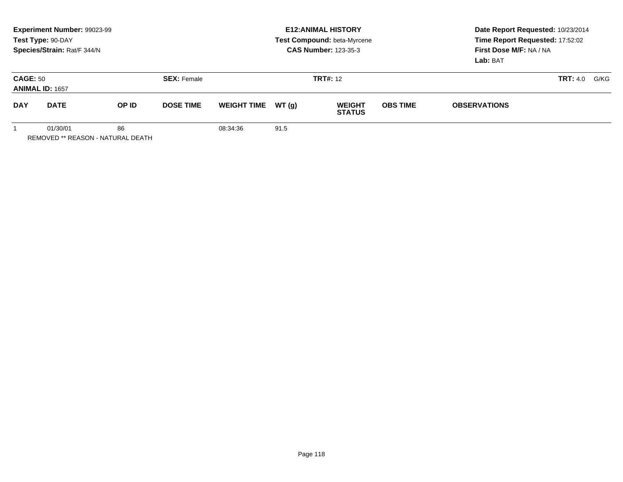|                                           | Experiment Number: 99023-99<br>Test Type: 90-DAY<br>Species/Strain: Rat/F 344/N |       |                                       |                    |        | <b>E12: ANIMAL HISTORY</b><br>Test Compound: beta-Myrcene<br><b>CAS Number: 123-35-3</b> |                 | Date Report Requested: 10/23/2014<br>Time Report Requested: 17:52:02<br>First Dose M/F: NA / NA<br>Lab: BAT |                         |  |
|-------------------------------------------|---------------------------------------------------------------------------------|-------|---------------------------------------|--------------------|--------|------------------------------------------------------------------------------------------|-----------------|-------------------------------------------------------------------------------------------------------------|-------------------------|--|
| <b>CAGE: 50</b><br><b>ANIMAL ID: 1657</b> |                                                                                 |       | <b>SEX: Female</b><br><b>TRT#:</b> 12 |                    |        |                                                                                          |                 |                                                                                                             | <b>TRT:</b> 4.0<br>G/KG |  |
| <b>DAY</b>                                | <b>DATE</b>                                                                     | OP ID | <b>DOSE TIME</b>                      | <b>WEIGHT TIME</b> | WT (a) | <b>WEIGHT</b><br><b>STATUS</b>                                                           | <b>OBS TIME</b> | <b>OBSERVATIONS</b>                                                                                         |                         |  |
|                                           | 86<br>01/30/01<br>REMOVED ** REASON - NATURAL DEATH                             |       |                                       | 08:34:36           | 91.5   |                                                                                          |                 |                                                                                                             |                         |  |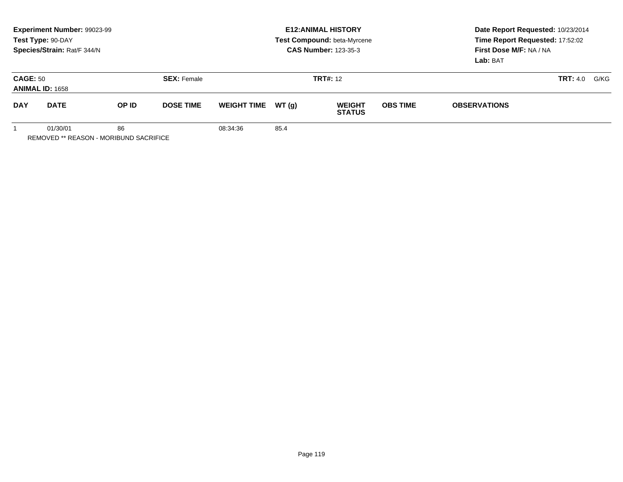|                                           | Experiment Number: 99023-99<br>Test Type: 90-DAY<br>Species/Strain: Rat/F 344/N |       |                    | <b>E12: ANIMAL HISTORY</b><br>Test Compound: beta-Myrcene<br><b>CAS Number: 123-35-3</b> |        |                                |                 | Date Report Requested: 10/23/2014<br>Time Report Requested: 17:52:02<br>First Dose M/F: NA / NA<br>Lab: BAT |  |  |
|-------------------------------------------|---------------------------------------------------------------------------------|-------|--------------------|------------------------------------------------------------------------------------------|--------|--------------------------------|-----------------|-------------------------------------------------------------------------------------------------------------|--|--|
| <b>CAGE: 50</b><br><b>ANIMAL ID: 1658</b> |                                                                                 |       | <b>SEX: Female</b> |                                                                                          |        | <b>TRT#: 12</b>                |                 | <b>TRT:</b> 4.0                                                                                             |  |  |
| <b>DAY</b>                                | <b>DATE</b>                                                                     | OP ID | <b>DOSE TIME</b>   | <b>WEIGHT TIME</b>                                                                       | WT (a) | <b>WEIGHT</b><br><b>STATUS</b> | <b>OBS TIME</b> | <b>OBSERVATIONS</b>                                                                                         |  |  |
|                                           | 86<br>01/30/01                                                                  |       |                    | 08:34:36                                                                                 | 85.4   |                                |                 |                                                                                                             |  |  |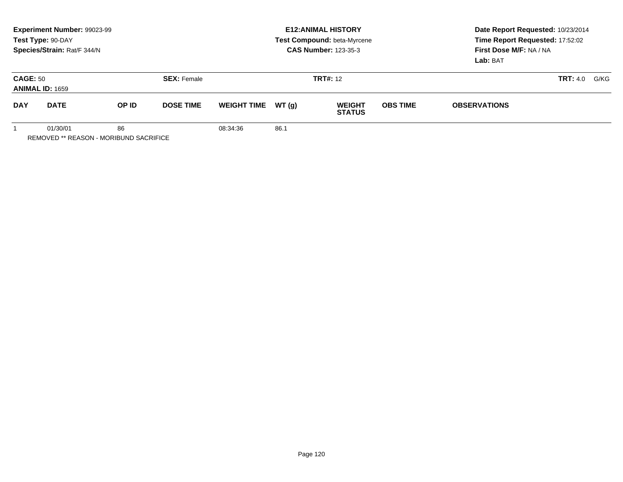|                                           | Experiment Number: 99023-99<br>Test Type: 90-DAY<br>Species/Strain: Rat/F 344/N |              |                    | <b>E12: ANIMAL HISTORY</b><br>Test Compound: beta-Myrcene<br><b>CAS Number: 123-35-3</b> |        |                                |                 | Date Report Requested: 10/23/2014<br>Time Report Requested: 17:52:02<br>First Dose M/F: NA / NA<br>Lab: BAT |  |      |
|-------------------------------------------|---------------------------------------------------------------------------------|--------------|--------------------|------------------------------------------------------------------------------------------|--------|--------------------------------|-----------------|-------------------------------------------------------------------------------------------------------------|--|------|
| <b>CAGE: 50</b><br><b>ANIMAL ID: 1659</b> |                                                                                 |              | <b>SEX: Female</b> |                                                                                          |        | <b>TRT#: 12</b>                |                 | <b>TRT:</b> 4.0                                                                                             |  | G/KG |
| <b>DAY</b>                                | <b>DATE</b>                                                                     | <b>OP ID</b> | <b>DOSE TIME</b>   | <b>WEIGHT TIME</b>                                                                       | WT (a) | <b>WEIGHT</b><br><b>STATUS</b> | <b>OBS TIME</b> | <b>OBSERVATIONS</b>                                                                                         |  |      |
|                                           | 86<br>01/30/01                                                                  |              |                    | 08:34:36                                                                                 | 86.1   |                                |                 |                                                                                                             |  |      |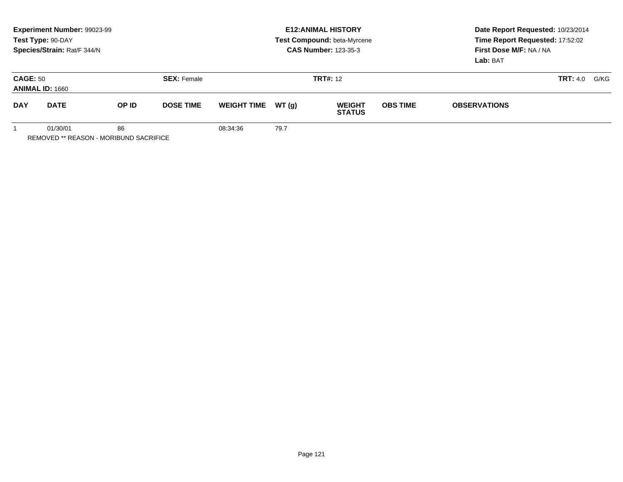| Experiment Number: 99023-99<br>Test Type: 90-DAY<br>Species/Strain: Rat/F 344/N |             |              |                    | <b>E12: ANIMAL HISTORY</b><br>Test Compound: beta-Myrcene<br><b>CAS Number: 123-35-3</b> |        |                                |                 | Date Report Requested: 10/23/2014<br>Time Report Requested: 17:52:02<br>First Dose M/F: NA / NA<br>Lab: BAT |                 |      |
|---------------------------------------------------------------------------------|-------------|--------------|--------------------|------------------------------------------------------------------------------------------|--------|--------------------------------|-----------------|-------------------------------------------------------------------------------------------------------------|-----------------|------|
| <b>CAGE: 50</b><br><b>ANIMAL ID: 1660</b>                                       |             |              | <b>SEX: Female</b> | <b>TRT#: 12</b>                                                                          |        |                                |                 |                                                                                                             | <b>TRT:</b> 4.0 | G/KG |
| <b>DAY</b>                                                                      | <b>DATE</b> | <b>OP ID</b> | <b>DOSE TIME</b>   | <b>WEIGHT TIME</b>                                                                       | WT (a) | <b>WEIGHT</b><br><b>STATUS</b> | <b>OBS TIME</b> | <b>OBSERVATIONS</b>                                                                                         |                 |      |
|                                                                                 | 01/30/01    | 86           |                    | 08:34:36                                                                                 | 79.7   |                                |                 |                                                                                                             |                 |      |